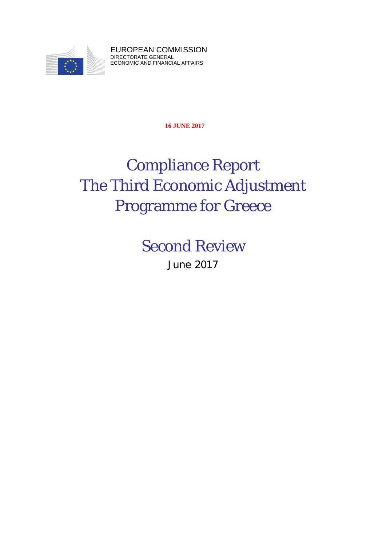

EUROPEAN COMMISSION DIRECTORATE GENERAL ECONOMIC AND FINANCIAL AFFAIRS

**16 JUNE 2017**

# Compliance Report The Third Economic Adjustment Programme for Greece

Second Review

June 2017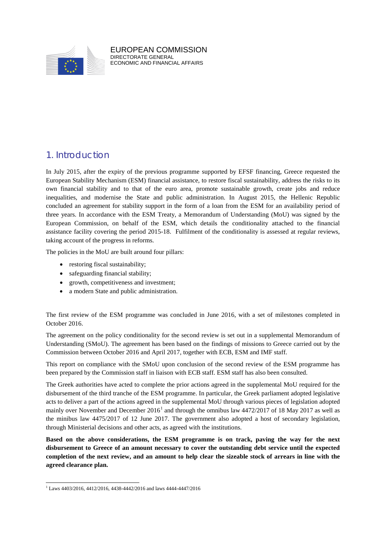

EUROPEAN COMMISSION DIRECTORATE GENERAL ECONOMIC AND FINANCIAL AFFAIRS

## 1. Introduction

In July 2015, after the expiry of the previous programme supported by EFSF financing, Greece requested the European Stability Mechanism (ESM) financial assistance, to restore fiscal sustainability, address the risks to its own financial stability and to that of the euro area, promote sustainable growth, create jobs and reduce inequalities, and modernise the State and public administration. In August 2015, the Hellenic Republic concluded an agreement for stability support in the form of a loan from the ESM for an availability period of three years. In accordance with the ESM Treaty, a Memorandum of Understanding (MoU) was signed by the European Commission, on behalf of the ESM, which details the conditionality attached to the financial assistance facility covering the period 2015-18. Fulfilment of the conditionality is assessed at regular reviews, taking account of the progress in reforms.

The policies in the MoU are built around four pillars:

- restoring fiscal sustainability;
- safeguarding financial stability;
- growth, competitiveness and investment;
- a modern State and public administration.

The first review of the ESM programme was concluded in June 2016, with a set of milestones completed in October 2016.

The agreement on the policy conditionality for the second review is set out in a supplemental Memorandum of Understanding (SMoU). The agreement has been based on the findings of missions to Greece carried out by the Commission between October 2016 and April 2017, together with ECB, ESM and IMF staff.

This report on compliance with the SMoU upon conclusion of the second review of the ESM programme has been prepared by the Commission staff in liaison with ECB staff. ESM staff has also been consulted.

The Greek authorities have acted to complete the prior actions agreed in the supplemental MoU required for the disbursement of the third tranche of the ESM programme. In particular, the Greek parliament adopted legislative acts to deliver a part of the actions agreed in the supplemental MoU through various pieces of legislation adopted mainly over November and December  $2016<sup>1</sup>$  $2016<sup>1</sup>$  $2016<sup>1</sup>$  and through the omnibus law 4472/2017 of 18 May 2017 as well as the minibus law 4475/2017 of 12 June 2017. The government also adopted a host of secondary legislation, through Ministerial decisions and other acts, as agreed with the institutions.

**Based on the above considerations, the ESM programme is on track, paving the way for the next disbursement to Greece of an amount necessary to cover the outstanding debt service until the expected completion of the next review, and an amount to help clear the sizeable stock of arrears in line with the agreed clearance plan.**

<span id="page-1-0"></span> $1$  Laws 4403/2016, 4412/2016, 4438-4442/2016 and laws 4444-4447/2016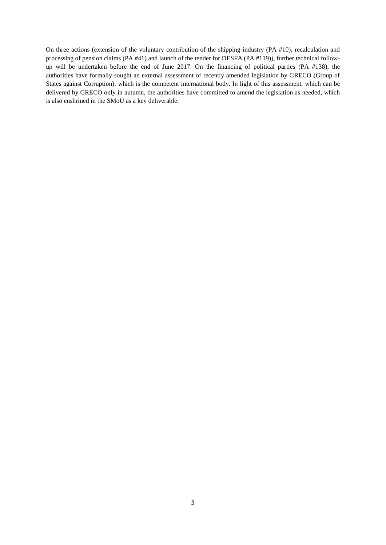On three actions (extension of the voluntary contribution of the shipping industry (PA #10), recalculation and processing of pension claims (PA #41) and launch of the tender for DESFA (PA #119)), further technical followup will be undertaken before the end of June 2017. On the financing of political parties (PA #138), the authorities have formally sought an external assessment of recently amended legislation by GRECO (Group of States against Corruption), which is the competent international body. In light of this assessment, which can be delivered by GRECO only in autumn, the authorities have committed to amend the legislation as needed, which is also enshrined in the SMoU as a key deliverable.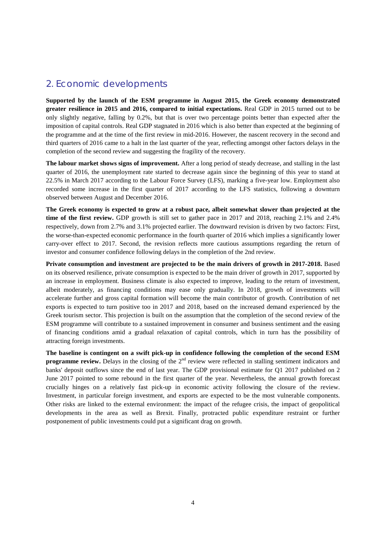## 2. Economic developments

**Supported by the launch of the ESM programme in August 2015, the Greek economy demonstrated greater resilience in 2015 and 2016, compared to initial expectations.** Real GDP in 2015 turned out to be only slightly negative, falling by 0.2%, but that is over two percentage points better than expected after the imposition of capital controls. Real GDP stagnated in 2016 which is also better than expected at the beginning of the programme and at the time of the first review in mid-2016. However, the nascent recovery in the second and third quarters of 2016 came to a halt in the last quarter of the year, reflecting amongst other factors delays in the completion of the second review and suggesting the fragility of the recovery.

**The labour market shows signs of improvement.** After a long period of steady decrease, and stalling in the last quarter of 2016, the unemployment rate started to decrease again since the beginning of this year to stand at 22.5% in March 2017 according to the Labour Force Survey (LFS), marking a five-year low. Employment also recorded some increase in the first quarter of 2017 according to the LFS statistics, following a downturn observed between August and December 2016.

**The Greek economy is expected to grow at a robust pace, albeit somewhat slower than projected at the time of the first review.** GDP growth is still set to gather pace in 2017 and 2018, reaching 2.1% and 2.4% respectively, down from 2.7% and 3.1% projected earlier. The downward revision is driven by two factors: First, the worse-than-expected economic performance in the fourth quarter of 2016 which implies a significantly lower carry-over effect to 2017. Second, the revision reflects more cautious assumptions regarding the return of investor and consumer confidence following delays in the completion of the 2nd review.

**Private consumption and investment are projected to be the main drivers of growth in 2017-2018.** Based on its observed resilience, private consumption is expected to be the main driver of growth in 2017, supported by an increase in employment. Business climate is also expected to improve, leading to the return of investment, albeit moderately, as financing conditions may ease only gradually. In 2018, growth of investments will accelerate further and gross capital formation will become the main contributor of growth. Contribution of net exports is expected to turn positive too in 2017 and 2018, based on the increased demand experienced by the Greek tourism sector. This projection is built on the assumption that the completion of the second review of the ESM programme will contribute to a sustained improvement in consumer and business sentiment and the easing of financing conditions amid a gradual relaxation of capital controls, which in turn has the possibility of attracting foreign investments.

**The baseline is contingent on a swift pick-up in confidence following the completion of the second ESM programme review.** Delays in the closing of the 2<sup>nd</sup> review were reflected in stalling sentiment indicators and banks' deposit outflows since the end of last year. The GDP provisional estimate for Q1 2017 published on 2 June 2017 pointed to some rebound in the first quarter of the year. Nevertheless, the annual growth forecast crucially hinges on a relatively fast pick-up in economic activity following the closure of the review. Investment, in particular foreign investment, and exports are expected to be the most vulnerable components. Other risks are linked to the external environment: the impact of the refugee crisis, the impact of geopolitical developments in the area as well as Brexit. Finally, protracted public expenditure restraint or further postponement of public investments could put a significant drag on growth.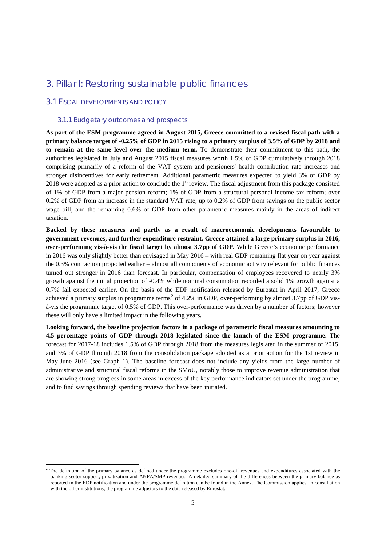### 3. Pillar I: Restoring sustainable public finances

#### 3.1 FISCAL DEVELOPMENTS AND POLICY

#### 3.1.1 Budgetary outcomes and prospects

**As part of the ESM programme agreed in August 2015, Greece committed to a revised fiscal path with a primary balance target of -0.25% of GDP in 2015 rising to a primary surplus of 3.5% of GDP by 2018 and to remain at the same level over the medium term.** To demonstrate their commitment to this path, the authorities legislated in July and August 2015 fiscal measures worth 1.5% of GDP cumulatively through 2018 comprising primarily of a reform of the VAT system and pensioners' health contribution rate increases and stronger disincentives for early retirement. Additional parametric measures expected to yield 3% of GDP by 2018 were adopted as a prior action to conclude the  $1<sup>st</sup>$  review. The fiscal adjustment from this package consisted of 1% of GDP from a major pension reform; 1% of GDP from a structural personal income tax reform; over 0.2% of GDP from an increase in the standard VAT rate, up to 0.2% of GDP from savings on the public sector wage bill, and the remaining 0.6% of GDP from other parametric measures mainly in the areas of indirect taxation.

**Backed by these measures and partly as a result of macroeconomic developments favourable to government revenues, and further expenditure restraint, Greece attained a large primary surplus in 2016, over-performing vis-à-vis the fiscal target by almost 3.7pp of GDP.** While Greece's economic performance in 2016 was only slightly better than envisaged in May 2016 – with real GDP remaining flat year on year against the 0.3% contraction projected earlier – almost all components of economic activity relevant for public finances turned out stronger in 2016 than forecast. In particular, compensation of employees recovered to nearly 3% growth against the initial projection of -0.4% while nominal consumption recorded a solid 1% growth against a 0.7% fall expected earlier. On the basis of the EDP notification released by Eurostat in April 2017, Greece achieved a primary surplus in programme terms<sup>[2](#page-4-0)</sup> of 4.2% in GDP, over-performing by almost 3.7pp of GDP visà-vis the programme target of 0.5% of GDP. This over-performance was driven by a number of factors; however these will only have a limited impact in the following years.

**Looking forward, the baseline projection factors in a package of parametric fiscal measures amounting to 4.5 percentage points of GDP through 2018 legislated since the launch of the ESM programme.** The forecast for 2017-18 includes 1.5% of GDP through 2018 from the measures legislated in the summer of 2015; and 3% of GDP through 2018 from the consolidation package adopted as a prior action for the 1st review in May-June 2016 (see Graph 1). The baseline forecast does not include any yields from the large number of administrative and structural fiscal reforms in the SMoU, notably those to improve revenue administration that are showing strong progress in some areas in excess of the key performance indicators set under the programme, and to find savings through spending reviews that have been initiated.

<span id="page-4-0"></span><sup>&</sup>lt;sup>2</sup> The definition of the primary balance as defined under the programme excludes one-off revenues and expenditures associated with the banking sector support, privatization and ANFA/SMP revenues. A detailed summary of the differences between the primary balance as reported in the EDP notification and under the programme definition can be found in the Annex. The Commission applies, in consultation with the other institutions, the programme adjustors to the data released by Eurostat.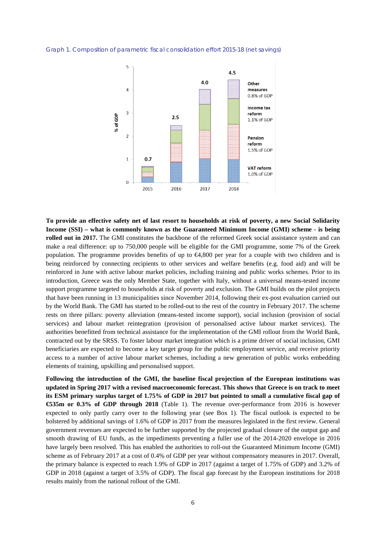Graph 1. Composition of parametric fiscal consolidation effort 2015-18 (net savings)



**To provide an effective safety net of last resort to households at risk of poverty, a new Social Solidarity Income (SSI) – what is commonly known as the Guaranteed Minimum Income (GMI) scheme - is being rolled out in 2017.** The GMI constitutes the backbone of the reformed Greek social assistance system and can make a real difference: up to 750,000 people will be eligible for the GMI programme, some 7% of the Greek population. The programme provides benefits of up to €4,800 per year for a couple with two children and is being reinforced by connecting recipients to other services and welfare benefits (e.g. food aid) and will be reinforced in June with active labour market policies, including training and public works schemes. Prior to its introduction, Greece was the only Member State, together with Italy, without a universal means-tested income support programme targeted to households at risk of poverty and exclusion. The GMI builds on the pilot projects that have been running in 13 municipalities since November 2014, following their ex-post evaluation carried out by the World Bank. The GMI has started to be rolled-out to the rest of the country in February 2017. The scheme rests on three pillars: poverty alleviation (means-tested income support), social inclusion (provision of social services) and labour market reintegration (provision of personalised active labour market services). The authorities benefitted from technical assistance for the implementation of the GMI rollout from the World Bank, contracted out by the SRSS. To foster labour market integration which is a prime driver of social inclusion, GMI beneficiaries are expected to become a key target group for the public employment service, and receive priority access to a number of active labour market schemes, including a new generation of public works embedding elements of training, upskilling and personalised support.

**Following the introduction of the GMI, the baseline fiscal projection of the European institutions was updated in Spring 2017 with a revised macroeconomic forecast. This shows that Greece is on track to meet its ESM primary surplus target of 1.75% of GDP in 2017 but pointed to small a cumulative fiscal gap of €535m or 0.3% of GDP through 2018** [\(Table 1\)](#page-6-0). The revenue over-performance from 2016 is however expected to only partly carry over to the following year (see Box 1). The fiscal outlook is expected to be bolstered by additional savings of 1.6% of GDP in 2017 from the measures legislated in the first review. General government revenues are expected to be further supported by the projected gradual closure of the output gap and smooth drawing of EU funds, as the impediments preventing a fuller use of the 2014-2020 envelope in 2016 have largely been resolved. This has enabled the authorities to roll-out the Guaranteed Minimum Income (GMI) scheme as of February 2017 at a cost of 0.4% of GDP per year without compensatory measures in 2017. Overall, the primary balance is expected to reach 1.9% of GDP in 2017 (against a target of 1.75% of GDP) and 3.2% of GDP in 2018 (against a target of 3.5% of GDP). The fiscal gap forecast by the European institutions for 2018 results mainly from the national rollout of the GMI.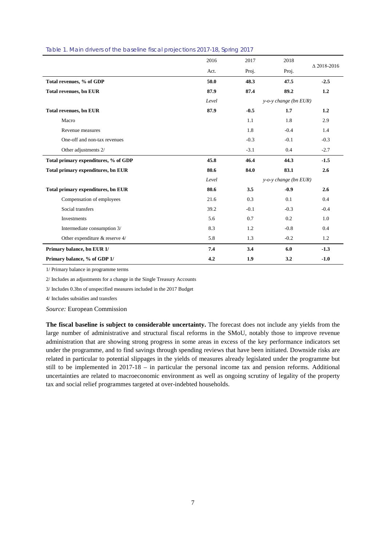|                                      | 2016  | 2017   | 2018                     |                    |
|--------------------------------------|-------|--------|--------------------------|--------------------|
|                                      | Act.  | Proj.  | Proj.                    | $\Delta$ 2018-2016 |
| Total revenues, % of GDP             | 50.0  | 48.3   | 47.5                     | $-2.5$             |
| <b>Total revenues, bn EUR</b>        | 87.9  | 87.4   | 89.2                     | 1.2                |
|                                      | Level |        | y-o-y change (bn EUR)    |                    |
| <b>Total revenues, bn EUR</b>        | 87.9  | $-0.5$ | 1.7                      | 1.2                |
| Macro                                |       | 1.1    | 1.8                      | 2.9                |
| Revenue measures                     |       | 1.8    | $-0.4$                   | 1.4                |
| One-off and non-tax revenues         |       | $-0.3$ | $-0.1$                   | $-0.3$             |
| Other adjustments 2/                 |       | $-3.1$ | 0.4                      | $-2.7$             |
| Total primary expenditures, % of GDP | 45.8  | 46.4   | 44.3                     | $-1.5$             |
| Total primary expenditures, bn EUR   | 80.6  | 84.0   | 83.1                     | 2.6                |
|                                      | Level |        | $y$ -o-y change (bn EUR) |                    |
| Total primary expenditures, bn EUR   | 80.6  | 3.5    | $-0.9$                   | 2.6                |
| Compensation of employees            | 21.6  | 0.3    | 0.1                      | 0.4                |
| Social transfers                     | 39.2  | $-0.1$ | $-0.3$                   | $-0.4$             |
| Investments                          | 5.6   | 0.7    | 0.2                      | 1.0                |
| Intermediate consumption 3/          | 8.3   | 1.2    | $-0.8$                   | 0.4                |
| Other expenditure & reserve 4/       | 5.8   | 1.3    | $-0.2$                   | 1.2                |
| Primary balance, bn EUR 1/           | 7.4   | 3.4    | 6.0                      | $-1.3$             |
| Primary balance, % of GDP 1/         | 4.2   | 1.9    | 3.2                      | $-1.0$             |

#### <span id="page-6-0"></span>Table 1. Main drivers of the baseline fiscal projections 2017-18, Spring 2017

1/ Primary balance in programme terms

2/ Includes an adjustments for a change in the Single Treasury Accounts

3/ Includes 0.3bn of unspecified measures included in the 2017 Budget

4/ Includes subsidies and transfers

*Source:* European Commission

**The fiscal baseline is subject to considerable uncertainty.** The forecast does not include any yields from the large number of administrative and structural fiscal reforms in the SMoU, notably those to improve revenue administration that are showing strong progress in some areas in excess of the key performance indicators set under the programme, and to find savings through spending reviews that have been initiated. Downside risks are related in particular to potential slippages in the yields of measures already legislated under the programme but still to be implemented in 2017-18 – in particular the personal income tax and pension reforms. Additional uncertainties are related to macroeconomic environment as well as ongoing scrutiny of legality of the property tax and social relief programmes targeted at over-indebted households.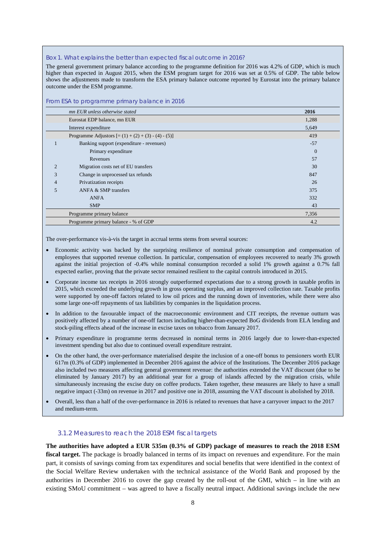#### Box 1. What explains the better than expected fiscal outcome in 2016?

The general government primary balance according to the programme definition for 2016 was 4.2% of GDP, which is much higher than expected in August 2015, when the ESM program target for 2016 was set at 0.5% of GDP. The table below shows the adjustments made to transform the ESA primary balance outcome reported by Eurostat into the primary balance outcome under the ESM programme.

|                | mn EUR unless otherwise stated                       | 2016     |  |  |  |  |  |
|----------------|------------------------------------------------------|----------|--|--|--|--|--|
|                | Eurostat EDP balance, mn EUR                         | 1,288    |  |  |  |  |  |
|                | Interest expenditure<br>5,649                        |          |  |  |  |  |  |
|                | Programme Adjustors $[=(1) + (2) + (3) - (4) - (5)]$ | 419      |  |  |  |  |  |
|                | Banking support (expenditure - revenues)             | $-57$    |  |  |  |  |  |
|                | Primary expenditure                                  | $\theta$ |  |  |  |  |  |
|                | 57<br>Revenues                                       |          |  |  |  |  |  |
| $\overline{2}$ | Migration costs net of EU transfers                  | 30       |  |  |  |  |  |
| 3              | Change in unprocessed tax refunds                    | 847      |  |  |  |  |  |
| $\overline{4}$ | Privatization receipts                               | 26       |  |  |  |  |  |
| 5              | ANFA & SMP transfers                                 | 375      |  |  |  |  |  |
|                | <b>ANFA</b><br>332                                   |          |  |  |  |  |  |
|                | 43<br><b>SMP</b>                                     |          |  |  |  |  |  |
|                | 7,356<br>Programme primary balance                   |          |  |  |  |  |  |
|                | Programme primary balance - % of GDP                 | 4.2      |  |  |  |  |  |

#### From ESA to programme primary balance in 2016

The over-performance vis-à-vis the target in accrual terms stems from several sources:

- Economic activity was backed by the surprising resilience of nominal private consumption and compensation of employees that supported revenue collection. In particular, compensation of employees recovered to nearly 3% growth against the initial projection of -0.4% while nominal consumption recorded a solid 1% growth against a 0.7% fall expected earlier, proving that the private sector remained resilient to the capital controls introduced in 2015.
- Corporate income tax receipts in 2016 strongly outperformed expectations due to a strong growth in taxable profits in 2015, which exceeded the underlying growth in gross operating surplus, and an improved collection rate. Taxable profits were supported by one-off factors related to low oil prices and the running down of inventories, while there were also some large one-off repayments of tax liabilities by companies in the liquidation process.
- In addition to the favourable impact of the macroeconomic environment and CIT receipts, the revenue outturn was positively affected by a number of one-off factors including higher-than-expected BoG dividends from ELA lending and stock-piling effects ahead of the increase in excise taxes on tobacco from January 2017.
- Primary expenditure in programme terms decreased in nominal terms in 2016 largely due to lower-than-expected investment spending but also due to continued overall expenditure restraint.
- On the other hand, the over-performance materialised despite the inclusion of a one-off bonus to pensioners worth EUR 617m (0.3% of GDP) implemented in December 2016 against the advice of the Institutions. The December 2016 package also included two measures affecting general government revenue: the authorities extended the VAT discount (due to be eliminated by January 2017) by an additional year for a group of islands affected by the migration crisis, while simultaneously increasing the excise duty on coffee products. Taken together, these measures are likely to have a small negative impact (-33m) on revenue in 2017 and positive one in 2018, assuming the VAT discount is abolished by 2018.
- Overall, less than a half of the over-performance in 2016 is related to revenues that have a carryover impact to the 2017 and medium-term.

#### 3.1.2 Measures to reach the 2018 ESM fiscal targets

**The authorities have adopted a EUR 535m (0.3% of GDP) package of measures to reach the 2018 ESM fiscal target.** The package is broadly balanced in terms of its impact on revenues and expenditure. For the main part, it consists of savings coming from tax expenditures and social benefits that were identified in the context of the Social Welfare Review undertaken with the technical assistance of the World Bank and proposed by the authorities in December 2016 to cover the gap created by the roll-out of the GMI, which – in line with an existing SMoU commitment – was agreed to have a fiscally neutral impact. Additional savings include the new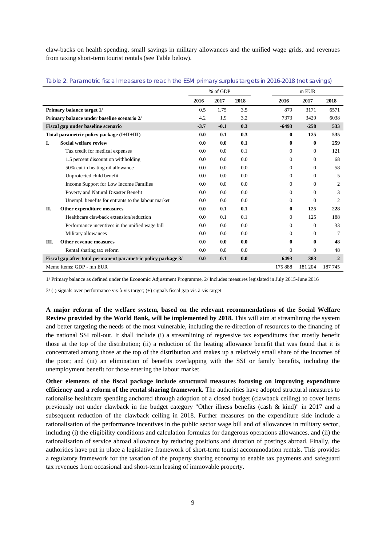claw-backs on health spending, small savings in military allowances and the unified wage grids, and revenues from taxing short-term tourist rentals (see Table below).

|    |                                                               |        | % of GDP |      |                | m EUR        |         |
|----|---------------------------------------------------------------|--------|----------|------|----------------|--------------|---------|
|    |                                                               | 2016   | 2017     | 2018 | 2016           | 2017         | 2018    |
|    | Primary balance target 1/                                     | 0.5    | 1.75     | 3.5  | 879            | 3171         | 6571    |
|    | Primary balance under baseline scenario 2/                    | 4.2    | 1.9      | 3.2  | 7373           | 3429         | 6038    |
|    | Fiscal gap under baseline scenario                            | $-3.7$ | $-0.1$   | 0.3  | $-6493$        | $-258$       | 533     |
|    | Total parametric policy package (I+II+III)                    | 0.0    | 0.1      | 0.3  | $\mathbf{0}$   | 125          | 535     |
| I. | Social welfare review                                         | 0.0    | 0.0      | 0.1  | $\bf{0}$       | $\bf{0}$     | 259     |
|    | Tax credit for medical expenses                               | 0.0    | 0.0      | 0.1  | $\Omega$       | 0            | 121     |
|    | 1.5 percent discount on withholding                           | 0.0    | 0.0      | 0.0  | $\Omega$       | $\Omega$     | 68      |
|    | 50% cut in heating oil allowance                              | 0.0    | 0.0      | 0.0  | $\theta$       | $\mathbf{0}$ | 58      |
|    | Unprotected child benefit                                     | 0.0    | 0.0      | 0.0  | $\overline{0}$ | $\mathbf{0}$ | 5       |
|    | Income Support for Low Income Families                        | 0.0    | 0.0      | 0.0  | $\Omega$       | $\Omega$     | 2       |
|    | Poverty and Natural Disaster Benefit                          | 0.0    | 0.0      | 0.0  | $\mathbf{0}$   | $\Omega$     | 3       |
|    | Unempl. benefits for entrants to the labour market            | 0.0    | 0.0      | 0.0  | $\overline{0}$ | $\mathbf{0}$ | 2       |
| П. | Other expenditure measures                                    | 0.0    | 0.1      | 0.1  | 0              | 125          | 228     |
|    | Healthcare clawback extension/reduction                       | 0.0    | 0.1      | 0.1  | $\theta$       | 125          | 188     |
|    | Performance incentives in the unified wage bill               | 0.0    | 0.0      | 0.0  | $\overline{0}$ | $\mathbf{0}$ | 33      |
|    | Military allowances                                           | 0.0    | 0.0      | 0.0  | $\Omega$       | $\Omega$     | 7       |
| Ш. | <b>Other revenue measures</b>                                 | 0.0    | 0.0      | 0.0  | 0              | 0            | 48      |
|    | Rental sharing tax reform                                     | 0.0    | 0.0      | 0.0  | $\Omega$       | $\theta$     | 48      |
|    | Fiscal gap after total permanent parametric policy package 3/ | 0.0    | $-0.1$   | 0.0  | $-6493$        | $-383$       | $-2$    |
|    | Memo items: GDP - mn EUR                                      |        |          |      | 175 888        | 181 204      | 187 745 |

Table 2. Parametric fiscal measures to reach the ESM primary surplus targets in 2016-2018 (net savings)

1/ Primary balance as defined under the Economic Adjustment Programme, 2/ Includes measures legislated in July 2015-June 2016

3/ (-) signals over-performance vis-à-vis target; (+) signals fiscal gap vis-à-vis target

**A major reform of the welfare system, based on the relevant recommendations of the Social Welfare Review provided by the World Bank, will be implemented by 2018.** This will aim at streamlining the system and better targeting the needs of the most vulnerable, including the re-direction of resources to the financing of the national SSI roll-out. It shall include (i) a streamlining of regressive tax expenditures that mostly benefit those at the top of the distribution; (ii) a reduction of the heating allowance benefit that was found that it is concentrated among those at the top of the distribution and makes up a relatively small share of the incomes of the poor; and (iii) an elimination of benefits overlapping with the SSI or family benefits, including the unemployment benefit for those entering the labour market.

**Other elements of the fiscal package include structural measures focusing on improving expenditure efficiency and a reform of the rental sharing framework.** The authorities have adopted structural measures to rationalise healthcare spending anchored through adoption of a closed budget (clawback ceiling) to cover items previously not under clawback in the budget category "Other illness benefits (cash & kind)" in 2017 and a subsequent reduction of the clawback ceiling in 2018. Further measures on the expenditure side include a rationalisation of the performance incentives in the public sector wage bill and of allowances in military sector, including (i) the eligibility conditions and calculation formulas for dangerous operations allowances, and (ii) the rationalisation of service abroad allowance by reducing positions and duration of postings abroad. Finally, the authorities have put in place a legislative framework of short-term tourist accommodation rentals. This provides a regulatory framework for the taxation of the property sharing economy to enable tax payments and safeguard tax revenues from occasional and short-term leasing of immovable property.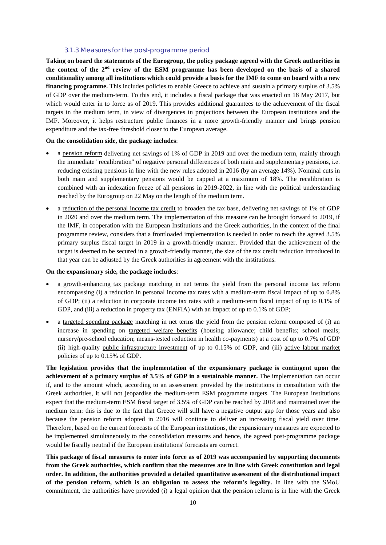#### 3.1.3 Measures for the post-programme period

**Taking on board the statements of the Eurogroup, the policy package agreed with the Greek authorities in the context of the 2nd review of the ESM programme has been developed on the basis of a shared conditionality among all institutions which could provide a basis for the IMF to come on board with a new financing programme.** This includes policies to enable Greece to achieve and sustain a primary surplus of 3.5% of GDP over the medium-term. To this end, it includes a fiscal package that was enacted on 18 May 2017, but which would enter in to force as of 2019. This provides additional guarantees to the achievement of the fiscal targets in the medium term, in view of divergences in projections between the European institutions and the IMF. Moreover, it helps restructure public finances in a more growth-friendly manner and brings pension expenditure and the tax-free threshold closer to the European average.

#### **On the consolidation side, the package includes**:

- a pension reform delivering net savings of 1% of GDP in 2019 and over the medium term, mainly through the immediate "recalibration" of negative personal differences of both main and supplementary pensions, i.e. reducing existing pensions in line with the new rules adopted in 2016 (by an average 14%). Nominal cuts in both main and supplementary pensions would be capped at a maximum of 18%. The recalibration is combined with an indexation freeze of all pensions in 2019-2022, in line with the political understanding reached by the Eurogroup on 22 May on the length of the medium term.
- a reduction of the personal income tax credit to broaden the tax base, delivering net savings of 1% of GDP in 2020 and over the medium term. The implementation of this measure can be brought forward to 2019, if the IMF, in cooperation with the European Institutions and the Greek authorities, in the context of the final programme review, considers that a frontloaded implementation is needed in order to reach the agreed 3.5% primary surplus fiscal target in 2019 in a growth-friendly manner. Provided that the achievement of the target is deemed to be secured in a growth-friendly manner, the size of the tax credit reduction introduced in that year can be adjusted by the Greek authorities in agreement with the institutions.

#### **On the expansionary side, the package includes**:

- a growth-enhancing tax package matching in net terms the yield from the personal income tax reform encompassing (i) a reduction in personal income tax rates with a medium-term fiscal impact of up to 0.8% of GDP; (ii) a reduction in corporate income tax rates with a medium-term fiscal impact of up to 0.1% of GDP, and (iii) a reduction in property tax (ENFIA) with an impact of up to 0.1% of GDP;
- a targeted spending package matching in net terms the yield from the pension reform composed of (i) an increase in spending on targeted welfare benefits (housing allowance; child benefits; school meals; nursery/pre-school education; means-tested reduction in health co-payments) at a cost of up to 0.7% of GDP (ii) high-quality public infrastructure investment of up to 0.15% of GDP, and (iii) active labour market policies of up to 0.15% of GDP.

**The legislation provides that the implementation of the expansionary package is contingent upon the achievement of a primary surplus of 3.5% of GDP in a sustainable manner.** The implementation can occur if, and to the amount which, according to an assessment provided by the institutions in consultation with the Greek authorities, it will not jeopardise the medium-term ESM programme targets. The European institutions expect that the medium-term ESM fiscal target of 3.5% of GDP can be reached by 2018 and maintained over the medium term: this is due to the fact that Greece will still have a negative output gap for those years and also because the pension reform adopted in 2016 will continue to deliver an increasing fiscal yield over time. Therefore, based on the current forecasts of the European institutions, the expansionary measures are expected to be implemented simultaneously to the consolidation measures and hence, the agreed post-programme package would be fiscally neutral if the European institutions' forecasts are correct.

**This package of fiscal measures to enter into force as of 2019 was accompanied by supporting documents from the Greek authorities, which confirm that the measures are in line with Greek constitution and legal order. In addition, the authorities provided a detailed quantitative assessment of the distributional impact of the pension reform, which is an obligation to assess the reform's legality.** In line with the SMoU commitment, the authorities have provided (i) a legal opinion that the pension reform is in line with the Greek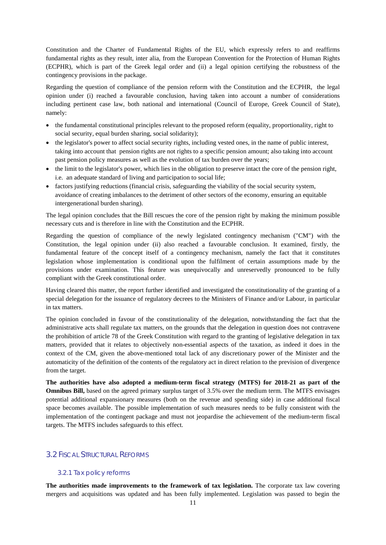Constitution and the Charter of Fundamental Rights of the EU, which expressly refers to and reaffirms fundamental rights as they result, inter alia, from the European Convention for the Protection of Human Rights (ECPHR), which is part of the Greek legal order and (ii) a legal opinion certifying the robustness of the contingency provisions in the package.

Regarding the question of compliance of the pension reform with the Constitution and the ECPHR, the legal opinion under (i) reached a favourable conclusion, having taken into account a number of considerations including pertinent case law, both national and international (Council of Europe, Greek Council of State), namely:

- the fundamental constitutional principles relevant to the proposed reform (equality, proportionality, right to social security, equal burden sharing, social solidarity);
- the legislator's power to affect social security rights, including vested ones, in the name of public interest, taking into account that pension rights are not rights to a specific pension amount; also taking into account past pension policy measures as well as the evolution of tax burden over the years;
- the limit to the legislator's power, which lies in the obligation to preserve intact the core of the pension right, i.e. an adequate standard of living and participation to social life;
- factors justifying reductions (financial crisis, safeguarding the viability of the social security system, avoidance of creating imbalances to the detriment of other sectors of the economy, ensuring an equitable intergenerational burden sharing).

The legal opinion concludes that the Bill rescues the core of the pension right by making the minimum possible necessary cuts and is therefore in line with the Constitution and the ECPHR.

Regarding the question of compliance of the newly legislated contingency mechanism ("CM") with the Constitution, the legal opinion under (ii) also reached a favourable conclusion. It examined, firstly, the fundamental feature of the concept itself of a contingency mechanism, namely the fact that it constitutes legislation whose implementation is conditional upon the fulfilment of certain assumptions made by the provisions under examination. This feature was unequivocally and unreservedly pronounced to be fully compliant with the Greek constitutional order.

Having cleared this matter, the report further identified and investigated the constitutionality of the granting of a special delegation for the issuance of regulatory decrees to the Ministers of Finance and/or Labour, in particular in tax matters.

The opinion concluded in favour of the constitutionality of the delegation, notwithstanding the fact that the administrative acts shall regulate tax matters, on the grounds that the delegation in question does not contravene the prohibition of article 78 of the Greek Constitution with regard to the granting of legislative delegation in tax matters, provided that it relates to objectively non-essential aspects of the taxation, as indeed it does in the context of the CM, given the above-mentioned total lack of any discretionary power of the Minister and the automaticity of the definition of the contents of the regulatory act in direct relation to the prevision of divergence from the target.

**The authorities have also adopted a medium-term fiscal strategy (MTFS) for 2018-21 as part of the Omnibus Bill,** based on the agreed primary surplus target of 3.5% over the medium term. The MTFS envisages potential additional expansionary measures (both on the revenue and spending side) in case additional fiscal space becomes available. The possible implementation of such measures needs to be fully consistent with the implementation of the contingent package and must not jeopardise the achievement of the medium-term fiscal targets. The MTFS includes safeguards to this effect.

#### 3.2 FISCAL STRUCTURAL REFORMS

#### 3.2.1 Tax policy reforms

**The authorities made improvements to the framework of tax legislation.** The corporate tax law covering mergers and acquisitions was updated and has been fully implemented. Legislation was passed to begin the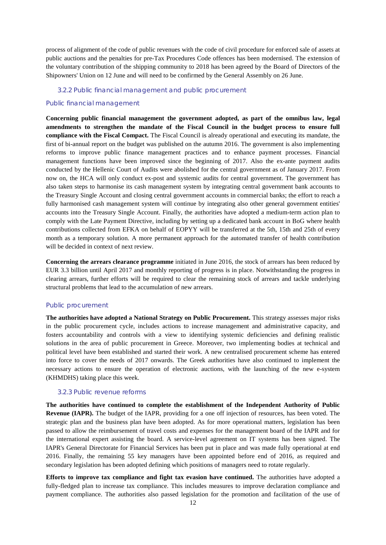process of alignment of the code of public revenues with the code of civil procedure for enforced sale of assets at public auctions and the penalties for pre-Tax Procedures Code offences has been modernised. The extension of the voluntary contribution of the shipping community to 2018 has been agreed by the Board of Directors of the Shipowners' Union on 12 June and will need to be confirmed by the General Assembly on 26 June.

#### 3.2.2 Public financial management and public procurement

#### *Public financial management*

**Concerning public financial management the government adopted, as part of the omnibus law, legal amendments to strengthen the mandate of the Fiscal Council in the budget process to ensure full compliance with the Fiscal Compact.** The Fiscal Council is already operational and executing its mandate, the first of bi-annual report on the budget was published on the autumn 2016. The government is also implementing reforms to improve public finance management practices and to enhance payment processes. Financial management functions have been improved since the beginning of 2017. Also the ex-ante payment audits conducted by the Hellenic Court of Audits were abolished for the central government as of January 2017. From now on, the HCA will only conduct ex-post and systemic audits for central government. The government has also taken steps to harmonise its cash management system by integrating central government bank accounts to the Treasury Single Account and closing central government accounts in commercial banks; the effort to reach a fully harmonised cash management system will continue by integrating also other general government entities' accounts into the Treasury Single Account. Finally, the authorities have adopted a medium-term action plan to comply with the Late Payment Directive, including by setting up a dedicated bank account in BoG where health contributions collected from EFKA on behalf of EOPYY will be transferred at the 5th, 15th and 25th of every month as a temporary solution. A more permanent approach for the automated transfer of health contribution will be decided in context of next review.

**Concerning the arrears clearance programme** initiated in June 2016, the stock of arrears has been reduced by EUR 3.3 billion until April 2017 and monthly reporting of progress is in place. Notwithstanding the progress in clearing arrears, further efforts will be required to clear the remaining stock of arrears and tackle underlying structural problems that lead to the accumulation of new arrears.

#### *Public procurement*

**The authorities have adopted a National Strategy on Public Procurement.** This strategy assesses major risks in the public procurement cycle, includes actions to increase management and administrative capacity, and fosters accountability and controls with a view to identifying systemic deficiencies and defining realistic solutions in the area of public procurement in Greece. Moreover, two implementing bodies at technical and political level have been established and started their work. A new centralised procurement scheme has entered into force to cover the needs of 2017 onwards. The Greek authorities have also continued to implement the necessary actions to ensure the operation of electronic auctions, with the launching of the new e-system (KHMDHS) taking place this week.

#### 3.2.3 Public revenue reforms

**The authorities have continued to complete the establishment of the Independent Authority of Public Revenue (IAPR).** The budget of the IAPR, providing for a one off injection of resources, has been voted. The strategic plan and the business plan have been adopted. As for more operational matters, legislation has been passed to allow the reimbursement of travel costs and expenses for the management board of the IAPR and for the international expert assisting the board. A service-level agreement on IT systems has been signed. The IAPR's General Directorate for Financial Services has been put in place and was made fully operational at end 2016. Finally, the remaining 55 key managers have been appointed before end of 2016, as required and secondary legislation has been adopted defining which positions of managers need to rotate regularly.

**Efforts to improve tax compliance and fight tax evasion have continued.** The authorities have adopted a fully-fledged plan to increase tax compliance. This includes measures to improve declaration compliance and payment compliance. The authorities also passed legislation for the promotion and facilitation of the use of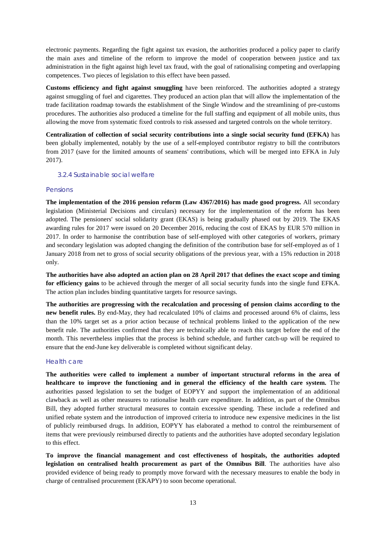electronic payments. Regarding the fight against tax evasion, the authorities produced a policy paper to clarify the main axes and timeline of the reform to improve the model of cooperation between justice and tax administration in the fight against high level tax fraud, with the goal of rationalising competing and overlapping competences. Two pieces of legislation to this effect have been passed.

**Customs efficiency and fight against smuggling** have been reinforced. The authorities adopted a strategy against smuggling of fuel and cigarettes. They produced an action plan that will allow the implementation of the trade facilitation roadmap towards the establishment of the Single Window and the streamlining of pre-customs procedures. The authorities also produced a timeline for the full staffing and equipment of all mobile units, thus allowing the move from systematic fixed controls to risk assessed and targeted controls on the whole territory.

**Centralization of collection of social security contributions into a single social security fund (EFKA)** has been globally implemented, notably by the use of a self-employed contributor registry to bill the contributors from 2017 (save for the limited amounts of seamens' contributions, which will be merged into EFKA in July 2017).

#### 3.2.4 Sustainable social welfare

#### Pensions

**The implementation of the 2016 pension reform (Law 4367/2016) has made good progress.** All secondary legislation (Ministerial Decisions and circulars) necessary for the implementation of the reform has been adopted. The pensioners' social solidarity grant (EKAS) is being gradually phased out by 2019. The EKAS awarding rules for 2017 were issued on 20 December 2016, reducing the cost of EKAS by EUR 570 million in 2017. In order to harmonise the contribution base of self-employed with other categories of workers, primary and secondary legislation was adopted changing the definition of the contribution base for self-employed as of 1 January 2018 from net to gross of social security obligations of the previous year, with a 15% reduction in 2018 only.

**The authorities have also adopted an action plan on 28 April 2017 that defines the exact scope and timing for efficiency gains** to be achieved through the merger of all social security funds into the single fund EFKA. The action plan includes binding quantitative targets for resource savings.

**The authorities are progressing with the recalculation and processing of pension claims according to the new benefit rules.** By end-May, they had recalculated 10% of claims and processed around 6% of claims, less than the 10% target set as a prior action because of technical problems linked to the application of the new benefit rule. The authorities confirmed that they are technically able to reach this target before the end of the month. This nevertheless implies that the process is behind schedule, and further catch-up will be required to ensure that the end-June key deliverable is completed without significant delay.

#### Health care

**The authorities were called to implement a number of important structural reforms in the area of healthcare to improve the functioning and in general the efficiency of the health care system.** The authorities passed legislation to set the budget of EOPYY and support the implementation of an additional clawback as well as other measures to rationalise health care expenditure. In addition, as part of the Omnibus Bill, they adopted further structural measures to contain excessive spending. These include a redefined and unified rebate system and the introduction of improved criteria to introduce new expensive medicines in the list of publicly reimbursed drugs. In addition, EOPYY has elaborated a method to control the reimbursement of items that were previously reimbursed directly to patients and the authorities have adopted secondary legislation to this effect.

**To improve the financial management and cost effectiveness of hospitals, the authorities adopted legislation on centralised health procurement as part of the Omnibus Bill**. The authorities have also provided evidence of being ready to promptly move forward with the necessary measures to enable the body in charge of centralised procurement (EKAPY) to soon become operational.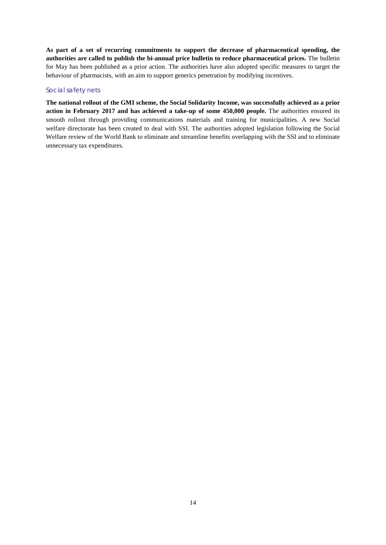**As part of a set of recurring commitments to support the decrease of pharmaceutical spending, the authorities are called to publish the bi-annual price bulletin to reduce pharmaceutical prices.** The bulletin for May has been published as a prior action. The authorities have also adopted specific measures to target the behaviour of pharmacists, with an aim to support generics penetration by modifying incentives.

#### Social safety nets

**The national rollout of the GMI scheme, the Social Solidarity Income, was successfully achieved as a prior action in February 2017 and has achieved a take-up of some 450,000 people.** The authorities ensured its smooth rollout through providing communications materials and training for municipalities. A new Social welfare directorate has been created to deal with SSI. The authorities adopted legislation following the Social Welfare review of the World Bank to eliminate and streamline benefits overlapping with the SSI and to eliminate unnecessary tax expenditures.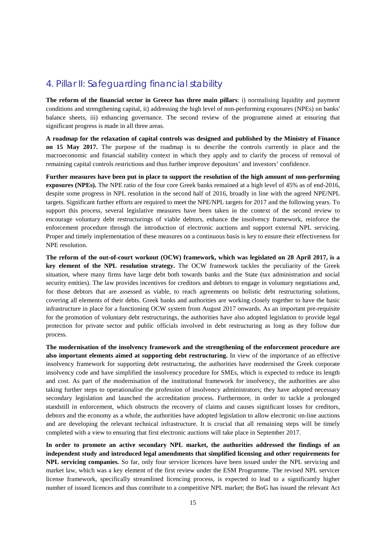## 4. Pillar II: Safeguarding financial stability

**The reform of the financial sector in Greece has three main pillars**: i) normalising liquidity and payment conditions and strengthening capital, ii) addressing the high level of non-performing exposures (NPEs) on banks' balance sheets, iii) enhancing governance. The second review of the programme aimed at ensuring that significant progress is made in all three areas.

**A roadmap for the relaxation of capital controls was designed and published by the Ministry of Finance on 15 May 2017.** The purpose of the roadmap is to describe the controls currently in place and the macroeconomic and financial stability context in which they apply and to clarify the process of removal of remaining capital controls restrictions and thus further improve depositors' and investors' confidence.

**Further measures have been put in place to support the resolution of the high amount of non-performing exposures (NPEs).** The NPE ratio of the four core Greek banks remained at a high level of 45% as of end-2016, despite some progress in NPL resolution in the second half of 2016, broadly in line with the agreed NPE/NPL targets. Significant further efforts are required to meet the NPE/NPL targets for 2017 and the following years. To support this process, several legislative measures have been taken in the context of the second review to encourage voluntary debt restructurings of viable debtors, enhance the insolvency framework, reinforce the enforcement procedure through the introduction of electronic auctions and support external NPL servicing. Proper and timely implementation of these measures on a continuous basis is key to ensure their effectiveness for NPE resolution.

**The reform of the out-of-court workout (OCW) framework, which was legislated on 28 April 2017, is a key element of the NPL resolution strategy.** The OCW framework tackles the peculiarity of the Greek situation, where many firms have large debt both towards banks and the State (tax administration and social security entities). The law provides incentives for creditors and debtors to engage in voluntary negotiations and, for those debtors that are assessed as viable, to reach agreements on holistic debt restructuring solutions, covering all elements of their debts. Greek banks and authorities are working closely together to have the basic infrastructure in place for a functioning OCW system from August 2017 onwards. As an important pre-requisite for the promotion of voluntary debt restructurings, the authorities have also adopted legislation to provide legal protection for private sector and public officials involved in debt restructuring as long as they follow due process.

**The modernisation of the insolvency framework and the strengthening of the enforcement procedure are also important elements aimed at supporting debt restructuring.** In view of the importance of an effective insolvency framework for supporting debt restructuring, the authorities have modernised the Greek corporate insolvency code and have simplified the insolvency procedure for SMEs, which is expected to reduce its length and cost. As part of the modernisation of the institutional framework for insolvency, the authorities are also taking further steps to operationalise the profession of insolvency administrators; they have adopted necessary secondary legislation and launched the accreditation process. Furthermore, in order to tackle a prolonged standstill in enforcement, which obstructs the recovery of claims and causes significant losses for creditors, debtors and the economy as a whole, the authorities have adopted legislation to allow electronic on-line auctions and are developing the relevant technical infrastructure. It is crucial that all remaining steps will be timely completed with a view to ensuring that first electronic auctions will take place in September 2017.

**In order to promote an active secondary NPL market, the authorities addressed the findings of an independent study and introduced legal amendments that simplified licensing and other requirements for NPL servicing companies.** So far, only four servicer licences have been issued under the NPL servicing and market law, which was a key element of the first review under the ESM Programme. The revised NPL servicer license framework, specifically streamlined licencing process, is expected to lead to a significantly higher number of issued licences and thus contribute to a competitive NPL market; the BoG has issued the relevant Act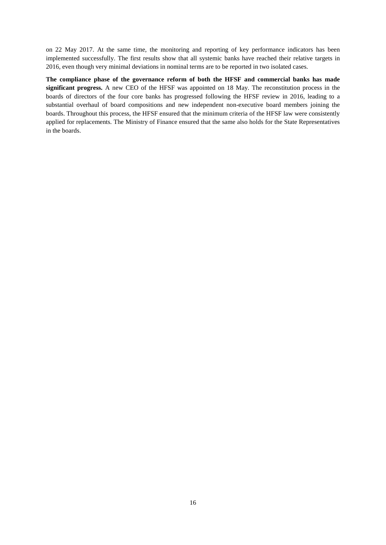on 22 May 2017. At the same time, the monitoring and reporting of key performance indicators has been implemented successfully. The first results show that all systemic banks have reached their relative targets in 2016, even though very minimal deviations in nominal terms are to be reported in two isolated cases.

**The compliance phase of the governance reform of both the HFSF and commercial banks has made significant progress.** A new CEO of the HFSF was appointed on 18 May. The reconstitution process in the boards of directors of the four core banks has progressed following the HFSF review in 2016, leading to a substantial overhaul of board compositions and new independent non-executive board members joining the boards. Throughout this process, the HFSF ensured that the minimum criteria of the HFSF law were consistently applied for replacements. The Ministry of Finance ensured that the same also holds for the State Representatives in the boards.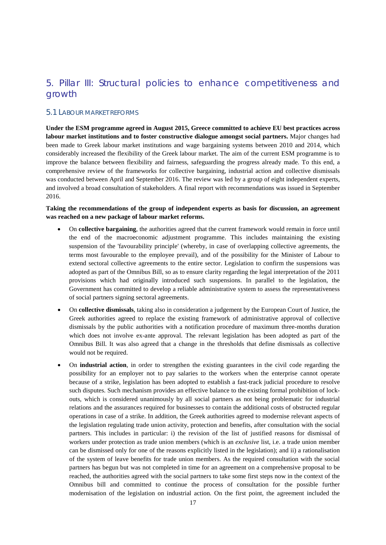## 5. Pillar III: Structural policies to enhance competitiveness and growth

#### 5.1 LABOUR MARKET REFORMS

**Under the ESM programme agreed in August 2015, Greece committed to achieve EU best practices across labour market institutions and to foster constructive dialogue amongst social partners.** Major changes had been made to Greek labour market institutions and wage bargaining systems between 2010 and 2014, which considerably increased the flexibility of the Greek labour market. The aim of the current ESM programme is to improve the balance between flexibility and fairness, safeguarding the progress already made. To this end, a comprehensive review of the frameworks for collective bargaining, industrial action and collective dismissals was conducted between April and September 2016. The review was led by a group of eight independent experts, and involved a broad consultation of stakeholders. A final report with recommendations was issued in September 2016.

#### **Taking the recommendations of the group of independent experts as basis for discussion, an agreement was reached on a new package of labour market reforms.**

- On **collective bargaining**, the authorities agreed that the current framework would remain in force until the end of the macroeconomic adjustment programme. This includes maintaining the existing suspension of the 'favourability principle' (whereby, in case of overlapping collective agreements, the terms most favourable to the employee prevail), and of the possibility for the Minister of Labour to extend sectoral collective agreements to the entire sector. Legislation to confirm the suspensions was adopted as part of the Omnibus Bill, so as to ensure clarity regarding the legal interpretation of the 2011 provisions which had originally introduced such suspensions. In parallel to the legislation, the Government has committed to develop a reliable administrative system to assess the representativeness of social partners signing sectoral agreements.
- On **collective dismissals**, taking also in consideration a judgement by the European Court of Justice, the Greek authorities agreed to replace the existing framework of administrative approval of collective dismissals by the public authorities with a notification procedure of maximum three-months duration which does not involve ex-ante approval. The relevant legislation has been adopted as part of the Omnibus Bill. It was also agreed that a change in the thresholds that define dismissals as collective would not be required.
- On **industrial action**, in order to strengthen the existing guarantees in the civil code regarding the possibility for an employer not to pay salaries to the workers when the enterprise cannot operate because of a strike, legislation has been adopted to establish a fast-track judicial procedure to resolve such disputes. Such mechanism provides an effective balance to the existing formal prohibition of lockouts, which is considered unanimously by all social partners as not being problematic for industrial relations and the assurances required for businesses to contain the additional costs of obstructed regular operations in case of a strike. In addition, the Greek authorities agreed to modernise relevant aspects of the legislation regulating trade union activity, protection and benefits, after consultation with the social partners. This includes in particular: i) the revision of the list of justified reasons for dismissal of workers under protection as trade union members (which is an *exclusive* list, i.e. a trade union member can be dismissed only for one of the reasons explicitly listed in the legislation); and ii) a rationalisation of the system of leave benefits for trade union members. As the required consultation with the social partners has begun but was not completed in time for an agreement on a comprehensive proposal to be reached, the authorities agreed with the social partners to take some first steps now in the context of the Omnibus bill and committed to continue the process of consultation for the possible further modernisation of the legislation on industrial action. On the first point, the agreement included the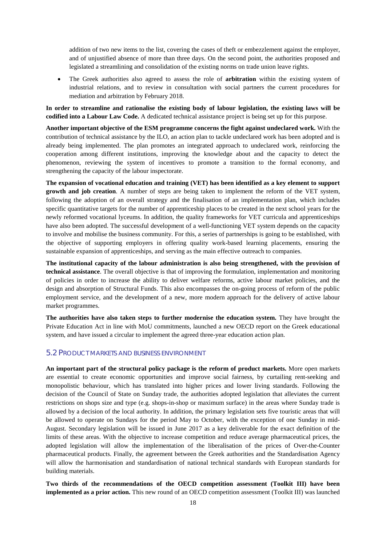addition of two new items to the list, covering the cases of theft or embezzlement against the employer, and of unjustified absence of more than three days. On the second point, the authorities proposed and legislated a streamlining and consolidation of the existing norms on trade union leave rights.

• The Greek authorities also agreed to assess the role of **arbitration** within the existing system of industrial relations, and to review in consultation with social partners the current procedures for mediation and arbitration by February 2018.

**In order to streamline and rationalise the existing body of labour legislation, the existing laws will be codified into a Labour Law Code.** A dedicated technical assistance project is being set up for this purpose.

**Another important objective of the ESM programme concerns the fight against undeclared work.** With the contribution of technical assistance by the ILO, an action plan to tackle undeclared work has been adopted and is already being implemented. The plan promotes an integrated approach to undeclared work, reinforcing the cooperation among different institutions, improving the knowledge about and the capacity to detect the phenomenon, reviewing the system of incentives to promote a transition to the formal economy, and strengthening the capacity of the labour inspectorate.

**The expansion of vocational education and training (VET) has been identified as a key element to support growth and job creation**. A number of steps are being taken to implement the reform of the VET system, following the adoption of an overall strategy and the finalisation of an implementation plan, which includes specific quantitative targets for the number of apprenticeship places to be created in the next school years for the newly reformed vocational lyceums. In addition, the quality frameworks for VET curricula and apprenticeships have also been adopted. The successful development of a well-functioning VET system depends on the capacity to involve and mobilise the business community. For this, a series of partnerships is going to be established, with the objective of supporting employers in offering quality work-based learning placements, ensuring the sustainable expansion of apprenticeships, and serving as the main effective outreach to companies.

**The institutional capacity of the labour administration is also being strengthened, with the provision of technical assistance**. The overall objective is that of improving the formulation, implementation and monitoring of policies in order to increase the ability to deliver welfare reforms, active labour market policies, and the design and absorption of Structural Funds. This also encompasses the on-going process of reform of the public employment service, and the development of a new, more modern approach for the delivery of active labour market programmes.

**The authorities have also taken steps to further modernise the education system.** They have brought the Private Education Act in line with MoU commitments, launched a new OECD report on the Greek educational system, and have issued a circular to implement the agreed three-year education action plan.

#### 5.2 PRODUCT MARKETS AND BUSINESS ENVIRONMENT

**An important part of the structural policy package is the reform of product markets.** More open markets are essential to create economic opportunities and improve social fairness, by curtailing rent-seeking and monopolistic behaviour, which has translated into higher prices and lower living standards. Following the decision of the Council of State on Sunday trade, the authorities adopted legislation that alleviates the current restrictions on shops size and type (e.g. shops-in-shop or maximum surface) in the areas where Sunday trade is allowed by a decision of the local authority. In addition, the primary legislation sets five touristic areas that will be allowed to operate on Sundays for the period May to October, with the exception of one Sunday in mid-August. Secondary legislation will be issued in June 2017 as a key deliverable for the exact definition of the limits of these areas. With the objective to increase competition and reduce average pharmaceutical prices, the adopted legislation will allow the implementation of the liberalisation of the prices of Over-the-Counter pharmaceutical products. Finally, the agreement between the Greek authorities and the Standardisation Agency will allow the harmonisation and standardisation of national technical standards with European standards for building materials.

**Two thirds of the recommendations of the OECD competition assessment (Toolkit III) have been implemented as a prior action.** This new round of an OECD competition assessment (Toolkit III) was launched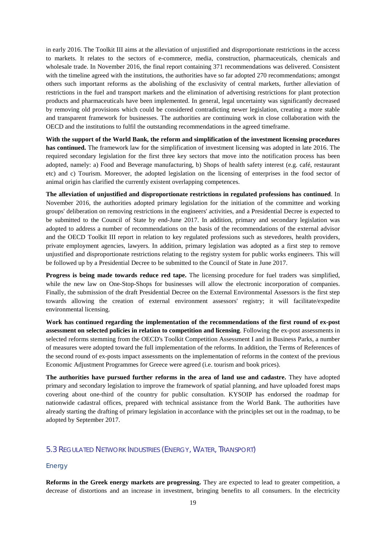in early 2016. The Toolkit III aims at the alleviation of unjustified and disproportionate restrictions in the access to markets. It relates to the sectors of e-commerce, media, construction, pharmaceuticals, chemicals and wholesale trade. In November 2016, the final report containing 371 recommendations was delivered. Consistent with the timeline agreed with the institutions, the authorities have so far adopted 270 recommendations; amongst others such important reforms as the abolishing of the exclusivity of central markets, further alleviation of restrictions in the fuel and transport markets and the elimination of advertising restrictions for plant protection products and pharmaceuticals have been implemented. In general, legal uncertainty was significantly decreased by removing old provisions which could be considered contradicting newer legislation, creating a more stable and transparent framework for businesses. The authorities are continuing work in close collaboration with the OECD and the institutions to fulfil the outstanding recommendations in the agreed timeframe.

**With the support of the World Bank, the reform and simplification of the investment licensing procedures has continued.** The framework law for the simplification of investment licensing was adopted in late 2016. The required secondary legislation for the first three key sectors that move into the notification process has been adopted, namely: a) Food and Beverage manufacturing, b) Shops of health safety interest (e.g. café, restaurant etc) and c) Tourism. Moreover, the adopted legislation on the licensing of enterprises in the food sector of animal origin has clarified the currently existent overlapping competences.

**The alleviation of unjustified and disproportionate restrictions in regulated professions has continued**. In November 2016, the authorities adopted primary legislation for the initiation of the committee and working groups' deliberation on removing restrictions in the engineers' activities, and a Presidential Decree is expected to be submitted to the Council of State by end-June 2017. In addition, primary and secondary legislation was adopted to address a number of recommendations on the basis of the recommendations of the external advisor and the OECD Toolkit III report in relation to key regulated professions such as stevedores, health providers, private employment agencies, lawyers. In addition, primary legislation was adopted as a first step to remove unjustified and disproportionate restrictions relating to the registry system for public works engineers. This will be followed up by a Presidential Decree to be submitted to the Council of State in June 2017.

**Progress is being made towards reduce red tape.** The licensing procedure for fuel traders was simplified, while the new law on One-Stop-Shops for businesses will allow the electronic incorporation of companies. Finally, the submission of the draft Presidential Decree on the External Environmental Assessors is the first step towards allowing the creation of external environment assessors' registry; it will facilitate/expedite environmental licensing.

**Work has continued regarding the implementation of the recommendations of the first round of ex-post assessment on selected policies in relation to competition and licensing**. Following the ex-post assessments in selected reforms stemming from the OECD's Toolkit Competition Assessment I and in Business Parks, a number of measures were adopted toward the full implementation of the reforms. In addition, the Terms of References of the second round of ex-posts impact assessments on the implementation of reforms in the context of the previous Economic Adjustment Programmes for Greece were agreed (i.e. tourism and book prices).

**The authorities have pursued further reforms in the area of land use and cadastre.** They have adopted primary and secondary legislation to improve the framework of spatial planning, and have uploaded forest maps covering about one-third of the country for public consultation. KYSOIP has endorsed the roadmap for nationwide cadastral offices, prepared with technical assistance from the World Bank. The authorities have already starting the drafting of primary legislation in accordance with the principles set out in the roadmap, to be adopted by September 2017.

#### 5.3 REGULATED NETWORK INDUSTRIES (ENERGY, WATER, TRANSPORT)

#### *Energy*

**Reforms in the Greek energy markets are progressing.** They are expected to lead to greater competition, a decrease of distortions and an increase in investment, bringing benefits to all consumers. In the electricity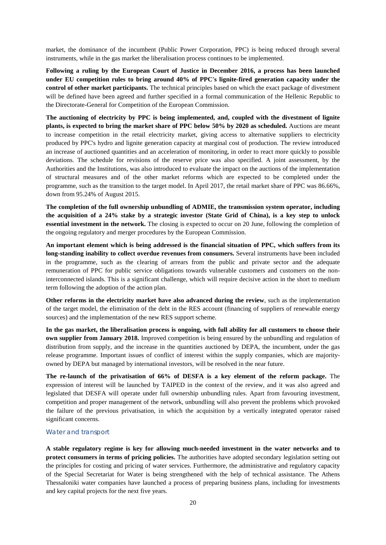market, the dominance of the incumbent (Public Power Corporation, PPC) is being reduced through several instruments, while in the gas market the liberalisation process continues to be implemented.

**Following a ruling by the European Court of Justice in December 2016, a process has been launched under EU competition rules to bring around 40% of PPC's lignite-fired generation capacity under the control of other market participants.** The technical principles based on which the exact package of divestment will be defined have been agreed and further specified in a formal communication of the Hellenic Republic to the Directorate-General for Competition of the European Commission.

**The auctioning of electricity by PPC is being implemented, and, coupled with the divestment of lignite plants, is expected to bring the market share of PPC below 50% by 2020 as scheduled.** Auctions are meant to increase competition in the retail electricity market, giving access to alternative suppliers to electricity produced by PPC's hydro and lignite generation capacity at marginal cost of production. The review introduced an increase of auctioned quantities and an acceleration of monitoring, in order to react more quickly to possible deviations. The schedule for revisions of the reserve price was also specified. A joint assessment, by the Authorities and the Institutions, was also introduced to evaluate the impact on the auctions of the implementation of structural measures and of the other market reforms which are expected to be completed under the programme, such as the transition to the target model. In April 2017, the retail market share of PPC was 86.66%, down from 95.24% of August 2015.

**The completion of the full ownership unbundling of ADMIE, the transmission system operator, including the acquisition of a 24% stake by a strategic investor (State Grid of China), is a key step to unlock essential investment in the network.** The closing is expected to occur on 20 June, following the completion of the ongoing regulatory and merger procedures by the European Commission.

**An important element which is being addressed is the financial situation of PPC, which suffers from its long-standing inability to collect overdue revenues from consumers.** Several instruments have been included in the programme, such as the clearing of arrears from the public and private sector and the adequate remuneration of PPC for public service obligations towards vulnerable customers and customers on the noninterconnected islands. This is a significant challenge, which will require decisive action in the short to medium term following the adoption of the action plan.

**Other reforms in the electricity market have also advanced during the review**, such as the implementation of the target model, the elimination of the debt in the RES account (financing of suppliers of renewable energy sources) and the implementation of the new RES support scheme.

**In the gas market, the liberalisation process is ongoing, with full ability for all customers to choose their own supplier from January 2018.** Improved competition is being ensured by the unbundling and regulation of distribution from supply, and the increase in the quantities auctioned by DEPA, the incumbent, under the gas release programme. Important issues of conflict of interest within the supply companies, which are majorityowned by DEPA but managed by international investors, will be resolved in the near future.

**The re-launch of the privatisation of 66% of DESFA is a key element of the reform package.** The expression of interest will be launched by TAIPED in the context of the review, and it was also agreed and legislated that DESFA will operate under full ownership unbundling rules. Apart from favouring investment, competition and proper management of the network, unbundling will also prevent the problems which provoked the failure of the previous privatisation, in which the acquisition by a vertically integrated operator raised significant concerns.

#### *Water and transport*

**A stable regulatory regime is key for allowing much-needed investment in the water networks and to protect consumers in terms of pricing policies.** The authorities have adopted secondary legislation setting out the principles for costing and pricing of water services. Furthermore, the administrative and regulatory capacity of the Special Secretariat for Water is being strengthened with the help of technical assistance. The Athens Thessaloniki water companies have launched a process of preparing business plans, including for investments and key capital projects for the next five years.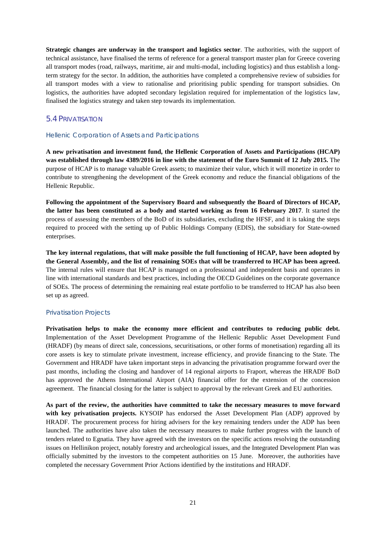**Strategic changes are underway in the transport and logistics sector**. The authorities, with the support of technical assistance, have finalised the terms of reference for a general transport master plan for Greece covering all transport modes (road, railways, maritime, air and multi-modal, including logistics) and thus establish a longterm strategy for the sector. In addition, the authorities have completed a comprehensive review of subsidies for all transport modes with a view to rationalise and prioritising public spending for transport subsidies. On logistics, the authorities have adopted secondary legislation required for implementation of the logistics law, finalised the logistics strategy and taken step towards its implementation.

#### 5.4 PRIVATISATION

#### *Hellenic Corporation of Assets and Participations*

**A new privatisation and investment fund, the Hellenic Corporation of Assets and Participations (HCAP) was established through law 4389/2016 in line with the statement of the Euro Summit of 12 July 2015.** The purpose of HCAP is to manage valuable Greek assets; to maximize their value, which it will monetize in order to contribute to strengthening the development of the Greek economy and reduce the financial obligations of the Hellenic Republic.

**Following the appointment of the Supervisory Board and subsequently the Board of Directors of HCAP, the latter has been constituted as a body and started working as from 16 February 2017**. It started the process of assessing the members of the BoD of its subsidiaries, excluding the HFSF, and it is taking the steps required to proceed with the setting up of Public Holdings Company (EDIS), the subsidiary for State-owned enterprises.

**The key internal regulations, that will make possible the full functioning of HCAP, have been adopted by the General Assembly, and the list of remaining SOEs that will be transferred to HCAP has been agreed.** The internal rules will ensure that HCAP is managed on a professional and independent basis and operates in line with international standards and best practices, including the OECD Guidelines on the corporate governance of SOEs. The process of determining the remaining real estate portfolio to be transferred to HCAP has also been set up as agreed.

#### *Privatisation Projects*

**Privatisation helps to make the economy more efficient and contributes to reducing public debt.** Implementation of the Asset Development Programme of the Hellenic Republic Asset Development Fund (HRADF) (by means of direct sale, concessions, securitisations, or other forms of monetisation) regarding all its core assets is key to stimulate private investment, increase efficiency, and provide financing to the State. The Government and HRADF have taken important steps in advancing the privatisation programme forward over the past months, including the closing and handover of 14 regional airports to Fraport, whereas the HRADF BoD has approved the Athens International Airport (AIA) financial offer for the extension of the concession agreement. The financial closing for the latter is subject to approval by the relevant Greek and EU authorities.

**As part of the review, the authorities have committed to take the necessary measures to move forward with key privatisation projects.** KYSOIP has endorsed the Asset Development Plan (ADP) approved by HRADF. The procurement process for hiring advisers for the key remaining tenders under the ADP has been launched. The authorities have also taken the necessary measures to make further progress with the launch of tenders related to Egnatia. They have agreed with the investors on the specific actions resolving the outstanding issues on Hellinikon project, notably forestry and archeological issues, and the Integrated Development Plan was officially submitted by the investors to the competent authorities on 15 June. Moreover, the authorities have completed the necessary Government Prior Actions identified by the institutions and HRADF.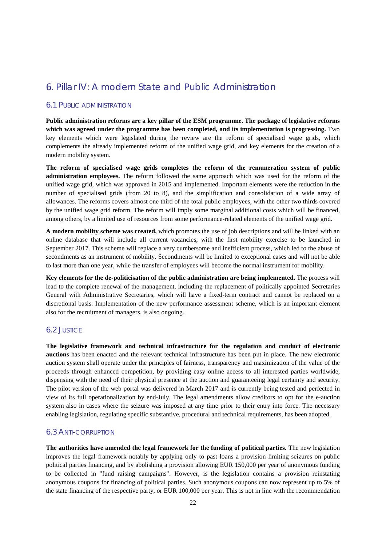## 6. Pillar IV: A modern State and Public Administration

#### 6.1 PUBLIC ADMINISTRATION

**Public administration reforms are a key pillar of the ESM programme. The package of legislative reforms which was agreed under the programme has been completed, and its implementation is progressing.** Two key elements which were legislated during the review are the reform of specialised wage grids, which complements the already implemented reform of the unified wage grid, and key elements for the creation of a modern mobility system.

**The reform of specialised wage grids completes the reform of the remuneration system of public administration employees.** The reform followed the same approach which was used for the reform of the unified wage grid, which was approved in 2015 and implemented. Important elements were the reduction in the number of specialised grids (from 20 to 8), and the simplification and consolidation of a wide array of allowances. The reforms covers almost one third of the total public employees, with the other two thirds covered by the unified wage grid reform. The reform will imply some marginal additional costs which will be financed, among others, by a limited use of resources from some performance-related elements of the unified wage grid.

**A modern mobility scheme was created,** which promotes the use of job descriptions and will be linked with an online database that will include all current vacancies, with the first mobility exercise to be launched in September 2017. This scheme will replace a very cumbersome and inefficient process, which led to the abuse of secondments as an instrument of mobility. Secondments will be limited to exceptional cases and will not be able to last more than one year, while the transfer of employees will become the normal instrument for mobility.

**Key elements for the de-politicisation of the public administration are being implemented.** The process will lead to the complete renewal of the management, including the replacement of politically appointed Secretaries General with Administrative Secretaries, which will have a fixed-term contract and cannot be replaced on a discretional basis. Implementation of the new performance assessment scheme, which is an important element also for the recruitment of managers, is also ongoing.

#### 6.2 JUSTICE

**The legislative framework and technical infrastructure for the regulation and conduct of electronic auctions** has been enacted and the relevant technical infrastructure has been put in place. The new electronic auction system shall operate under the principles of fairness, transparency and maximization of the value of the proceeds through enhanced competition, by providing easy online access to all interested parties worldwide, dispensing with the need of their physical presence at the auction and guaranteeing legal certainty and security. The pilot version of the web portal was delivered in March 2017 and is currently being tested and perfected in view of its full operationalization by end-July. The legal amendments allow creditors to opt for the e-auction system also in cases where the seizure was imposed at any time prior to their entry into force. The necessary enabling legislation, regulating specific substantive, procedural and technical requirements, has been adopted.

#### 6.3 ANTI-CORRUPTION

**The authorities have amended the legal framework for the funding of political parties.** The new legislation improves the legal framework notably by applying only to past loans a provision limiting seizures on public political parties financing, and by abolishing a provision allowing EUR 150,000 per year of anonymous funding to be collected in "fund raising campaigns". However, is the legislation contains a provision reinstating anonymous coupons for financing of political parties. Such anonymous coupons can now represent up to 5% of the state financing of the respective party, or EUR 100,000 per year. This is not in line with the recommendation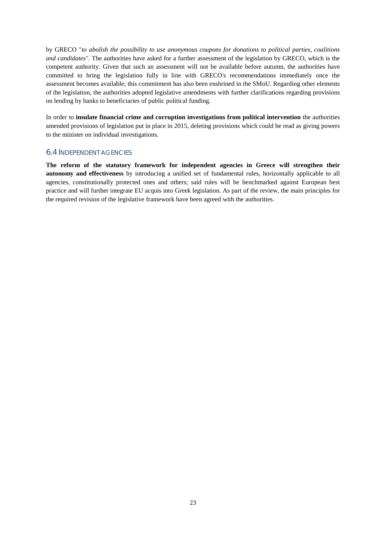by GRECO "*to abolish the possibility to use anonymous coupons for donations to political parties, coalitions and candidates".* The authorities have asked for a further assessment of the legislation by GRECO, which is the competent authority. Given that such an assessment will not be available before autumn, the authorities have committed to bring the legislation fully in line with GRECO's recommendations immediately once the assessment becomes available; this commitment has also been enshrined in the SMoU. Regarding other elements of the legislation, the authorities adopted legislative amendments with further clarifications regarding provisions on lending by banks to beneficiaries of public political funding.

In order to **insulate financial crime and corruption investigations from political intervention** the authorities amended provisions of legislation put in place in 2015, deleting provisions which could be read as giving powers to the minister on individual investigations.

#### 6.4 INDEPENDENT AGENCIES

**The reform of the statutory framework for independent agencies in Greece will strengthen their autonomy and effectiveness** by introducing a unified set of fundamental rules, horizontally applicable to all agencies, constitutionally protected ones and others; said rules will be benchmarked against European best practice and will further integrate EU acquis into Greek legislation. As part of the review, the main principles for the required revision of the legislative framework have been agreed with the authorities.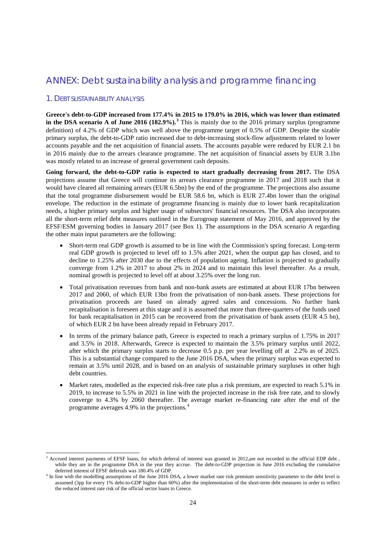## ANNEX: Debt sustainability analysis and programme financing

#### 1. DEBT SUSTAINABILITY ANALYSIS

**Greece's debt-to-GDP increased from 177.4% in 2015 to 179.0% in 2016, which was lower than estimated in the DSA scenario A of June 2016 (182.9%).[3](#page-23-0)** This is mainly due to the 2016 primary surplus (programme definition) of 4.2% of GDP which was well above the programme target of 0.5% of GDP. Despite the sizable primary surplus, the debt-to-GDP ratio increased due to debt-increasing stock-flow adjustments related to lower accounts payable and the net acquisition of financial assets. The accounts payable were reduced by EUR 2.1 bn in 2016 mainly due to the arrears clearance programme. The net acquisition of financial assets by EUR 3.1bn was mostly related to an increase of general government cash deposits.

**Going forward, the debt-to-GDP ratio is expected to start gradually decreasing from 2017.** The DSA projections assume that Greece will continue its arrears clearance programme in 2017 and 2018 such that it would have cleared all remaining arrears (EUR 6.5bn) by the end of the programme. The projections also assume that the total programme disbursement would be EUR 58.6 bn, which is EUR 27.4bn lower than the original envelope. The reduction in the estimate of programme financing is mainly due to lower bank recapitalization needs, a higher primary surplus and higher usage of subsectors' financial resources. The DSA also incorporates all the short-term relief debt measures outlined in the Eurogroup statement of May 2016, and approved by the EFSF/ESM governing bodies in January 2017 (see Box 1). The assumptions in the DSA scenario A regarding the other main input parameters are the following:

- Short-term real GDP growth is assumed to be in line with the Commission's spring forecast. Long-term real GDP growth is projected to level off to 1.5% after 2021, when the output gap has closed, and to decline to 1.25% after 2030 due to the effects of population ageing. Inflation is projected to gradually converge from 1.2% in 2017 to about 2% in 2024 and to maintain this level thereafter. As a result, nominal growth is projected to level off at about 3.25% over the long run.
- Total privatisation revenues from bank and non-bank assets are estimated at about EUR 17bn between 2017 and 2060, of which EUR 13bn from the privatisation of non-bank assets. These projections for privatisation proceeds are based on already agreed sales and concessions. No further bank recapitalisation is foreseen at this stage and it is assumed that more than three-quarters of the funds used for bank recapitalisation in 2015 can be recovered from the privatisation of bank assets (EUR 4.5 bn), of which EUR 2 bn have been already repaid in February 2017.
- In terms of the primary balance path, Greece is expected to reach a primary surplus of 1.75% in 2017 and 3.5% in 2018. Afterwards, Greece is expected to maintain the 3.5% primary surplus until 2022, after which the primary surplus starts to decrease 0.5 p.p. per year levelling off at 2.2% as of 2025. This is a substantial change compared to the June 2016 DSA, when the primary surplus was expected to remain at 3.5% until 2028, and is based on an analysis of sustainable primary surpluses in other high debt countries.
- Market rates, modelled as the expected risk-free rate plus a risk premium, are expected to reach 5.1% in 2019, to increase to 5.5% in 2021 in line with the projected increase in the risk free rate, and to slowly converge to 4.3% by 2060 thereafter. The average market re-financing rate after the end of the programme averages 4.9% in the projections.[4](#page-23-1)

<span id="page-23-0"></span>Accrued interest payments of EFSF loans, for which deferral of interest was granted in 2012,are not recorded in the official EDP debt, while they are in the programme DSA in the year they accrue. The debt-to-GDP projection in June 2016 excluding the cumulative deferred interest of EFSF deferrals was 180.4% of GDP.

<span id="page-23-1"></span><sup>&</sup>lt;sup>4</sup> In line with the modelling assumptions of the June 2016 DSA, a lower market rate risk premium sensitivity parameter to the debt level is assumed (3pp for every 1% debt-to-GDP higher than 60%) after the implementation of the short-term debt measures in order to reflect the reduced interest rate risk of the official sector loans to Greece.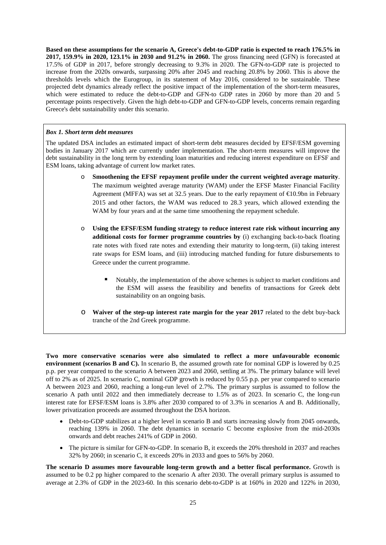**Based on these assumptions for the scenario A, Greece's debt-to-GDP ratio is expected to reach 176.5% in 2017, 159.9% in 2020, 123.1% in 2030 and 91.2% in 2060.** The gross financing need (GFN) is forecasted at 17.5% of GDP in 2017, before strongly decreasing to 9.3% in 2020. The GFN-to-GDP rate is projected to increase from the 2020s onwards, surpassing 20% after 2045 and reaching 20.8% by 2060. This is above the thresholds levels which the Eurogroup, in its statement of May 2016, considered to be sustainable. These projected debt dynamics already reflect the positive impact of the implementation of the short-term measures, which were estimated to reduce the debt-to-GDP and GFN-to GDP rates in 2060 by more than 20 and 5 percentage points respectively. Given the high debt-to-GDP and GFN-to-GDP levels, concerns remain regarding Greece's debt sustainability under this scenario.

#### *Box 1. Short term debt measures*

The updated DSA includes an estimated impact of short-term debt measures decided by EFSF/ESM governing bodies in January 2017 which are currently under implementation. The short-term measures will improve the debt sustainability in the long term by extending loan maturities and reducing interest expenditure on EFSF and ESM loans, taking advantage of current low market rates.

- o **Smoothening the EFSF repayment profile under the current weighted average maturity**. The maximum weighted average maturity (WAM) under the EFSF Master Financial Facility Agreement (MFFA) was set at 32.5 years. Due to the early repayment of €10.9bn in February 2015 and other factors, the WAM was reduced to 28.3 years, which allowed extending the WAM by four years and at the same time smoothening the repayment schedule.
- o **Using the EFSF/ESM funding strategy to reduce interest rate risk without incurring any additional costs for former programme countries by** (i) exchanging back-to-back floating rate notes with fixed rate notes and extending their maturity to long-term, (ii) taking interest rate swaps for ESM loans, and (iii) introducing matched funding for future disbursements to Greece under the current programme.
	- Notably, the implementation of the above schemes is subject to market conditions and the ESM will assess the feasibility and benefits of transactions for Greek debt sustainability on an ongoing basis.
- o **Waiver of the step-up interest rate margin for the year 2017** related to the debt buy-back tranche of the 2nd Greek programme.

**Two more conservative scenarios were also simulated to reflect a more unfavourable economic environment (scenarios B and C).** In scenario B, the assumed growth rate for nominal GDP is lowered by 0.25 p.p. per year compared to the scenario A between 2023 and 2060, settling at 3%. The primary balance will level off to 2% as of 2025. In scenario C, nominal GDP growth is reduced by 0.55 p.p. per year compared to scenario A between 2023 and 2060, reaching a long-run level of 2.7%. The primary surplus is assumed to follow the scenario A path until 2022 and then immediately decrease to 1.5% as of 2023. In scenario C, the long-run interest rate for EFSF/ESM loans is 3.8% after 2030 compared to of 3.3% in scenarios A and B. Additionally, lower privatization proceeds are assumed throughout the DSA horizon.

- Debt-to-GDP stabilizes at a higher level in scenario B and starts increasing slowly from 2045 onwards, reaching 139% in 2060. The debt dynamics in scenario C become explosive from the mid-2030s onwards and debt reaches 241% of GDP in 2060.
- The picture is similar for GFN-to-GDP. In scenario B, it exceeds the 20% threshold in 2037 and reaches 32% by 2060; in scenario C, it exceeds 20% in 2033 and goes to 56% by 2060.

**The scenario D assumes more favourable long-term growth and a better fiscal performance.** Growth is assumed to be 0.2 pp higher compared to the scenario A after 2030. The overall primary surplus is assumed to average at 2.3% of GDP in the 2023-60. In this scenario debt-to-GDP is at 160% in 2020 and 122% in 2030,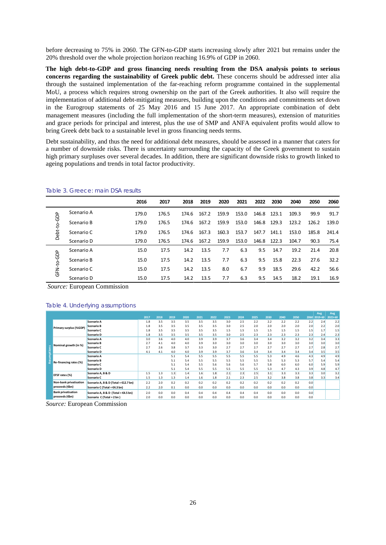before decreasing to 75% in 2060. The GFN-to-GDP starts increasing slowly after 2021 but remains under the 20% threshold over the whole projection horizon reaching 16.9% of GDP in 2060.

**The high debt-to-GDP and gross financing needs resulting from the DSA analysis points to serious concerns regarding the sustainability of Greek public debt.** These concerns should be addressed inter alia through the sustained implementation of the far-reaching reform programme contained in the supplemental MoU, a process which requires strong ownership on the part of the Greek authorities. It also will require the implementation of additional debt-mitigating measures, building upon the conditions and commitments set down in the Eurogroup statements of 25 May 2016 and 15 June 2017. An appropriate combination of debt management measures (including the full implementation of the short-term measures), extension of maturities and grace periods for principal and interest, plus the use of SMP and ANFA equivalent profits would allow to bring Greek debt back to a sustainable level in gross financing needs terms.

Debt sustainability, and thus the need for additional debt measures, should be assessed in a manner that caters for a number of downside risks. There is uncertainty surrounding the capacity of the Greek government to sustain high primary surpluses over several decades. In addition, there are significant downside risks to growth linked to ageing populations and trends in total factor productivity.

|             |            | 2016  | 2017  | 2018  | 2019  | 2020  | 2021  | 2022  | 2030  | 2040  | 2050  | 2060  |
|-------------|------------|-------|-------|-------|-------|-------|-------|-------|-------|-------|-------|-------|
|             | Scenario A | 179.0 | 176.5 | 174.6 | 167.2 | 159.9 | 153.0 | 146.8 | 123.1 | 109.3 | 99.9  | 91.7  |
| Debt-to-GDP | Scenario B | 179.0 | 176.5 | 174.6 | 167.2 | 159.9 | 153.0 | 146.8 | 129.3 | 123.2 | 126.2 | 139.0 |
|             | Scenario C | 179.0 | 176.5 | 174.6 | 167.3 | 160.3 | 153.7 | 147.7 | 141.1 | 153.0 | 185.8 | 241.4 |
|             | Scenario D | 179.0 | 176.5 | 174.6 | 167.2 | 159.9 | 153.0 | 146.8 | 122.3 | 104.7 | 90.3  | 75.4  |
|             | Scenario A | 15.0  | 17.5  | 14.2  | 13.5  | 7.7   | 6.3   | 9.5   | 14.7  | 19.2  | 21.4  | 20.8  |
| GFN-to-GDP  | Scenario B | 15.0  | 17.5  | 14.2  | 13.5  | 7.7   | 6.3   | 9.5   | 15.8  | 22.3  | 27.6  | 32.2  |
|             | Scenario C | 15.0  | 17.5  | 14.2  | 13.5  | 8.0   | 6.7   | 9.9   | 18.5  | 29.6  | 42.2  | 56.6  |
|             | Scenario D | 15.0  | 17.5  | 14.2  | 13.5  | 7.7   | 6.3   | 9.5   | 14.5  | 18.2  | 19.1  | 16.9  |

#### Table 3. Greece: main DSA results

*Source:* European Commission

#### Table 4. Underlying assumptions

|           |                           |                                      |      |      |      |      |      |      |      |      |      |      |      |      |     | Avg          | Avg     |
|-----------|---------------------------|--------------------------------------|------|------|------|------|------|------|------|------|------|------|------|------|-----|--------------|---------|
|           |                           |                                      | 2017 | 2018 | 2019 | 2020 | 2021 | 2022 | 2023 | 2024 | 2025 | 2030 | 2040 | 2050 |     | 2060 2019-60 | 2023-60 |
|           |                           | Scenario A                           | 1.8  | 3.5  | 3.5  | 3.5  | 3.5  | 3.5  | 3.0  | 2.5  | 2.2  | 2.2  | 2.2  | 2.2  | 2.2 | 2.4          | 2.2     |
|           | Primary surplus (%GDP)    | Scenario B                           | 1.8  | 3.5  | 3.5  | 3.5  | 3.5  | 3.5  | 3.0  | 2.5  | 2.0  | 2.0  | 2.0  | 2.0  | 2.0 | 2.2          | 2.0     |
|           |                           | Scenario C                           | 1.8  | 3.5  | 3.5  | 3.5  | 3.5  | 3.5  | 1.5  | 1.5  | 1.5  | 1.5  | 1.5  | 1.5  | 1.5 | 1.7          | 1.5     |
|           |                           | Scenario D                           | 1.8  | 3.5  | 3.5  | 3.5  | 3.5  | 3.5  | 3.0  | 2.5  | 2.3  | 2.3  | 2.3  | 2.3  | 2.3 | 2.4          | 2.3     |
|           |                           | Scenario A                           | 3.0  | 3.6  | 4.0  | 4.0  | 3.9  | 3.9  | 3.7  | 3.6  | 3.4  | 3.4  | 3.2  | 3.2  | 3.2 | 3.4          | 3.3     |
|           | Nominal growth (in %)     | <b>Scenario B</b>                    | 2.7  | 4.1  | 4.0  | 4.0  | 3.9  | 3.0  | 3.0  | 3.0  | 3.0  | 3.0  | 3.0  | 3.0  | 3.0 | 3.0          | 3.0     |
|           |                           | Scenario C                           | 2.7  | 2.6  | 3.8  | 3.7  | 3.3  | 3.0  | 2.7  | 2.7  | 2.7  | 2.7  | 2.7  | 2.7  | 2.7 | 2.8          | 2.7     |
|           |                           | Scenario D                           | 4.1  | 4.1  | 4.0  | 4.0  | 3.9  | 3.9  | 3.7  | 3.6  | 3.4  | 3.4  | 3.4  | 3.4  | 3.4 | 3.5          | 3.5     |
| sumptions |                           | Scenario A                           |      |      | 5.1  | 5.4  | 5.5  | 5.5  | 5.5  | 5.5  | 5.5  | 5.3  | 4.9  | 4.6  | 4.3 | 4.9          | 4.9     |
| Ü,        | Re-financing rates (%)    | <b>Scenario B</b>                    |      |      | 5.1  | 5.4  | 5.5  | 5.5  | 5.5  | 5.5  | 5.5  | 5.5  | 5.3  | 5.3  | 5.7 | 5.4          | 5.4     |
|           |                           | Scenario C                           |      |      | 5.1  | 5.4  | 5.5  | 5.6  | 5.6  | 5.6  | 5.7  | 5.8  | 6.0  | 6.0  | 6.0 | 5.9          | 5.9     |
|           |                           | Scenario D                           |      |      | 5.1  | 5.4  | 5.5  | 5.5  | 5.5  | 5.5  | 5.5  | 5.3  | 4.7  | 4.3  | 3.9 | 4.8          | 4.7     |
|           | EFSF rates (%)            | Scenario A. B & D                    | 1.5  | 1.3  | 1.3  | 1.4  | 1.6  | 1.8  | 2.1  | 2.3  | 2.5  | 3.1  | 3.3  | 3.3  | 3.3 | 3.0          | 3.2     |
|           |                           | Scenario C                           | 1.5  | 1.3  | 1.3  | 1.4  | 1.6  | 1.8  | 2.1  | 2.3  | 2.5  | 3.2  | 3.8  | 3.8  | 3.8 | 3.3          | 3.4     |
|           | Non-bank privatisation    | Scenario A, B & D (Total = €12.7 bn) | 2.2  | 2.0  | 0.2  | 0.2  | 0.2  | 0.2  | 0.2  | 0.2  | 0.2  | 0.2  | 0.2  | 0.2  | 0.0 |              |         |
|           | proceeds (€bn)            | Scenario C (Total = $E4.3$ bn)       | 2.2  | 2.0  | 0.1  | 0.0  | 0.0  | 0.0  | 0.0  | 0.0  | 0.0  | 0.0  | 0.0  | 0.0  | 0.0 |              |         |
|           | <b>Bank privatisation</b> | Scenario A, B & D (Total = €4.5 bn)  | 2.0  | 0.0  | 0.0  | 0.4  | 0.4  | 0.4  | 0.4  | 0.4  | 0.4  | 0.0  | 0.0  | 0.0  | 0.0 |              |         |
|           | proceeds (€bn)            | Scenario C (Total = 2 bn)            | 2.0  | 0.0  | 0.0  | 0.0  | 0.0  | 0.0  | 0.0  | 0.0  | 0.0  | 0.0  | 0.0  | 0.0  | 0.0 |              |         |

*Source:* European Commission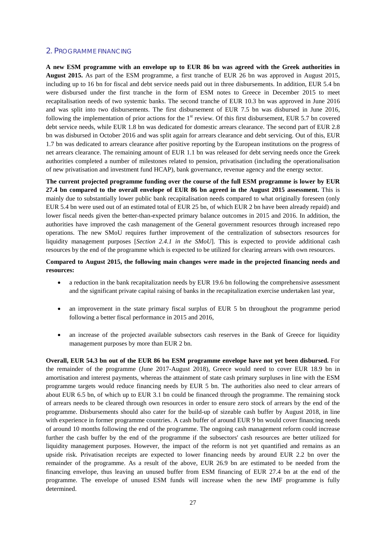#### 2. PROGRAMME FINANCING

**A new ESM programme with an envelope up to EUR 86 bn was agreed with the Greek authorities in August 2015.** As part of the ESM programme, a first tranche of EUR 26 bn was approved in August 2015, including up to 16 bn for fiscal and debt service needs paid out in three disbursements. In addition, EUR 5.4 bn were disbursed under the first tranche in the form of ESM notes to Greece in December 2015 to meet recapitalisation needs of two systemic banks. The second tranche of EUR 10.3 bn was approved in June 2016 and was split into two disbursements. The first disbursement of EUR 7.5 bn was disbursed in June 2016, following the implementation of prior actions for the  $1<sup>st</sup>$  review. Of this first disbursement, EUR 5.7 bn covered debt service needs, while EUR 1.8 bn was dedicated for domestic arrears clearance. The second part of EUR 2.8 bn was disbursed in October 2016 and was split again for arrears clearance and debt servicing. Out of this, EUR 1.7 bn was dedicated to arrears clearance after positive reporting by the European institutions on the progress of net arrears clearance. The remaining amount of EUR 1.1 bn was released for debt serving needs once the Greek authorities completed a number of milestones related to pension, privatisation (including the operationalisation of new privatisation and investment fund HCAP), bank governance, revenue agency and the energy sector.

**The current projected programme funding over the course of the full ESM programme is lower by EUR 27.4 bn compared to the overall envelope of EUR 86 bn agreed in the August 2015 assessment.** This is mainly due to substantially lower public bank recapitalisation needs compared to what originally foreseen (only EUR 5.4 bn were used out of an estimated total of EUR 25 bn, of which EUR 2 bn have been already repaid) and lower fiscal needs given the better-than-expected primary balance outcomes in 2015 and 2016. In addition, the authorities have improved the cash management of the General government resources through increased repo operations. The new SMoU requires further improvement of the centralization of subsectors resources for liquidity management purposes [*Section 2.4.1 in the SMoU*]. This is expected to provide additional cash resources by the end of the programme which is expected to be utilized for clearing arrears with own resources.

#### **Compared to August 2015, the following main changes were made in the projected financing needs and resources:**

- a reduction in the bank recapitalization needs by EUR 19.6 bn following the comprehensive assessment and the significant private capital raising of banks in the recapitalization exercise undertaken last year,
- an improvement in the state primary fiscal surplus of EUR 5 bn throughout the programme period following a better fiscal performance in 2015 and 2016,
- an increase of the projected available subsectors cash reserves in the Bank of Greece for liquidity management purposes by more than EUR 2 bn.

**Overall, EUR 54.3 bn out of the EUR 86 bn ESM programme envelope have not yet been disbursed.** For the remainder of the programme (June 2017-August 2018), Greece would need to cover EUR 18.9 bn in amortisation and interest payments, whereas the attainment of state cash primary surpluses in line with the ESM programme targets would reduce financing needs by EUR 5 bn. The authorities also need to clear arrears of about EUR 6.5 bn, of which up to EUR 3.1 bn could be financed through the programme. The remaining stock of arrears needs to be cleared through own resources in order to ensure zero stock of arrears by the end of the programme. Disbursements should also cater for the build-up of sizeable cash buffer by August 2018, in line with experience in former programme countries. A cash buffer of around EUR 9 bn would cover financing needs of around 10 months following the end of the programme. The ongoing cash management reform could increase further the cash buffer by the end of the programme if the subsectors' cash resources are better utilized for liquidity management purposes. However, the impact of the reform is not yet quantified and remains as an upside risk. Privatisation receipts are expected to lower financing needs by around EUR 2.2 bn over the remainder of the programme. As a result of the above, EUR 26.9 bn are estimated to be needed from the financing envelope, thus leaving an unused buffer from ESM financing of EUR 27.4 bn at the end of the programme. The envelope of unused ESM funds will increase when the new IMF programme is fully determined.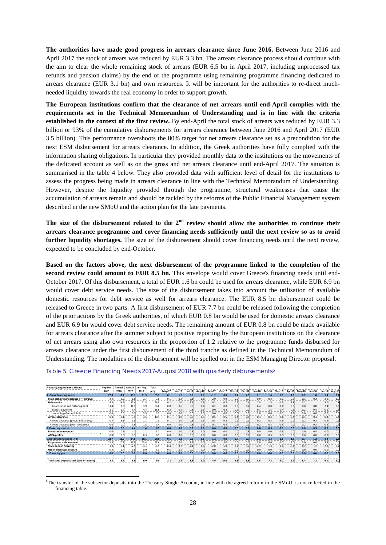**The authorities have made good progress in arrears clearance since June 2016.** Between June 2016 and April 2017 the stock of arrears was reduced by EUR 3.3 bn. The arrears clearance process should continue with the aim to clear the whole remaining stock of arrears (EUR 6.5 bn in April 2017, including unprocessed tax refunds and pension claims) by the end of the programme using remaining programme financing dedicated to arrears clearance (EUR 3.1 bn) and own resources. It will be important for the authorities to re-direct muchneeded liquidity towards the real economy in order to support growth.

**The European institutions confirm that the clearance of net arrears until end-April complies with the requirements set in the Technical Memorandum of Understanding and is in line with the criteria established in the context of the first review.** By end-April the total stock of arrears was reduced by EUR 3.3 billion or 93% of the cumulative disbursements for arrears clearance between June 2016 and April 2017 (EUR 3.5 billion). This performance overshoots the 80% target for net arrears clearance set as a precondition for the next ESM disbursement for arrears clearance. In addition, the Greek authorities have fully complied with the information sharing obligations. In particular they provided monthly data to the institutions on the movements of the dedicated account as well as on the gross and net arrears clearance until end-April 2017. The situation is summarised in the table 4 below. They also provided data with sufficient level of detail for the institutions to assess the progress being made in arrears clearance in line with the Technical Memorandum of Understanding. However, despite the liquidity provided through the programme, structural weaknesses that cause the accumulation of arrears remain and should be tackled by the reforms of the Public Financial Management system described in the new SMoU and the action plan for the late payments.

The size of the disbursement related to the 2<sup>nd</sup> review should allow the authorities to continue their **arrears clearance programme and cover financing needs sufficiently until the next review so as to avoid further liquidity shortages.** The size of the disbursement should cover financing needs until the next review, expected to be concluded by end-October.

**Based on the factors above, the next disbursement of the programme linked to the completion of the second review could amount to EUR 8.5 bn.** This envelope would cover Greece's financing needs until end-October 2017. Of this disbursement, a total of EUR 1.6 bn could be used for arrears clearance, while EUR 6.9 bn would cover debt service needs. The size of the disbursement takes into account the utilisation of available domestic resources for debt service as well for arrears clearance. The EUR 8.5 bn disbursement could be released to Greece in two parts. A first disbursement of EUR 7.7 bn could be released following the completion of the prior actions by the Greek authorities, of which EUR 0.8 bn would be used for domestic arrears clearance and EUR 6.9 bn would cover debt service needs. The remaining amount of EUR 0.8 bn could be made available for arrears clearance after the summer subject to positive reporting by the European institutions on the clearance of net arrears using also own resources in the proportion of 1:2 relative to the programme funds disbursed for arrears clearance under the first disbursement of the third tranche as defined in the Technical Memorandum of Understanding. The modalities of the disbursement will be spelled out in the ESM Managing Director proposal.

| <b>Financing requirements Greece</b>            | Aug-Dec          | Annual           | Annual | Jan-Aug          | Total  |        |                  |                  |                  |                  |                  |                  |               |                  |                    |                  |                  |                  |                  |                  |        |
|-------------------------------------------------|------------------|------------------|--------|------------------|--------|--------|------------------|------------------|------------------|------------------|------------------|------------------|---------------|------------------|--------------------|------------------|------------------|------------------|------------------|------------------|--------|
|                                                 | 2015             | 2016             | 2017   | 2018             | prog.  | May-17 | Jun-17           | Jul-17.          | Aug-17           | $Sep-17$         | Oct-17           | Nov-17.          | <b>Dec-17</b> | Jan-18           |                    | Feb-18 Mar-18    | Apr-18           | May-18.          | Jun-18.          | $Jul - 18$       | Aug-18 |
| A. Gross financing needs                        | 22.8             | 12.4             | 19.1   | 11.5             | 65.7   | 0.1    | 1.2              | 5.9              | 0.6              | $-1.2$           | 0.0              | 0.7              |               | 2.1              | $1.6^{\circ}$      | 1.8              | 1.9 <sub>1</sub> | 0.7              |                  | 1.4              | 0.2    |
| State cash primary balance ('-'= surplus)       | 2.41             |                  | $-1.8$ | $-3.7$           | $-7.0$ |        | 0.2              |                  | $-0.81$          | $-2.01$          | $-0.9$           | 0.0              |               | $-0.9$           | $-0.31$            | 0.5 <sub>1</sub> |                  | 0.1              | 0.2              | $-2.0$           |        |
| Debt service                                    | 14.5             | 13.2             | 17.4   |                  | 56.9   |        | 1.0              |                  | 0.91             | 0.21             | 0.3              | 0.2              |               | 2.5              | 1.51               | 0.9              | 1.8              | 0.2              |                  | 3.01             | 0.8    |
| Amortisation and maturing debt                  | 13.4             | 7.5              | 11.9   | 3.9 <sub>1</sub> | 36.8   | 0.0    | 0.6 <sub>1</sub> | 6.6              | 0.4 <sup>1</sup> | 0.2              | 0.0 <sub>1</sub> | 0.0 <sub>1</sub> | 0.2           | 0.4              | 0.0                | 0.2              | 0.0 <sub>1</sub> | 0.0 <sub>1</sub> | 0.8 <sub>1</sub> | 2.4              | 0.0    |
| Interest payments                               |                  |                  | 5.4    | 44               | 16.6   | 0.21   | 0.4              | 0.81             | 0.5              | 0.0              | 0.31             | 0.21             | 0.2           | 0.1              |                    | 0.7              | 0.3              | 0.21             | 0.41             | 0.6              | 0.8    |
| Unwinding of repos/t bills                      | 0.0 <sub>1</sub> |                  | 0.0    | 3.5              | 3.5    | 0.0    | 0.0 <sup>1</sup> | 0.0              | 0.0 <sub>1</sub> | 0.0 <sub>1</sub> | 0.0              | 0.0              | 0.0           | 2.0 <sub>1</sub> | 0.0 <sub>1</sub>   | 0.0 <sub>1</sub> |                  | 0.0              | 0.0              | 0.0              |        |
| Arrears clearance                               | 0.41             | 3.1              | 3.5    | 3.5              | 10.4   | $0$ .  | 0.0              | 0.5              | 0.51             | 0.51             |                  | 0.4              |               | 0.4              | 0.41               | 0.4 <sub>1</sub> | 0.4              | 0.4              | 0.4              | 0.41             |        |
| Arrears clearance (program financing)           | 0.4              | 3.1              | 1.9    |                  |        | 0.1    | 0.0 <sub>1</sub> | 0.3 <sub>1</sub> | 0.3              | 0.3              |                  | 0.2 <sub>1</sub> | 0.2           | 0.2              | $0.2$ <sup>1</sup> | 0.2              | 0.2 <sub>1</sub> | 0.2 <sub>1</sub> | 0.2 <sub>1</sub> | 0.2              |        |
| Arrears clearance (Own resources)               | 0.0              |                  |        | 1.81             |        | 0.01   | 0.0              | 0.31             | 0.3              | 0.3              |                  | 0.21             |               | 0.2              |                    | 0.2              | 0.2              | 0.21             | 0.21             | 0.2              |        |
| <b>B. Financing sources</b>                     | 0.0              | 0.8              | 4.4    | 1.4              | 6.7    | 0.0    | 0.0              | 0.3              | 0.0 <sub>1</sub> | 0.0 <sub>1</sub> | 0.0              | 0.0              | 0.8           | 0.0              | 0.3 <sub>1</sub>   | 0.6              | 0.0              | 0.0              | 0.5              | 0.0              | 0.0    |
| <b>Privatisation revenues</b>                   | 0.0              | 0.5 <sub>1</sub> | 4.1    |                  |        | 0.0    | 0.0              | 0.3              | 0.01             | 0.01             | 0.0              | 0.0              | 0.8           | 0.0 <sub>1</sub> | 0.0 <sub>1</sub>   | 0.6 <sub>1</sub> | 0.0 <sub>1</sub> | 0.0              | 0.5              | 0.0 <sub>1</sub> | 0.0    |
| <b>ANFA profits</b>                             | 0.0              | 0.3              | 0.3    | 0.3              |        | 0.0    | 0.0              | 0.0.             | 0.0              | 0.0 <sup>1</sup> | 0.0              | 0.0.             |               | 0.0              | 0.31               | 0.0              | 0.0              | 0.0.             |                  | 0.0 <sup>1</sup> | 0.0    |
| C. Net financing needs (A-B)                    | 22.7             | 11.6             | 14.6   | 10.1             | 59.0   | 0.1    | 1.2              | 5.6 <sub>1</sub> | 0.6              | $-1.2$           | 0.0              | 0.7              | 3.7           | 2.1              | 1.3                | 1.3              | 1.9 <sub>1</sub> | 0.7              | 1.2              | 1.4              | 0.2    |
| Programme disbursement                          | 21.4             | 10.3             | 13.5   | 13.4             | 58.6   | 0.0    | 0.0              | 7.7              | 0.0.             | 0.8.             | 5.0 <sub>1</sub> | 0.0              | 0.0           | 5.0              | 0.0                | 0.0              | 5.0              | 0.0              | 0.01             | 3.4              | 0.0    |
| <b>State deposit financing</b>                  | 1.0 <sub>1</sub> | $-0.1$           | $-2.5$ | $-3.3$           | $-4.9$ | $-0.4$ | 0.7              | $-2.1$           | 0.61             | $-2.01$          | $-5.0$           | 0.7              |               | $-2.9$           | 1.3 <sub>1</sub>   | 1.3 <sub>1</sub> | $-3.1$           | 0.7              | 1.2              | $-2.0$           | 0.2    |
| Use of subsector deposits                       | 0.31             | 1.4              | 3.6    | 0.0              | 5.3    | 0.5    | 0.5              | 0.0              | 0.01             | 0.01             | 0.0              | 0.0              | 0.0           | 0.0              | 0.01               | 0.0              | 0.0)             | 0.0              | 0.0              | 0.01             | 0.0    |
| D. Financing gap                                | 0.0              | 0.0              | 0.0    | 0.0              | 0.0    | 0.0    | 0.0              | 0.0 <sub>1</sub> | 0.0              | 0.0              | 0.0              | 0.0              | 0.0           | 0.0              | 0.0                | 0.0              | 0.0 <sub>1</sub> | 0.0 <sub>1</sub> | 0.0 <sub>1</sub> | 0.0              | 0.0    |
|                                                 |                  |                  |        |                  |        |        |                  |                  |                  |                  |                  |                  |               |                  |                    |                  |                  |                  |                  |                  |        |
| <b>Total State Deposit Stock (end-of-month)</b> | 2.2 <sub>1</sub> |                  | 5.6    | 9.0              |        |        |                  |                  | 3.0              | 4.9 <sub>1</sub> | 10.0             | 9.3              |               | 8.5              |                    | 6.0              | 9.1              | 8.4              |                  |                  | 9.0    |

Table [5](#page-27-0). Greece Financing Needs 2017-August 2018 with quarterly disbursements<sup>5</sup>

<span id="page-27-0"></span><sup>-&</sup>lt;br>5 <sup>5</sup>The transfer of the subsector deposits into the Treasury Single Account, in line with the agreed reform in the SMoU, is not reflected in the financing table.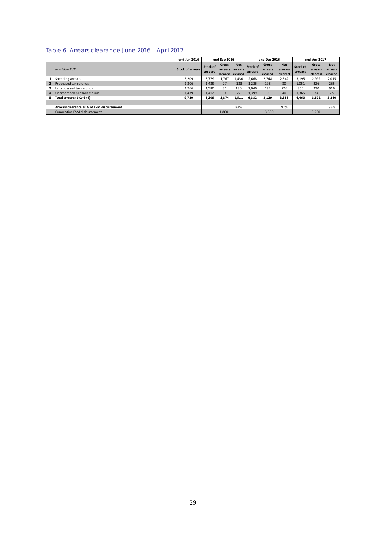#### Table 6. Arrears clearance June 2016 – April 2017

|    |                                            | end-Jun 2016            |                            | end-Sep 2016     |                                          |                            | end-Dec 2016                       |                                  |                            | end-Apr 2017                |                                  |
|----|--------------------------------------------|-------------------------|----------------------------|------------------|------------------------------------------|----------------------------|------------------------------------|----------------------------------|----------------------------|-----------------------------|----------------------------------|
|    | in million EUR                             | <b>Stock of arrears</b> | <b>Stock of</b><br>arrears | Gross<br>arrears | <b>Net</b><br>arrears<br>cleared cleared | Stock of<br><b>arrears</b> | <b>Gross</b><br>arrears<br>cleared | <b>Net</b><br>arrears<br>cleared | <b>Stock of</b><br>arrears | Gross<br>arrears<br>cleared | <b>Net</b><br>arrears<br>cleared |
| 1  | Spending arrears                           | 5,209                   | 3,779                      | 1,767            | 1,430                                    | 2,668                      | 2,748                              | 2,542                            | 3,195                      | 2,992                       | 2,015                            |
|    | Processed tax refunds                      | 1,306                   | 1,439                      | 77               | $-133$                                   | 1,226                      | 198                                | 80                               | 1,051                      | 226                         | 255                              |
| 3  | Unprocessed tax refunds                    | 1,766                   | 1.580                      | 31               | 186                                      | 1,040                      | 182                                | 726                              | 850                        | 230                         | 916                              |
| 4  | Unprocessed pension claims                 | 1,439                   | 1,412                      | $\Omega$         | 27                                       | 1,399                      | $\mathbf{0}$                       | 40                               | 1.365                      | 74                          | 75                               |
| 5. | Total arrears (1+2+3+4)                    | 9.720                   | 8.209                      | 1,874            | 1,511                                    | 6,332                      | 3,129                              | 3,388                            | 6,460                      | 3,522                       | 3,260                            |
|    |                                            |                         |                            |                  |                                          |                            |                                    |                                  |                            |                             |                                  |
|    | Arrears clearance as % of ESM disbursement |                         |                            |                  | 84%                                      |                            |                                    | 97%                              |                            |                             | 93%                              |
|    | Cumulative ESM disbursement                |                         |                            | 1.800            |                                          |                            | 3.500                              |                                  |                            | 3,500                       |                                  |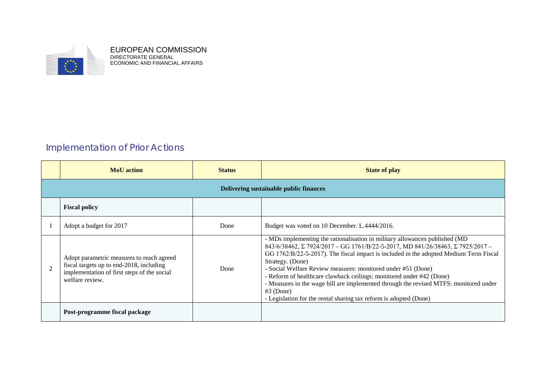

EUROPEAN COMMISSION DIRECTORATE GENERAL ECONOMIC AND FINANCIAL AFFAIRS

# Implementation of Prior Actions

| <b>MoU</b> action                                                                                                                                       | <b>Status</b> | <b>State of play</b>                                                                                                                                                                                                                                                                                                                                                                                                                                                                                                                                                                            |
|---------------------------------------------------------------------------------------------------------------------------------------------------------|---------------|-------------------------------------------------------------------------------------------------------------------------------------------------------------------------------------------------------------------------------------------------------------------------------------------------------------------------------------------------------------------------------------------------------------------------------------------------------------------------------------------------------------------------------------------------------------------------------------------------|
|                                                                                                                                                         |               | Delivering sustainable public finances                                                                                                                                                                                                                                                                                                                                                                                                                                                                                                                                                          |
| <b>Fiscal policy</b>                                                                                                                                    |               |                                                                                                                                                                                                                                                                                                                                                                                                                                                                                                                                                                                                 |
| Adopt a budget for 2017                                                                                                                                 | Done          | Budget was voted on 10 December. L.4444/2016.                                                                                                                                                                                                                                                                                                                                                                                                                                                                                                                                                   |
| Adopt parametric measures to reach agreed<br>fiscal targets up to end-2018, including<br>implementation of first steps of the social<br>welfare review. | Done          | - MDs implementing the rationalisation in military allowances published (MD<br>843/6/38462, Σ 7924/2017 - GG 1761/B/22-5-2017, MD 841/26/38463, Σ 7925/2017 -<br>GG 1762/B/22-5-2017). The fiscal impact is included in the adopted Medium Term Fiscal<br>Strategy. (Done)<br>- Social Welfare Review measures: monitored under #51 (Done)<br>- Reform of healthcare clawback ceilings: monitored under #42 (Done)<br>- Measures in the wage bill are implemented through the revised MTFS: monitored under<br>$#3$ (Done)<br>- Legislation for the rental sharing tax reform is adopted (Done) |
| Post-programme fiscal package                                                                                                                           |               |                                                                                                                                                                                                                                                                                                                                                                                                                                                                                                                                                                                                 |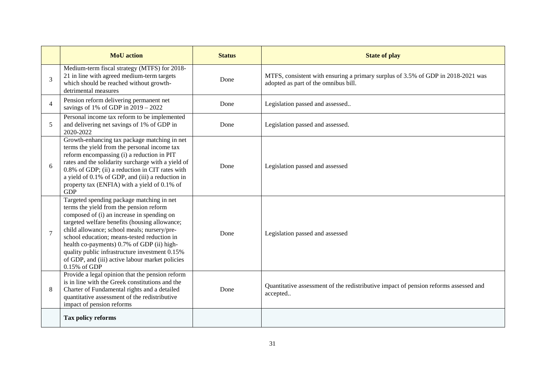|                | <b>MoU</b> action                                                                                                                                                                                                                                                                                                                                                                                                                                    | <b>Status</b> | <b>State of play</b>                                                                                                     |
|----------------|------------------------------------------------------------------------------------------------------------------------------------------------------------------------------------------------------------------------------------------------------------------------------------------------------------------------------------------------------------------------------------------------------------------------------------------------------|---------------|--------------------------------------------------------------------------------------------------------------------------|
| 3              | Medium-term fiscal strategy (MTFS) for 2018-<br>21 in line with agreed medium-term targets<br>which should be reached without growth-<br>detrimental measures                                                                                                                                                                                                                                                                                        | Done          | MTFS, consistent with ensuring a primary surplus of 3.5% of GDP in 2018-2021 was<br>adopted as part of the omnibus bill. |
| $\overline{4}$ | Pension reform delivering permanent net<br>savings of 1% of GDP in $2019 - 2022$                                                                                                                                                                                                                                                                                                                                                                     | Done          | Legislation passed and assessed                                                                                          |
| 5              | Personal income tax reform to be implemented<br>and delivering net savings of 1% of GDP in<br>2020-2022                                                                                                                                                                                                                                                                                                                                              | Done          | Legislation passed and assessed.                                                                                         |
| 6              | Growth-enhancing tax package matching in net<br>terms the yield from the personal income tax<br>reform encompassing (i) a reduction in PIT<br>rates and the solidarity surcharge with a yield of<br>0.8% of GDP; (ii) a reduction in CIT rates with<br>a yield of 0.1% of GDP, and (iii) a reduction in<br>property tax (ENFIA) with a yield of 0.1% of<br><b>GDP</b>                                                                                | Done          | Legislation passed and assessed                                                                                          |
| $\overline{7}$ | Targeted spending package matching in net<br>terms the yield from the pension reform<br>composed of (i) an increase in spending on<br>targeted welfare benefits (housing allowance;<br>child allowance; school meals; nursery/pre-<br>school education; means-tested reduction in<br>health co-payments) 0.7% of GDP (ii) high-<br>quality public infrastructure investment 0.15%<br>of GDP, and (iii) active labour market policies<br>0.15% of GDP | Done          | Legislation passed and assessed                                                                                          |
| 8              | Provide a legal opinion that the pension reform<br>is in line with the Greek constitutions and the<br>Charter of Fundamental rights and a detailed<br>quantitative assessment of the redistributive<br>impact of pension reforms                                                                                                                                                                                                                     | Done          | Quantitative assessment of the redistributive impact of pension reforms assessed and<br>accepted                         |
|                | Tax policy reforms                                                                                                                                                                                                                                                                                                                                                                                                                                   |               |                                                                                                                          |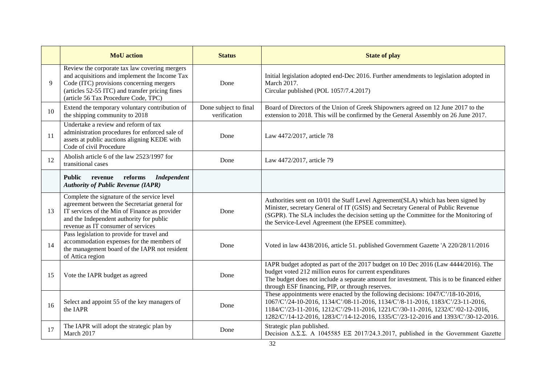|    | <b>MoU</b> action                                                                                                                                                                                                                     | <b>Status</b>                         | <b>State of play</b>                                                                                                                                                                                                                                                                                                                       |
|----|---------------------------------------------------------------------------------------------------------------------------------------------------------------------------------------------------------------------------------------|---------------------------------------|--------------------------------------------------------------------------------------------------------------------------------------------------------------------------------------------------------------------------------------------------------------------------------------------------------------------------------------------|
| 9  | Review the corporate tax law covering mergers<br>and acquisitions and implement the Income Tax<br>Code (ITC) provisions concerning mergers<br>(articles 52-55 ITC) and transfer pricing fines<br>(article 56 Tax Procedure Code, TPC) | Done                                  | Initial legislation adopted end-Dec 2016. Further amendments to legislation adopted in<br>March 2017.<br>Circular published (POL 1057/7.4.2017)                                                                                                                                                                                            |
| 10 | Extend the temporary voluntary contribution of<br>the shipping community to 2018                                                                                                                                                      | Done subject to final<br>verification | Board of Directors of the Union of Greek Shipowners agreed on 12 June 2017 to the<br>extension to 2018. This will be confirmed by the General Assembly on 26 June 2017.                                                                                                                                                                    |
| 11 | Undertake a review and reform of tax<br>administration procedures for enforced sale of<br>assets at public auctions aligning KEDE with<br>Code of civil Procedure                                                                     | Done                                  | Law 4472/2017, article 78                                                                                                                                                                                                                                                                                                                  |
| 12 | Abolish article 6 of the law 2523/1997 for<br>transitional cases                                                                                                                                                                      | Done                                  | Law 4472/2017, article 79                                                                                                                                                                                                                                                                                                                  |
|    | reforms<br><b>Independent</b><br><b>Public</b><br>revenue<br><b>Authority of Public Revenue (IAPR)</b>                                                                                                                                |                                       |                                                                                                                                                                                                                                                                                                                                            |
| 13 | Complete the signature of the service level<br>agreement between the Secretariat general for<br>IT services of the Min of Finance as provider<br>and the Independent authority for public<br>revenue as IT consumer of services       | Done                                  | Authorities sent on 10/01 the Staff Level Agreement(SLA) which has been signed by<br>Minister, secretary General of IT (GSIS) and Secretary General of Public Revenue<br>(SGPR). The SLA includes the decision setting up the Committee for the Monitoring of<br>the Service-Level Agreement (the EPSEE committee).                        |
| 14 | Pass legislation to provide for travel and<br>accommodation expenses for the members of<br>the management board of the IAPR not resident<br>of Attica region                                                                          | Done                                  | Voted in law 4438/2016, article 51. published Government Gazette 'A 220/28/11/2016                                                                                                                                                                                                                                                         |
| 15 | Vote the IAPR budget as agreed                                                                                                                                                                                                        | Done                                  | IAPR budget adopted as part of the 2017 budget on 10 Dec 2016 (Law 4444/2016). The<br>budget voted 212 million euros for current expenditures<br>The budget does not include a separate amount for investment. This is to be financed either<br>through ESF financing, PIP, or through reserves.                                           |
| 16 | Select and appoint 55 of the key managers of<br>the IAPR                                                                                                                                                                              | Done                                  | These appointments were enacted by the following decisions: 1047/C'/18-10-2016,<br>1067/C'/24-10-2016, 1134/C'/08-11-2016, 1134/C'/8-11-2016, 1183/C'/23-11-2016,<br>1184/C'/23-11-2016, 1212/C'/29-11-2016, 1221/C'/30-11-2016, 1232/C'/02-12-2016,<br>1282/C'/14-12-2016, 1283/C'/14-12-2016, 1335/C'/23-12-2016 and 1393/C'/30-12-2016. |
| 17 | The IAPR will adopt the strategic plan by<br>March 2017                                                                                                                                                                               | Done                                  | Strategic plan published.<br>Decision $\triangle \Sigma \Sigma$ . A 1045585 EE 2017/24.3.2017, published in the Government Gazette                                                                                                                                                                                                         |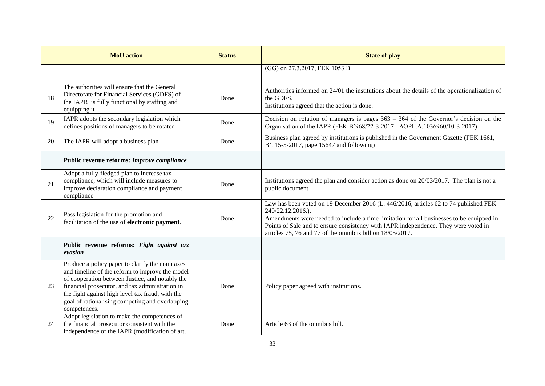|    | <b>MoU</b> action                                                                                                                                                                                                                                                                                                               | <b>Status</b> | <b>State of play</b>                                                                                                                                                                                                                                                                                                                                      |
|----|---------------------------------------------------------------------------------------------------------------------------------------------------------------------------------------------------------------------------------------------------------------------------------------------------------------------------------|---------------|-----------------------------------------------------------------------------------------------------------------------------------------------------------------------------------------------------------------------------------------------------------------------------------------------------------------------------------------------------------|
|    |                                                                                                                                                                                                                                                                                                                                 |               | (GG) on 27.3.2017, FEK 1053 B                                                                                                                                                                                                                                                                                                                             |
| 18 | The authorities will ensure that the General<br>Directorate for Financial Services (GDFS) of<br>the IAPR is fully functional by staffing and<br>equipping it                                                                                                                                                                    | Done          | Authorities informed on 24/01 the institutions about the details of the operationalization of<br>the GDFS.<br>Institutions agreed that the action is done.                                                                                                                                                                                                |
| 19 | IAPR adopts the secondary legislation which<br>defines positions of managers to be rotated                                                                                                                                                                                                                                      | Done          | Decision on rotation of managers is pages $363 - 364$ of the Governor's decision on the<br>Organisation of the IAPR (FEK Β'968/22-3-2017 - ΔΟΡΓ.Α.1036960/10-3-2017)                                                                                                                                                                                      |
| 20 | The IAPR will adopt a business plan                                                                                                                                                                                                                                                                                             | Done          | Business plan agreed by institutions is published in the Government Gazette (FEK 1661,<br>B', 15-5-2017, page 15647 and following)                                                                                                                                                                                                                        |
|    | Public revenue reforms: Improve compliance                                                                                                                                                                                                                                                                                      |               |                                                                                                                                                                                                                                                                                                                                                           |
| 21 | Adopt a fully-fledged plan to increase tax<br>compliance, which will include measures to<br>improve declaration compliance and payment<br>compliance                                                                                                                                                                            | Done          | Institutions agreed the plan and consider action as done on $20/03/2017$ . The plan is not a<br>public document                                                                                                                                                                                                                                           |
| 22 | Pass legislation for the promotion and<br>facilitation of the use of electronic payment.                                                                                                                                                                                                                                        | Done          | Law has been voted on 19 December 2016 (L. 446/2016, articles 62 to 74 published FEK<br>240/22.12.2016.).<br>Amendments were needed to include a time limitation for all businesses to be equipped in<br>Points of Sale and to ensure consistency with IAPR independence. They were voted in<br>articles 75, 76 and 77 of the omnibus bill on 18/05/2017. |
|    | Public revenue reforms: Fight against tax<br>evasion                                                                                                                                                                                                                                                                            |               |                                                                                                                                                                                                                                                                                                                                                           |
| 23 | Produce a policy paper to clarify the main axes<br>and timeline of the reform to improve the model<br>of cooperation between Justice, and notably the<br>financial prosecutor, and tax administration in<br>the fight against high level tax fraud, with the<br>goal of rationalising competing and overlapping<br>competences. | Done          | Policy paper agreed with institutions.                                                                                                                                                                                                                                                                                                                    |
| 24 | Adopt legislation to make the competences of<br>the financial prosecutor consistent with the<br>independence of the IAPR (modification of art.                                                                                                                                                                                  | Done          | Article 63 of the omnibus bill.                                                                                                                                                                                                                                                                                                                           |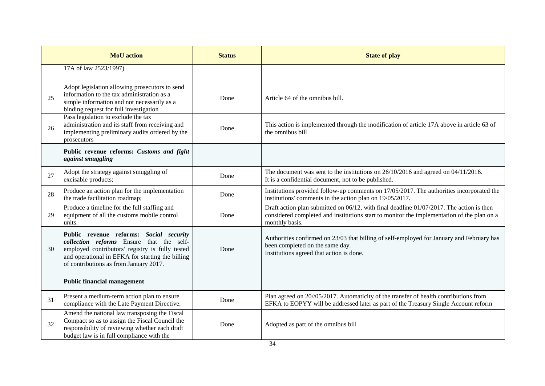|    | <b>MoU</b> action                                                                                                                                                                                                                    | <b>Status</b> | <b>State of play</b>                                                                                                                                                                                     |
|----|--------------------------------------------------------------------------------------------------------------------------------------------------------------------------------------------------------------------------------------|---------------|----------------------------------------------------------------------------------------------------------------------------------------------------------------------------------------------------------|
|    | 17A of law 2523/1997)                                                                                                                                                                                                                |               |                                                                                                                                                                                                          |
| 25 | Adopt legislation allowing prosecutors to send<br>information to the tax administration as a<br>simple information and not necessarily as a<br>binding request for full investigation                                                | Done          | Article 64 of the omnibus bill.                                                                                                                                                                          |
| 26 | Pass legislation to exclude the tax<br>administration and its staff from receiving and<br>implementing preliminary audits ordered by the<br>prosecutors                                                                              | Done          | This action is implemented through the modification of article 17A above in article 63 of<br>the omnibus bill                                                                                            |
|    | Public revenue reforms: Customs and fight<br>against smuggling                                                                                                                                                                       |               |                                                                                                                                                                                                          |
| 27 | Adopt the strategy against smuggling of<br>excisable products;                                                                                                                                                                       | Done          | The document was sent to the institutions on 26/10/2016 and agreed on 04/11/2016.<br>It is a confidential document, not to be published.                                                                 |
| 28 | Produce an action plan for the implementation<br>the trade facilitation roadmap;                                                                                                                                                     | Done          | Institutions provided follow-up comments on 17/05/2017. The authorities incorporated the<br>institutions' comments in the action plan on 19/05/2017.                                                     |
| 29 | Produce a timeline for the full staffing and<br>equipment of all the customs mobile control<br>units.                                                                                                                                | Done          | Draft action plan submitted on 06/12, with final deadline 01/07/2017. The action is then<br>considered completed and institutions start to monitor the implementation of the plan on a<br>monthly basis. |
| 30 | Public revenue reforms: Social security<br>collection reforms Ensure that the self-<br>employed contributors' registry is fully tested<br>and operational in EFKA for starting the billing<br>of contributions as from January 2017. | Done          | Authorities confirmed on 23/03 that billing of self-employed for January and February has<br>been completed on the same day.<br>Institutions agreed that action is done.                                 |
|    | <b>Public financial management</b>                                                                                                                                                                                                   |               |                                                                                                                                                                                                          |
| 31 | Present a medium-term action plan to ensure<br>compliance with the Late Payment Directive.                                                                                                                                           | Done          | Plan agreed on 20//05/2017. Automaticity of the transfer of health contributions from<br>EFKA to EOPYY will be addressed later as part of the Treasury Single Account reform                             |
| 32 | Amend the national law transposing the Fiscal<br>Compact so as to assign the Fiscal Council the<br>responsibility of reviewing whether each draft<br>budget law is in full compliance with the                                       | Done          | Adopted as part of the omnibus bill                                                                                                                                                                      |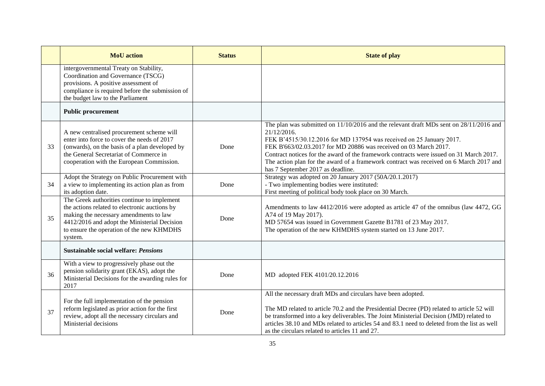|    | <b>MoU</b> action                                                                                                                                                                                                                              | <b>Status</b> | <b>State of play</b>                                                                                                                                                                                                                                                                                                                                                                                                                                                            |
|----|------------------------------------------------------------------------------------------------------------------------------------------------------------------------------------------------------------------------------------------------|---------------|---------------------------------------------------------------------------------------------------------------------------------------------------------------------------------------------------------------------------------------------------------------------------------------------------------------------------------------------------------------------------------------------------------------------------------------------------------------------------------|
|    | intergovernmental Treaty on Stability,<br>Coordination and Governance (TSCG)<br>provisions. A positive assessment of<br>compliance is required before the submission of<br>the budget law to the Parliament                                    |               |                                                                                                                                                                                                                                                                                                                                                                                                                                                                                 |
|    | <b>Public procurement</b>                                                                                                                                                                                                                      |               |                                                                                                                                                                                                                                                                                                                                                                                                                                                                                 |
| 33 | A new centralised procurement scheme will<br>enter into force to cover the needs of 2017<br>(onwards), on the basis of a plan developed by<br>the General Secretariat of Commerce in<br>cooperation with the European Commission.              | Done          | The plan was submitted on $11/10/2016$ and the relevant draft MDs sent on $28/11/2016$ and<br>21/12/2016.<br>FEK B'4515/30.12.2016 for MD 137954 was received on 25 January 2017.<br>FEK B'663/02.03.2017 for MD 20886 was received on 03 March 2017.<br>Contract notices for the award of the framework contracts were issued on 31 March 2017.<br>The action plan for the award of a framework contract was received on 6 March 2017 and<br>has 7 September 2017 as deadline. |
| 34 | Adopt the Strategy on Public Procurement with<br>a view to implementing its action plan as from<br>its adoption date.                                                                                                                          | Done          | Strategy was adopted on 20 January 2017 (50A/20.1.2017)<br>- Two implementing bodies were instituted:<br>First meeting of political body took place on 30 March.                                                                                                                                                                                                                                                                                                                |
| 35 | The Greek authorities continue to implement<br>the actions related to electronic auctions by<br>making the necessary amendments to law<br>4412/2016 and adopt the Ministerial Decision<br>to ensure the operation of the new KHMDHS<br>system. | Done          | Amendments to law 4412/2016 were adopted as article 47 of the omnibus (law 4472, GG<br>A74 of 19 May 2017).<br>MD 57654 was issued in Government Gazette B1781 of 23 May 2017.<br>The operation of the new KHMDHS system started on 13 June 2017.                                                                                                                                                                                                                               |
|    | <b>Sustainable social welfare: Pensions</b>                                                                                                                                                                                                    |               |                                                                                                                                                                                                                                                                                                                                                                                                                                                                                 |
| 36 | With a view to progressively phase out the<br>pension solidarity grant (EKAS), adopt the<br>Ministerial Decisions for the awarding rules for<br>2017                                                                                           | Done          | MD adopted FEK 4101/20.12.2016                                                                                                                                                                                                                                                                                                                                                                                                                                                  |
| 37 | For the full implementation of the pension<br>reform legislated as prior action for the first<br>review, adopt all the necessary circulars and<br>Ministerial decisions                                                                        | Done          | All the necessary draft MDs and circulars have been adopted.<br>The MD related to article 70.2 and the Presidential Decree (PD) related to article 52 will<br>be transformed into a key deliverables. The Joint Ministerial Decision (JMD) related to<br>articles 38.10 and MDs related to articles 54 and 83.1 need to deleted from the list as well<br>as the circulars related to articles 11 and 27.                                                                        |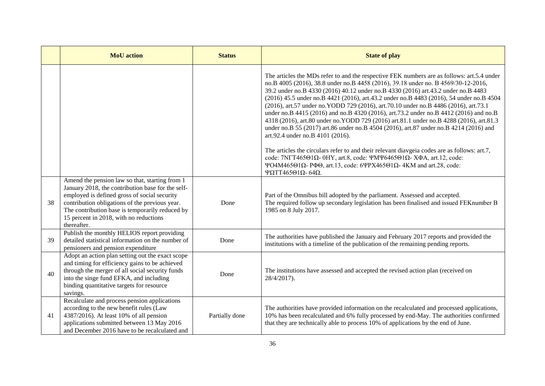|    | <b>MoU</b> action                                                                                                                                                                                                                                                                                                 | <b>Status</b>  | <b>State of play</b>                                                                                                                                                                                                                                                                                                                                                                                                                                                                                                                                                                                                                                                                                                                                                                                                                                                                                                                                                                                                                |
|----|-------------------------------------------------------------------------------------------------------------------------------------------------------------------------------------------------------------------------------------------------------------------------------------------------------------------|----------------|-------------------------------------------------------------------------------------------------------------------------------------------------------------------------------------------------------------------------------------------------------------------------------------------------------------------------------------------------------------------------------------------------------------------------------------------------------------------------------------------------------------------------------------------------------------------------------------------------------------------------------------------------------------------------------------------------------------------------------------------------------------------------------------------------------------------------------------------------------------------------------------------------------------------------------------------------------------------------------------------------------------------------------------|
|    |                                                                                                                                                                                                                                                                                                                   |                | The articles the MDs refer to and the respective FEK numbers are as follows: art.5.4 under<br>no.B 4005 (2016), 38.8 under no.B 4458 (2016), 39.18 under no. B 4569/30-12-2016,<br>39.2 under no.B 4330 (2016) 40.12 under no.B 4330 (2016) art.43.2 under no.B 4483<br>(2016) 45.5 under no.B 4421 (2016), art.43.2 under no.B 4483 (2016), 54 under no.B 4504<br>(2016), art.57 under no.YODD 729 (2016), art.70.10 under no.B 4486 (2016), art.73.1<br>under no.B 4415 (2016) and no.B 4320 (2016), art.73.2 under no.B 4412 (2016) and no.B<br>4318 (2016), art.80 under no.YODD 729 (2016) art.81.1 under no.B 4288 (2016), art.81.3<br>under no.B 55 (2017) art.86 under no.B 4504 (2016), art.87 under no.B 4214 (2016) and<br>art.92.4 under no.B 4101 (2016).<br>The articles the circulars refer to and their relevant diavgeia codes are as follows: art.7,<br>code: 7NΓΤ465Θ1Ω- 0HY, art.8, code: ΨΜΨ6465Θ1Ω- ΧΦΑ, art.12, code:<br>ΨΟ4Μ465Θ1Ω- ΡΦΘ, art.13, code: 6ΨΡΧ465Θ1Ω- 4KM and art.28, code:<br>ΨΩΤΤ465Θ1Ω-64Ω. |
| 38 | Amend the pension law so that, starting from 1<br>January 2018, the contribution base for the self-<br>employed is defined gross of social security<br>contribution obligations of the previous year.<br>The contribution base is temporarily reduced by<br>15 percent in 2018, with no reductions<br>thereafter. | Done           | Part of the Omnibus bill adopted by the parliament. Assessed and accepted.<br>The required follow up secondary legislation has been finalised and issued FEK number B<br>1985 on 8 July 2017.                                                                                                                                                                                                                                                                                                                                                                                                                                                                                                                                                                                                                                                                                                                                                                                                                                       |
| 39 | Publish the monthly HELIOS report providing<br>detailed statistical information on the number of<br>pensioners and pension expenditure                                                                                                                                                                            | Done           | The authorities have published the January and February 2017 reports and provided the<br>institutions with a timeline of the publication of the remaining pending reports.                                                                                                                                                                                                                                                                                                                                                                                                                                                                                                                                                                                                                                                                                                                                                                                                                                                          |
| 40 | Adopt an action plan setting out the exact scope<br>and timing for efficiency gains to be achieved<br>through the merger of all social security funds<br>into the singe fund EFKA, and including<br>binding quantitative targets for resource<br>savings.                                                         | Done           | The institutions have assessed and accepted the revised action plan (received on<br>28/4/2017).                                                                                                                                                                                                                                                                                                                                                                                                                                                                                                                                                                                                                                                                                                                                                                                                                                                                                                                                     |
| 41 | Recalculate and process pension applications<br>according to the new benefit rules (Law<br>4387/2016). At least 10% of all pension<br>applications submitted between 13 May 2016<br>and December 2016 have to be recalculated and                                                                                 | Partially done | The authorities have provided information on the recalculated and processed applications,<br>10% has been recalculated and 6% fully processed by end-May. The authorities confirmed<br>that they are technically able to process 10% of applications by the end of June.                                                                                                                                                                                                                                                                                                                                                                                                                                                                                                                                                                                                                                                                                                                                                            |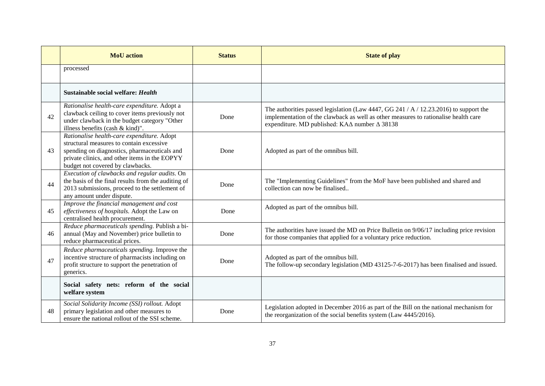|    | <b>MoU</b> action                                                                                                                                                                                                           | <b>Status</b> | <b>State of play</b>                                                                                                                                                                                                          |
|----|-----------------------------------------------------------------------------------------------------------------------------------------------------------------------------------------------------------------------------|---------------|-------------------------------------------------------------------------------------------------------------------------------------------------------------------------------------------------------------------------------|
|    | processed                                                                                                                                                                                                                   |               |                                                                                                                                                                                                                               |
|    | Sustainable social welfare: Health                                                                                                                                                                                          |               |                                                                                                                                                                                                                               |
| 42 | Rationalise health-care expenditure. Adopt a<br>clawback ceiling to cover items previously not<br>under clawback in the budget category "Other<br>illness benefits (cash & kind)".                                          | Done          | The authorities passed legislation (Law 4447, GG 241 / A / 12.23.2016) to support the<br>implementation of the clawback as well as other measures to rationalise health care<br>expenditure. MD published: KA∆ number ∆ 38138 |
| 43 | Rationalise health-care expenditure. Adopt<br>structural measures to contain excessive<br>spending on diagnostics, pharmaceuticals and<br>private clinics, and other items in the EOPYY<br>budget not covered by clawbacks. | Done          | Adopted as part of the omnibus bill.                                                                                                                                                                                          |
| 44 | Execution of clawbacks and regular audits. On<br>the basis of the final results from the auditing of<br>2013 submissions, proceed to the settlement of<br>any amount under dispute.                                         | Done          | The "Implementing Guidelines" from the MoF have been published and shared and<br>collection can now be finalised                                                                                                              |
| 45 | Improve the financial management and cost<br>effectiveness of hospitals. Adopt the Law on<br>centralised health procurement.                                                                                                | Done          | Adopted as part of the omnibus bill.                                                                                                                                                                                          |
| 46 | Reduce pharmaceuticals spending. Publish a bi-<br>annual (May and November) price bulletin to<br>reduce pharmaceutical prices.                                                                                              | Done          | The authorities have issued the MD on Price Bulletin on 9/06/17 including price revision<br>for those companies that applied for a voluntary price reduction.                                                                 |
| 47 | Reduce pharmaceuticals spending. Improve the<br>incentive structure of pharmacists including on<br>profit structure to support the penetration of<br>generics.                                                              | Done          | Adopted as part of the omnibus bill.<br>The follow-up secondary legislation (MD 43125-7-6-2017) has been finalised and issued.                                                                                                |
|    | Social safety nets: reform of the social<br>welfare system                                                                                                                                                                  |               |                                                                                                                                                                                                                               |
| 48 | Social Solidarity Income (SSI) rollout. Adopt<br>primary legislation and other measures to<br>ensure the national rollout of the SSI scheme.                                                                                | Done          | Legislation adopted in December 2016 as part of the Bill on the national mechanism for<br>the reorganization of the social benefits system (Law 4445/2016).                                                                   |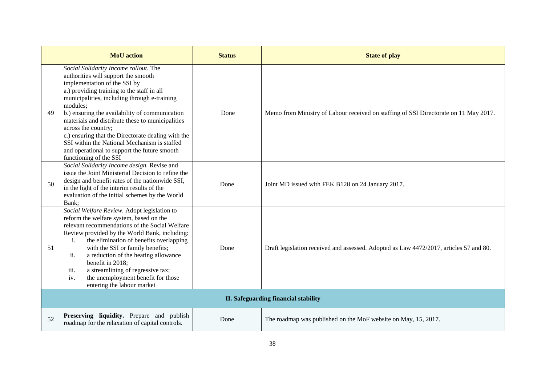|    | <b>MoU</b> action                                                                                                                                                                                                                                                                                                                                                                                                                                                                                                                   | <b>Status</b> | <b>State of play</b>                                                                   |  |
|----|-------------------------------------------------------------------------------------------------------------------------------------------------------------------------------------------------------------------------------------------------------------------------------------------------------------------------------------------------------------------------------------------------------------------------------------------------------------------------------------------------------------------------------------|---------------|----------------------------------------------------------------------------------------|--|
| 49 | Social Solidarity Income rollout. The<br>authorities will support the smooth<br>implementation of the SSI by<br>a.) providing training to the staff in all<br>municipalities, including through e-training<br>modules;<br>b.) ensuring the availability of communication<br>materials and distribute these to municipalities<br>across the country;<br>c.) ensuring that the Directorate dealing with the<br>SSI within the National Mechanism is staffed<br>and operational to support the future smooth<br>functioning of the SSI | Done          | Memo from Ministry of Labour received on staffing of SSI Directorate on 11 May 2017.   |  |
| 50 | Social Solidarity Income design. Revise and<br>issue the Joint Ministerial Decision to refine the<br>design and benefit rates of the nationwide SSI,<br>in the light of the interim results of the<br>evaluation of the initial schemes by the World<br>Bank;                                                                                                                                                                                                                                                                       | Done          | Joint MD issued with FEK B128 on 24 January 2017.                                      |  |
| 51 | Social Welfare Review. Adopt legislation to<br>reform the welfare system, based on the<br>relevant recommendations of the Social Welfare<br>Review provided by the World Bank, including:<br>the elimination of benefits overlapping<br>$\mathbf{i}$ .<br>with the SSI or family benefits;<br>a reduction of the heating allowance<br>ii.<br>benefit in 2018;<br>a streamlining of regressive tax;<br>iii.<br>the unemployment benefit for those<br>iv.<br>entering the labour market                                               | Done          | Draft legislation received and assessed. Adopted as Law 4472/2017, articles 57 and 80. |  |
|    | II. Safeguarding financial stability                                                                                                                                                                                                                                                                                                                                                                                                                                                                                                |               |                                                                                        |  |
| 52 | Preserving liquidity. Prepare and publish<br>roadmap for the relaxation of capital controls.                                                                                                                                                                                                                                                                                                                                                                                                                                        | Done          | The roadmap was published on the MoF website on May, 15, 2017.                         |  |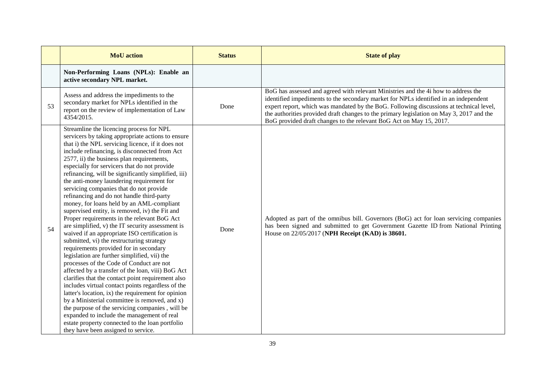|    | <b>MoU</b> action                                                                                                                                                                                                                                                                                                                                                                                                                                                                                                                                                                                                                                                                                                                                                                                                                                                                                                                                                                                                                                                                                                                                                                                                                                                                                                                                                                                   | <b>Status</b> | <b>State of play</b>                                                                                                                                                                                                                                                                                                                                                                                                                     |
|----|-----------------------------------------------------------------------------------------------------------------------------------------------------------------------------------------------------------------------------------------------------------------------------------------------------------------------------------------------------------------------------------------------------------------------------------------------------------------------------------------------------------------------------------------------------------------------------------------------------------------------------------------------------------------------------------------------------------------------------------------------------------------------------------------------------------------------------------------------------------------------------------------------------------------------------------------------------------------------------------------------------------------------------------------------------------------------------------------------------------------------------------------------------------------------------------------------------------------------------------------------------------------------------------------------------------------------------------------------------------------------------------------------------|---------------|------------------------------------------------------------------------------------------------------------------------------------------------------------------------------------------------------------------------------------------------------------------------------------------------------------------------------------------------------------------------------------------------------------------------------------------|
|    | Non-Performing Loans (NPLs): Enable an<br>active secondary NPL market.                                                                                                                                                                                                                                                                                                                                                                                                                                                                                                                                                                                                                                                                                                                                                                                                                                                                                                                                                                                                                                                                                                                                                                                                                                                                                                                              |               |                                                                                                                                                                                                                                                                                                                                                                                                                                          |
| 53 | Assess and address the impediments to the<br>secondary market for NPLs identified in the<br>report on the review of implementation of Law<br>4354/2015.                                                                                                                                                                                                                                                                                                                                                                                                                                                                                                                                                                                                                                                                                                                                                                                                                                                                                                                                                                                                                                                                                                                                                                                                                                             | Done          | BoG has assessed and agreed with relevant Ministries and the 4i how to address the<br>identified impediments to the secondary market for NPLs identified in an independent<br>expert report, which was mandated by the BoG. Following discussions at technical level,<br>the authorities provided draft changes to the primary legislation on May 3, 2017 and the<br>BoG provided draft changes to the relevant BoG Act on May 15, 2017. |
| 54 | Streamline the licencing process for NPL<br>servicers by taking appropriate actions to ensure<br>that i) the NPL servicing licence, if it does not<br>include refinancing, is disconnected from Act<br>2577, ii) the business plan requirements,<br>especially for servicers that do not provide<br>refinancing, will be significantly simplified, iii)<br>the anti-money laundering requirement for<br>servicing companies that do not provide<br>refinancing and do not handle third-party<br>money, for loans held by an AML-compliant<br>supervised entity, is removed, iv) the Fit and<br>Proper requirements in the relevant BoG Act<br>are simplified, v) the IT security assessment is<br>waived if an appropriate ISO certification is<br>submitted, vi) the restructuring strategy<br>requirements provided for in secondary<br>legislation are further simplified, vii) the<br>processes of the Code of Conduct are not<br>affected by a transfer of the loan, viii) BoG Act<br>clarifies that the contact point requirement also<br>includes virtual contact points regardless of the<br>latter's location, ix) the requirement for opinion<br>by a Ministerial committee is removed, and x)<br>the purpose of the servicing companies, will be<br>expanded to include the management of real<br>estate property connected to the loan portfolio<br>they have been assigned to service. | Done          | Adopted as part of the omnibus bill. Governors (BoG) act for loan servicing companies<br>has been signed and submitted to get Government Gazette ID from National Printing<br>House on 22/05/2017 (NPH Receipt (KAD) is 38601.                                                                                                                                                                                                           |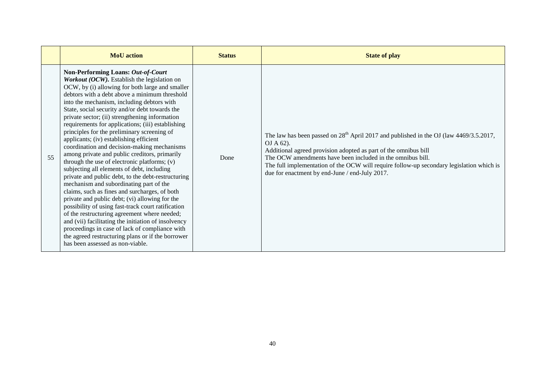|    | <b>MoU</b> action                                                                                                                                                                                                                                                                                                                                                                                                                                                                                                                                                                                                                                                                                                                                                                                                                                                                                                                                                                                                                                                                                                                                                                                | <b>Status</b> | <b>State of play</b>                                                                                                                                                                                                                                                                                                                                                                 |
|----|--------------------------------------------------------------------------------------------------------------------------------------------------------------------------------------------------------------------------------------------------------------------------------------------------------------------------------------------------------------------------------------------------------------------------------------------------------------------------------------------------------------------------------------------------------------------------------------------------------------------------------------------------------------------------------------------------------------------------------------------------------------------------------------------------------------------------------------------------------------------------------------------------------------------------------------------------------------------------------------------------------------------------------------------------------------------------------------------------------------------------------------------------------------------------------------------------|---------------|--------------------------------------------------------------------------------------------------------------------------------------------------------------------------------------------------------------------------------------------------------------------------------------------------------------------------------------------------------------------------------------|
| 55 | Non-Performing Loans: Out-of-Court<br>Workout (OCW). Establish the legislation on<br>OCW, by (i) allowing for both large and smaller<br>debtors with a debt above a minimum threshold<br>into the mechanism, including debtors with<br>State, social security and/or debt towards the<br>private sector; (ii) strengthening information<br>requirements for applications; (iii) establishing<br>principles for the preliminary screening of<br>applicants; (iv) establishing efficient<br>coordination and decision-making mechanisms<br>among private and public creditors, primarily<br>through the use of electronic platforms; (v)<br>subjecting all elements of debt, including<br>private and public debt, to the debt-restructuring<br>mechanism and subordinating part of the<br>claims, such as fines and surcharges, of both<br>private and public debt; (vi) allowing for the<br>possibility of using fast-track court ratification<br>of the restructuring agreement where needed;<br>and (vii) facilitating the initiation of insolvency<br>proceedings in case of lack of compliance with<br>the agreed restructuring plans or if the borrower<br>has been assessed as non-viable. | Done          | The law has been passed on $28th$ April 2017 and published in the OJ (law 4469/3.5.2017,<br>OJ A 62).<br>Additional agreed provision adopted as part of the omnibus bill<br>The OCW amendments have been included in the omnibus bill.<br>The full implementation of the OCW will require follow-up secondary legislation which is<br>due for enactment by end-June / end-July 2017. |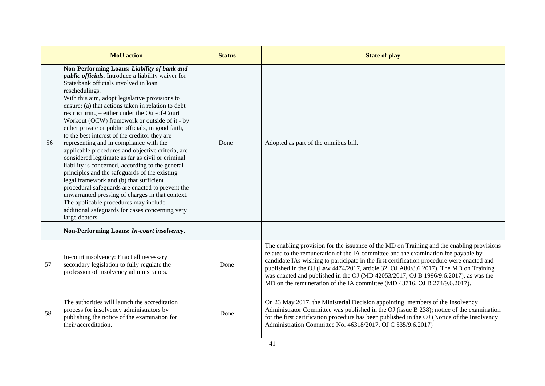|    | <b>MoU</b> action                                                                                                                                                                                                                                                                                                                                                                                                                                                                                                                                                                                                                                                                                                                                                                                                                                                                                                                                                                                                | <b>Status</b> | <b>State of play</b>                                                                                                                                                                                                                                                                                                                                                                                                                                                                                                                      |
|----|------------------------------------------------------------------------------------------------------------------------------------------------------------------------------------------------------------------------------------------------------------------------------------------------------------------------------------------------------------------------------------------------------------------------------------------------------------------------------------------------------------------------------------------------------------------------------------------------------------------------------------------------------------------------------------------------------------------------------------------------------------------------------------------------------------------------------------------------------------------------------------------------------------------------------------------------------------------------------------------------------------------|---------------|-------------------------------------------------------------------------------------------------------------------------------------------------------------------------------------------------------------------------------------------------------------------------------------------------------------------------------------------------------------------------------------------------------------------------------------------------------------------------------------------------------------------------------------------|
| 56 | Non-Performing Loans: Liability of bank and<br><i>public officials</i> . Introduce a liability waiver for<br>State/bank officials involved in loan<br>reschedulings.<br>With this aim, adopt legislative provisions to<br>ensure: (a) that actions taken in relation to debt<br>restructuring – either under the Out-of-Court<br>Workout (OCW) framework or outside of it - by<br>either private or public officials, in good faith,<br>to the best interest of the creditor they are<br>representing and in compliance with the<br>applicable procedures and objective criteria, are<br>considered legitimate as far as civil or criminal<br>liability is concerned, according to the general<br>principles and the safeguards of the existing<br>legal framework and (b) that sufficient<br>procedural safeguards are enacted to prevent the<br>unwarranted pressing of charges in that context.<br>The applicable procedures may include<br>additional safeguards for cases concerning very<br>large debtors. | Done          | Adopted as part of the omnibus bill.                                                                                                                                                                                                                                                                                                                                                                                                                                                                                                      |
|    | Non-Performing Loans: In-court insolvency.                                                                                                                                                                                                                                                                                                                                                                                                                                                                                                                                                                                                                                                                                                                                                                                                                                                                                                                                                                       |               |                                                                                                                                                                                                                                                                                                                                                                                                                                                                                                                                           |
| 57 | In-court insolvency: Enact all necessary<br>secondary legislation to fully regulate the<br>profession of insolvency administrators.                                                                                                                                                                                                                                                                                                                                                                                                                                                                                                                                                                                                                                                                                                                                                                                                                                                                              | Done          | The enabling provision for the issuance of the MD on Training and the enabling provisions<br>related to the remuneration of the IA committee and the examination fee payable by<br>candidate IAs wishing to participate in the first certification procedure were enacted and<br>published in the OJ (Law 4474/2017, article 32, OJ A80/8.6.2017). The MD on Training<br>was enacted and published in the OJ (MD 42053/2017, OJ B 1996/9.6.2017), as was the<br>MD on the remuneration of the IA committee (MD 43716, OJ B 274/9.6.2017). |
| 58 | The authorities will launch the accreditation<br>process for insolvency administrators by<br>publishing the notice of the examination for<br>their accreditation.                                                                                                                                                                                                                                                                                                                                                                                                                                                                                                                                                                                                                                                                                                                                                                                                                                                | Done          | On 23 May 2017, the Ministerial Decision appointing members of the Insolvency<br>Administrator Committee was published in the OJ (issue B 238); notice of the examination<br>for the first certification procedure has been published in the OJ (Notice of the Insolvency<br>Administration Committee No. 46318/2017, OJ C 535/9.6.2017)                                                                                                                                                                                                  |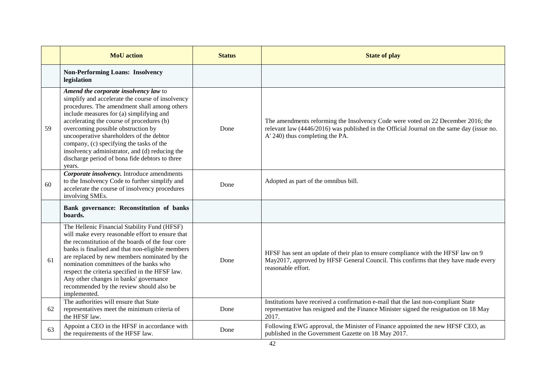|    | <b>MoU</b> action                                                                                                                                                                                                                                                                                                                                                                                                                                                              | <b>Status</b> | <b>State of play</b>                                                                                                                                                                                             |
|----|--------------------------------------------------------------------------------------------------------------------------------------------------------------------------------------------------------------------------------------------------------------------------------------------------------------------------------------------------------------------------------------------------------------------------------------------------------------------------------|---------------|------------------------------------------------------------------------------------------------------------------------------------------------------------------------------------------------------------------|
|    | <b>Non-Performing Loans: Insolvency</b><br>legislation                                                                                                                                                                                                                                                                                                                                                                                                                         |               |                                                                                                                                                                                                                  |
| 59 | Amend the corporate insolvency law to<br>simplify and accelerate the course of insolvency<br>procedures. The amendment shall among others<br>include measures for (a) simplifying and<br>accelerating the course of procedures (b)<br>overcoming possible obstruction by<br>uncooperative shareholders of the debtor<br>company, (c) specifying the tasks of the<br>insolvency administrator, and (d) reducing the<br>discharge period of bona fide debtors to three<br>years. | Done          | The amendments reforming the Insolvency Code were voted on 22 December 2016; the<br>relevant law (4446/2016) was published in the Official Journal on the same day (issue no.<br>A' 240) thus completing the PA. |
| 60 | Corporate insolvency. Introduce amendments<br>to the Insolvency Code to further simplify and<br>accelerate the course of insolvency procedures<br>involving SMEs.                                                                                                                                                                                                                                                                                                              | Done          | Adopted as part of the omnibus bill.                                                                                                                                                                             |
|    | Bank governance: Reconstitution of banks<br>boards.                                                                                                                                                                                                                                                                                                                                                                                                                            |               |                                                                                                                                                                                                                  |
| 61 | The Hellenic Financial Stability Fund (HFSF)<br>will make every reasonable effort to ensure that<br>the reconstitution of the boards of the four core<br>banks is finalised and that non-eligible members<br>are replaced by new members nominated by the<br>nomination committees of the banks who<br>respect the criteria specified in the HFSF law.<br>Any other changes in banks' governance<br>recommended by the review should also be<br>implemented.                   | Done          | HFSF has sent an update of their plan to ensure compliance with the HFSF law on 9<br>May2017, approved by HFSF General Council. This confirms that they have made every<br>reasonable effort.                    |
| 62 | The authorities will ensure that State<br>representatives meet the minimum criteria of<br>the HFSF law.                                                                                                                                                                                                                                                                                                                                                                        | Done          | Institutions have received a confirmation e-mail that the last non-compliant State<br>representative has resigned and the Finance Minister signed the resignation on 18 May<br>2017.                             |
| 63 | Appoint a CEO in the HFSF in accordance with<br>the requirements of the HFSF law.                                                                                                                                                                                                                                                                                                                                                                                              | Done          | Following EWG approval, the Minister of Finance appointed the new HFSF CEO, as<br>published in the Government Gazette on 18 May 2017.                                                                            |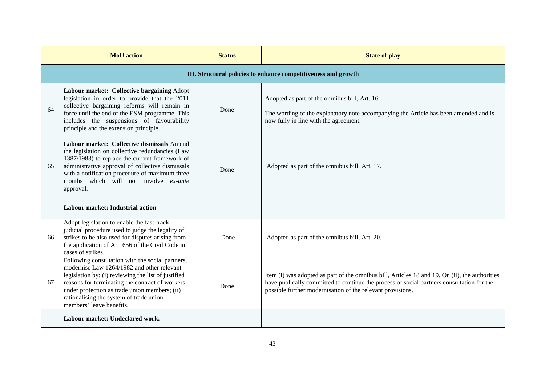|    | <b>MoU</b> action                                                                                                                                                                                                                                                                                                                | <b>Status</b> | <b>State of play</b>                                                                                                                                                                                                                                      |  |  |
|----|----------------------------------------------------------------------------------------------------------------------------------------------------------------------------------------------------------------------------------------------------------------------------------------------------------------------------------|---------------|-----------------------------------------------------------------------------------------------------------------------------------------------------------------------------------------------------------------------------------------------------------|--|--|
|    | III. Structural policies to enhance competitiveness and growth                                                                                                                                                                                                                                                                   |               |                                                                                                                                                                                                                                                           |  |  |
| 64 | Labour market: Collective bargaining Adopt<br>legislation in order to provide that the 2011<br>collective bargaining reforms will remain in<br>force until the end of the ESM programme. This<br>includes the suspensions of favourability<br>principle and the extension principle.                                             | Done          | Adopted as part of the omnibus bill, Art. 16.<br>The wording of the explanatory note accompanying the Article has been amended and is<br>now fully in line with the agreement.                                                                            |  |  |
| 65 | Labour market: Collective dismissals Amend<br>the legislation on collective redundancies (Law<br>1387/1983) to replace the current framework of<br>administrative approval of collective dismissals<br>with a notification procedure of maximum three<br>months which will not involve ex-ante<br>approval.                      | Done          | Adopted as part of the omnibus bill, Art. 17.                                                                                                                                                                                                             |  |  |
|    | Labour market: Industrial action                                                                                                                                                                                                                                                                                                 |               |                                                                                                                                                                                                                                                           |  |  |
| 66 | Adopt legislation to enable the fast-track<br>judicial procedure used to judge the legality of<br>strikes to be also used for disputes arising from<br>the application of Art. 656 of the Civil Code in<br>cases of strikes.                                                                                                     | Done          | Adopted as part of the omnibus bill, Art. 20.                                                                                                                                                                                                             |  |  |
| 67 | Following consultation with the social partners,<br>modernise Law 1264/1982 and other relevant<br>legislation by: (i) reviewing the list of justified<br>reasons for terminating the contract of workers<br>under protection as trade union members; (ii)<br>rationalising the system of trade union<br>members' leave benefits. | Done          | Item (i) was adopted as part of the omnibus bill, Articles 18 and 19. On (ii), the authorities<br>have publically committed to continue the process of social partners consultation for the<br>possible further modernisation of the relevant provisions. |  |  |
|    | Labour market: Undeclared work.                                                                                                                                                                                                                                                                                                  |               |                                                                                                                                                                                                                                                           |  |  |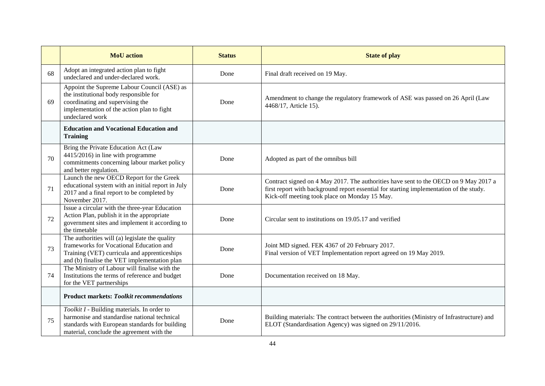|    | <b>MoU</b> action                                                                                                                                                                          | <b>Status</b> | <b>State of play</b>                                                                                                                                                                                                             |
|----|--------------------------------------------------------------------------------------------------------------------------------------------------------------------------------------------|---------------|----------------------------------------------------------------------------------------------------------------------------------------------------------------------------------------------------------------------------------|
| 68 | Adopt an integrated action plan to fight<br>undeclared and under-declared work.                                                                                                            | Done          | Final draft received on 19 May.                                                                                                                                                                                                  |
| 69 | Appoint the Supreme Labour Council (ASE) as<br>the institutional body responsible for<br>coordinating and supervising the<br>implementation of the action plan to fight<br>undeclared work | Done          | Amendment to change the regulatory framework of ASE was passed on 26 April (Law<br>4468/17, Article 15).                                                                                                                         |
|    | <b>Education and Vocational Education and</b><br><b>Training</b>                                                                                                                           |               |                                                                                                                                                                                                                                  |
| 70 | Bring the Private Education Act (Law<br>4415/2016) in line with programme<br>commitments concerning labour market policy<br>and better regulation.                                         | Done          | Adopted as part of the omnibus bill                                                                                                                                                                                              |
| 71 | Launch the new OECD Report for the Greek<br>educational system with an initial report in July<br>2017 and a final report to be completed by<br>November 2017.                              | Done          | Contract signed on 4 May 2017. The authorities have sent to the OECD on 9 May 2017 a<br>first report with background report essential for starting implementation of the study.<br>Kick-off meeting took place on Monday 15 May. |
| 72 | Issue a circular with the three-year Education<br>Action Plan, publish it in the appropriate<br>government sites and implement it according to<br>the timetable                            | Done          | Circular sent to institutions on 19.05.17 and verified                                                                                                                                                                           |
| 73 | The authorities will (a) legislate the quality<br>frameworks for Vocational Education and<br>Training (VET) curricula and apprenticeships<br>and (b) finalise the VET implementation plan  | Done          | Joint MD signed. FEK 4367 of 20 February 2017.<br>Final version of VET Implementation report agreed on 19 May 2019.                                                                                                              |
| 74 | The Ministry of Labour will finalise with the<br>Institutions the terms of reference and budget<br>for the VET partnerships                                                                | Done          | Documentation received on 18 May.                                                                                                                                                                                                |
|    | <b>Product markets: Toolkit recommendations</b>                                                                                                                                            |               |                                                                                                                                                                                                                                  |
| 75 | Toolkit I - Building materials. In order to<br>harmonise and standardise national technical<br>standards with European standards for building<br>material, conclude the agreement with the | Done          | Building materials: The contract between the authorities (Ministry of Infrastructure) and<br>ELOT (Standardisation Agency) was signed on 29/11/2016.                                                                             |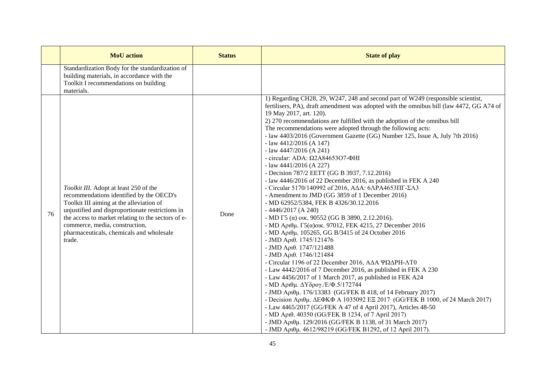|    | <b>MoU</b> action                                                                                                                                                                                                                                                                                                                | <b>Status</b> | <b>State of play</b>                                                                                                                                                                                                                                                                                                                                                                                                                                                                                                                                                                                                                                                                                                                                                                                                                                                                                                                                                                                                                                                                                                                                                                                                                                                                                                                                                                                                                                                                                                                                                                                                                                                                                                                                                                                  |
|----|----------------------------------------------------------------------------------------------------------------------------------------------------------------------------------------------------------------------------------------------------------------------------------------------------------------------------------|---------------|-------------------------------------------------------------------------------------------------------------------------------------------------------------------------------------------------------------------------------------------------------------------------------------------------------------------------------------------------------------------------------------------------------------------------------------------------------------------------------------------------------------------------------------------------------------------------------------------------------------------------------------------------------------------------------------------------------------------------------------------------------------------------------------------------------------------------------------------------------------------------------------------------------------------------------------------------------------------------------------------------------------------------------------------------------------------------------------------------------------------------------------------------------------------------------------------------------------------------------------------------------------------------------------------------------------------------------------------------------------------------------------------------------------------------------------------------------------------------------------------------------------------------------------------------------------------------------------------------------------------------------------------------------------------------------------------------------------------------------------------------------------------------------------------------------|
|    | Standardization Body for the standardization of<br>building materials, in accordance with the<br>Toolkit I recommendations on building<br>materials.                                                                                                                                                                             |               |                                                                                                                                                                                                                                                                                                                                                                                                                                                                                                                                                                                                                                                                                                                                                                                                                                                                                                                                                                                                                                                                                                                                                                                                                                                                                                                                                                                                                                                                                                                                                                                                                                                                                                                                                                                                       |
| 76 | Toolkit III. Adopt at least 250 of the<br>recommendations identified by the OECD's<br>Toolkit III aiming at the alleviation of<br>unjustified and disproportionate restrictions in<br>the access to market relating to the sectors of e-<br>commerce, media, construction,<br>pharmaceuticals, chemicals and wholesale<br>trade. | Done          | 1) Regarding CH28, 29, W247, 248 and second part of W249 (responsible scientist,<br>fertilisers, PA), draft amendment was adopted with the omnibus bill (law 4472, GG A74 of<br>19 May 2017, art. 120).<br>2) 270 recommendations are fulfilled with the adoption of the omnibus bill<br>The recommendations were adopted through the following acts:<br>- law 4403/2016 (Government Gazette (GG) Number 125, Issue A, July 7th 2016)<br>- law $4412/2016$ (A 147)<br>- law $4447/2016$ (A 241)<br>- circular: ADA: $\Omega$ 2A84653O7- $\Phi$ HI<br>- law $4441/2016$ (A 227)<br>- Decision 787/2 EETT (GG B 3937, 7.12.2016)<br>- law 4446/2016 of 22 December 2016, as published in FEK A 240<br>- Circular 5170/140992 of 2016, A $\Delta$ A: 6 $\Delta$ PA4653 $\Pi$ F- $\Sigma$ A3<br>- Amendment to JMD (GG 3859 of 1 December 2016)<br>- MD 62952/5384, FEK B 4326/30.12.2016<br>$-4446/2017$ (A 240)<br>- MD $\Gamma$ 5 ( $\alpha$ ) oik. 90552 (GG B 3890, 2.12.2016).<br>- MD Αριθμ. Γ5(α) οικ. 97012, FEK 4215, 27 December 2016<br>- MD Αριθμ. 105265, GG B/3415 of 24 October 2016<br>- JMD Αριθ. $1745/121476$<br>- JMD Αριθ. 1747/121488<br>- JMD Αριθ. 1746/121484<br>- Circular 1196 of 22 December 2016, ΑΔΑ ΨΩΔΡΗ-ΛΤ0<br>- Law 4442/2016 of 7 December 2016, as published in FEK A 230<br>- Law 4456/2017 of 1 March 2017, as published in FEK A24<br>- ΜD Αριθμ. ΔΥδρογ./Ε/Φ.5/172744<br>- JMD Αριθμ. 176/13383 (GG/FEK B 418, of 14 February 2017)<br>- Decision Αριθμ. ΔΕΦΚΦ Α 1035092 ΕΞ 2017 (GG/FEK Β 1000, of 24 March 2017)<br>- Law 4465/2017 (GG/FEK A 47 of 4 April 2017), Articles 48-50<br>- MD Aριθ. 40350 (GG/FEK B 1234, of 7 April 2017)<br>- JMD Αριθμ. 129/2016 (GG/FEK B 1138, of 31 March 2017)<br>- JMD Αριθμ. 4612/98219 (GG/FEK B1292, of 12 April 2017). |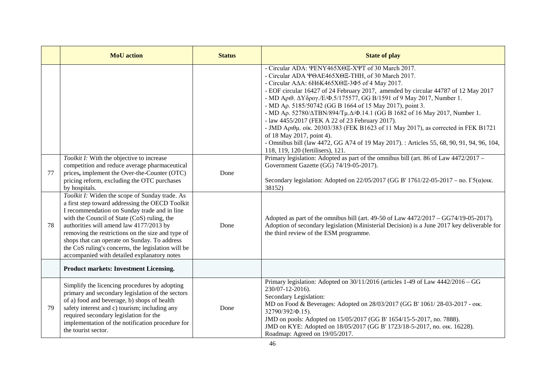|    | <b>MoU</b> action                                                                                                                                                                                                                                                                                                                                                                                                                                     | <b>Status</b> | <b>State of play</b>                                                                                                                                                                                                                                                                                                                                                                                                                                                                                                                                                                                                                                                                                                                                                                                                            |
|----|-------------------------------------------------------------------------------------------------------------------------------------------------------------------------------------------------------------------------------------------------------------------------------------------------------------------------------------------------------------------------------------------------------------------------------------------------------|---------------|---------------------------------------------------------------------------------------------------------------------------------------------------------------------------------------------------------------------------------------------------------------------------------------------------------------------------------------------------------------------------------------------------------------------------------------------------------------------------------------------------------------------------------------------------------------------------------------------------------------------------------------------------------------------------------------------------------------------------------------------------------------------------------------------------------------------------------|
|    |                                                                                                                                                                                                                                                                                                                                                                                                                                                       |               | - Circular ADA: ΨΕΝΥ465ΧΘΕ-ΧΨΤ of 30 March 2017.<br>- Circular ADA \@AE465X@E-THH, of 30 March 2017.<br>- Circular A $\Delta$ A: 6H6K465X $\Theta$ E-3 $\Phi$ 5 of 4 May 2017.<br>- EOF circular 16427 of 24 February 2017, amended by circular 44787 of 12 May 2017<br>- MD Apt0. $\Delta Y \delta \rho o \gamma$ ./E/Φ.5/175577, GG B/1591 of 9 May 2017, Number 1.<br>- MD Ap. 5185/50742 (GG B 1664 of 15 May 2017), point 3.<br>- MD Aρ. 52780/ΔTBN/894/Τμ.Δ/Φ.14.1 (GG B 1682 of 16 May 2017, Number 1.<br>- law 4455/2017 (FEK A 22 of 23 February 2017).<br>- JMD Apt $\theta\mu$ . otk. 20303/383 (FEK B1623 of 11 May 2017), as corrected in FEK B1721<br>of 18 May 2017, point 4).<br>- Omnibus bill (law 4472, GG A74 of 19 May 2017). : Articles 55, 68, 90, 91, 94, 96, 104,<br>118, 119, 120 (fertilisers), 121. |
| 77 | Toolkit I: With the objective to increase<br>competition and reduce average pharmaceutical<br>prices, implement the Over-the-Counter (OTC)<br>pricing reform, excluding the OTC purchases<br>by hospitals.                                                                                                                                                                                                                                            | Done          | Primary legislation: Adopted as part of the omnibus bill (art. 86 of Law $4472/2017 -$<br>Government Gazette (GG) 74/19-05-2017).<br>Secondary legislation: Adopted on $22/05/2017$ (GG B' 1761/22-05-2017 – no. $\Gamma$ 5( $\alpha$ )ow.<br>38152)                                                                                                                                                                                                                                                                                                                                                                                                                                                                                                                                                                            |
| 78 | Toolkit I: Widen the scope of Sunday trade. As<br>a first step toward addressing the OECD Toolkit<br>I recommendation on Sunday trade and in line<br>with the Council of State (CoS) ruling, the<br>authorities will amend law 4177/2013 by<br>removing the restrictions on the size and type of<br>shops that can operate on Sunday. To address<br>the CoS ruling's concerns, the legislation will be<br>accompanied with detailed explanatory notes | Done          | Adopted as part of the omnibus bill (art. $49-50$ of Law $4472/2017 - GG74/19-05-2017$ ).<br>Adoption of secondary legislation (Ministerial Decision) is a June 2017 key deliverable for<br>the third review of the ESM programme.                                                                                                                                                                                                                                                                                                                                                                                                                                                                                                                                                                                              |
|    | <b>Product markets: Investment Licensing.</b>                                                                                                                                                                                                                                                                                                                                                                                                         |               |                                                                                                                                                                                                                                                                                                                                                                                                                                                                                                                                                                                                                                                                                                                                                                                                                                 |
| 79 | Simplify the licencing procedures by adopting<br>primary and secondary legislation of the sectors<br>of a) food and beverage, b) shops of health<br>safety interest and c) tourism; including any<br>required secondary legislation for the<br>implementation of the notification procedure for<br>the tourist sector.                                                                                                                                | Done          | Primary legislation: Adopted on $30/11/2016$ (articles 1-49 of $\overline{\text{Law }4442/2016 - GG}$<br>230/07-12-2016).<br>Secondary Legislation:<br>MD on Food & Beverages: Adopted on 28/03/2017 (GG B' 1061/28-03-2017 - otk.<br>32790/392/Ф.15).<br>JMD on pools: Adopted on 15/05/2017 (GG B' 1654/15-5-2017, no. 7888).<br>JMD on KYE: Adopted on 18/05/2017 (GG B' 1723/18-5-2017, no. otk. 16228).<br>Roadmap: Agreed on 19/05/2017.                                                                                                                                                                                                                                                                                                                                                                                  |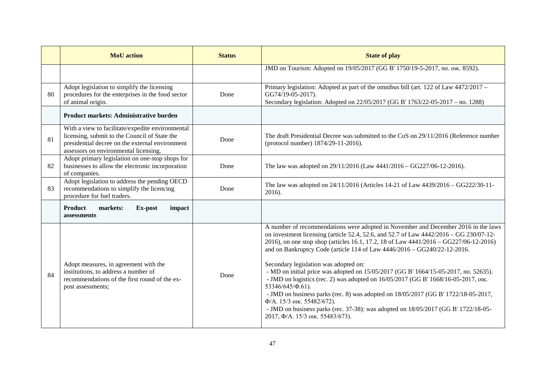|    | <b>MoU</b> action                                                                                                                                                                             | <b>Status</b> | <b>State of play</b>                                                                                                                                                                                                                                                                                                                                                                                                                                                                                                                                                                                                                                                                                                                                                                                                                       |
|----|-----------------------------------------------------------------------------------------------------------------------------------------------------------------------------------------------|---------------|--------------------------------------------------------------------------------------------------------------------------------------------------------------------------------------------------------------------------------------------------------------------------------------------------------------------------------------------------------------------------------------------------------------------------------------------------------------------------------------------------------------------------------------------------------------------------------------------------------------------------------------------------------------------------------------------------------------------------------------------------------------------------------------------------------------------------------------------|
|    |                                                                                                                                                                                               |               | JMD on Tourism: Adopted on 19/05/2017 (GG B' 1750/19-5-2017, no. otk. 8592).                                                                                                                                                                                                                                                                                                                                                                                                                                                                                                                                                                                                                                                                                                                                                               |
| 80 | Adopt legislation to simplify the licensing<br>procedures for the enterprises in the food sector<br>of animal origin.                                                                         | Done          | Primary legislation: Adopted as part of the omnibus bill (art. 122 of Law 4472/2017 –<br>GG74/19-05-2017).<br>Secondary legislation: Adopted on 22/05/2017 (GG B' 1763/22-05-2017 – no. 1288)                                                                                                                                                                                                                                                                                                                                                                                                                                                                                                                                                                                                                                              |
|    | <b>Product markets: Administrative burden</b>                                                                                                                                                 |               |                                                                                                                                                                                                                                                                                                                                                                                                                                                                                                                                                                                                                                                                                                                                                                                                                                            |
| 81 | With a view to facilitate/expedite environmental<br>licensing, submit to the Council of State the<br>presidential decree on the external environment<br>assessors on environmental licensing. | Done          | The draft Presidential Decree was submitted to the CoS on 29/11/2016 (Reference number<br>(protocol number) 1874/29-11-2016).                                                                                                                                                                                                                                                                                                                                                                                                                                                                                                                                                                                                                                                                                                              |
| 82 | Adopt primary legislation on one-stop shops for<br>businesses to allow the electronic incorporation<br>of companies.                                                                          | Done          | The law was adopted on $29/11/2016$ (Law $4441/2016 - GG227/06-12-2016$ ).                                                                                                                                                                                                                                                                                                                                                                                                                                                                                                                                                                                                                                                                                                                                                                 |
| 83 | Adopt legislation to address the pending OECD<br>recommendations to simplify the licencing<br>procedure for fuel traders.                                                                     | Done          | The law was adopted on 24/11/2016 (Articles 14-21 of Law 4439/2016 – GG222/30-11-<br>2016).                                                                                                                                                                                                                                                                                                                                                                                                                                                                                                                                                                                                                                                                                                                                                |
|    | <b>Product</b><br>markets:<br>Ex-post<br>impact<br>assessments                                                                                                                                |               |                                                                                                                                                                                                                                                                                                                                                                                                                                                                                                                                                                                                                                                                                                                                                                                                                                            |
| 84 | Adopt measures, in agreement with the<br>institutions, to address a number of<br>recommendations of the first round of the ex-<br>post assessments;                                           | Done          | A number of recommendations were adopted in November and December 2016 in the laws<br>on investment licensing (article 52.4, 52.6, and 52.7 of Law 4442/2016 - GG 230/07-12-<br>2016), on one stop shop (articles 16.1, 17.2, 18 of Law 4441/2016 - GG227/06-12-2016)<br>and on Bankruptcy Code (article 114 of Law 4446/2016 - GG240/22-12-2016.<br>Secondary legislation was adopted on:<br>- MD on initial price was adopted on 15/05/2017 (GG B' 1664/15-05-2017, no. 52635).<br>- JMD on logistics (rec. 2) was adopted on 16/05/2017 (GG B' 1668/16-05-2017, ou.<br>53346/645/Ф.61).<br>- JMD on business parks (rec. 8) was adopted on $18/05/2017$ (GG B' 1722/18-05-2017,<br>Ф/А. 15/3 ок. 55482/672).<br>- JMD on business parks (rec. 37-38): was adopted on $18/05/2017$ (GG B' 1722/18-05-<br>2017, Ф/А. 15/3 ок. 55483/673). |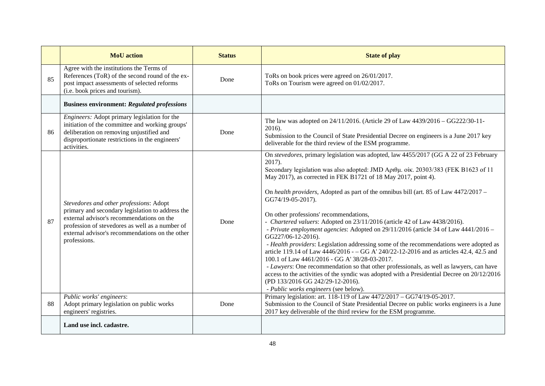|    | <b>MoU</b> action                                                                                                                                                                                                                                              | <b>Status</b> | <b>State of play</b>                                                                                                                                                                                                                                                                                                                                                                                                                                                                                                                                                                                                                                                                                                                                                                                                                                                                                                                                                                                                                                                                                                       |
|----|----------------------------------------------------------------------------------------------------------------------------------------------------------------------------------------------------------------------------------------------------------------|---------------|----------------------------------------------------------------------------------------------------------------------------------------------------------------------------------------------------------------------------------------------------------------------------------------------------------------------------------------------------------------------------------------------------------------------------------------------------------------------------------------------------------------------------------------------------------------------------------------------------------------------------------------------------------------------------------------------------------------------------------------------------------------------------------------------------------------------------------------------------------------------------------------------------------------------------------------------------------------------------------------------------------------------------------------------------------------------------------------------------------------------------|
| 85 | Agree with the institutions the Terms of<br>References (ToR) of the second round of the ex-<br>post impact assessments of selected reforms<br>(i.e. book prices and tourism).                                                                                  | Done          | ToRs on book prices were agreed on 26/01/2017.<br>ToRs on Tourism were agreed on 01/02/2017.                                                                                                                                                                                                                                                                                                                                                                                                                                                                                                                                                                                                                                                                                                                                                                                                                                                                                                                                                                                                                               |
|    | <b>Business environment: Regulated professions</b>                                                                                                                                                                                                             |               |                                                                                                                                                                                                                                                                                                                                                                                                                                                                                                                                                                                                                                                                                                                                                                                                                                                                                                                                                                                                                                                                                                                            |
| 86 | Engineers: Adopt primary legislation for the<br>initiation of the committee and working groups'<br>deliberation on removing unjustified and<br>disproportionate restrictions in the engineers'<br>activities.                                                  | Done          | The law was adopted on 24/11/2016. (Article 29 of Law 4439/2016 - GG222/30-11-<br>$2016$ ).<br>Submission to the Council of State Presidential Decree on engineers is a June 2017 key<br>deliverable for the third review of the ESM programme.                                                                                                                                                                                                                                                                                                                                                                                                                                                                                                                                                                                                                                                                                                                                                                                                                                                                            |
| 87 | Stevedores and other professions: Adopt<br>primary and secondary legislation to address the<br>external advisor's recommendations on the<br>profession of stevedores as well as a number of<br>external advisor's recommendations on the other<br>professions. | Done          | On stevedores, primary legislation was adopted, law 4455/2017 (GG A 22 of 23 February<br>$2017$ ).<br>Secondary legislation was also adopted: JMD Αριθμ. οίκ. 20303/383 (FEK B1623 of 11<br>May 2017), as corrected in FEK B1721 of 18 May 2017, point 4).<br>On health providers, Adopted as part of the omnibus bill (art. 85 of Law $4472/2017 -$<br>GG74/19-05-2017).<br>On other professions' recommendations,<br>- Chartered valuers: Adopted on 23/11/2016 (article 42 of Law 4438/2016).<br>- Private employment agencies: Adopted on 29/11/2016 (article 34 of Law 4441/2016 -<br>GG227/06-12-2016).<br>- Health providers: Legislation addressing some of the recommendations were adopted as<br>article 119.14 of Law 4446/2016 - - GG A' 240/22-12-2016 and as articles 42.4, 42.5 and<br>100.1 of Law 4461/2016 - GG A' 38/28-03-2017.<br>- Lawyers: One recommendation so that other professionals, as well as lawyers, can have<br>access to the activities of the syndic was adopted with a Presidential Decree on 20/12/2016<br>(PD 133/2016 GG 242/29-12-2016).<br>- Public works engineers (see below). |
| 88 | Public works' engineers:<br>Adopt primary legislation on public works<br>engineers' registries.                                                                                                                                                                | Done          | Primary legislation: art. 118-119 of Law 4472/2017 - GG74/19-05-2017.<br>Submission to the Council of State Presidential Decree on public works engineers is a June<br>2017 key deliverable of the third review for the ESM programme.                                                                                                                                                                                                                                                                                                                                                                                                                                                                                                                                                                                                                                                                                                                                                                                                                                                                                     |
|    | Land use incl. cadastre.                                                                                                                                                                                                                                       |               |                                                                                                                                                                                                                                                                                                                                                                                                                                                                                                                                                                                                                                                                                                                                                                                                                                                                                                                                                                                                                                                                                                                            |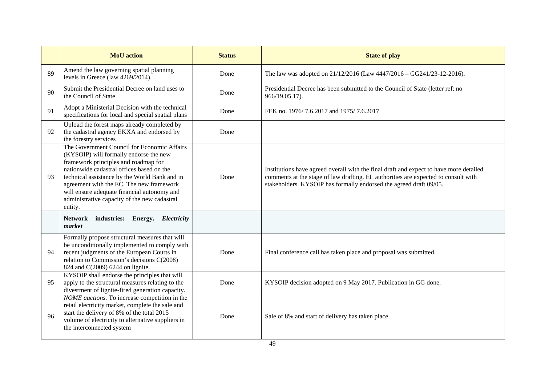|    | <b>MoU</b> action                                                                                                                                                                                                                                                                                                                                                                 | <b>Status</b> | <b>State of play</b>                                                                                                                                                                                                                               |
|----|-----------------------------------------------------------------------------------------------------------------------------------------------------------------------------------------------------------------------------------------------------------------------------------------------------------------------------------------------------------------------------------|---------------|----------------------------------------------------------------------------------------------------------------------------------------------------------------------------------------------------------------------------------------------------|
| 89 | Amend the law governing spatial planning<br>levels in Greece (law 4269/2014).                                                                                                                                                                                                                                                                                                     | Done          | The law was adopted on 21/12/2016 (Law 4447/2016 - GG241/23-12-2016).                                                                                                                                                                              |
| 90 | Submit the Presidential Decree on land uses to<br>the Council of State                                                                                                                                                                                                                                                                                                            | Done          | Presidential Decree has been submitted to the Council of State (letter ref: no<br>966/19.05.17).                                                                                                                                                   |
| 91 | Adopt a Ministerial Decision with the technical<br>specifications for local and special spatial plans                                                                                                                                                                                                                                                                             | Done          | FEK no. 1976/7.6.2017 and 1975/7.6.2017                                                                                                                                                                                                            |
| 92 | Upload the forest maps already completed by<br>the cadastral agency EKXA and endorsed by<br>the forestry services                                                                                                                                                                                                                                                                 | Done          |                                                                                                                                                                                                                                                    |
| 93 | The Government Council for Economic Affairs<br>(KYSOIP) will formally endorse the new<br>framework principles and roadmap for<br>nationwide cadastral offices based on the<br>technical assistance by the World Bank and in<br>agreement with the EC. The new framework<br>will ensure adequate financial autonomy and<br>administrative capacity of the new cadastral<br>entity. | Done          | Institutions have agreed overall with the final draft and expect to have more detailed<br>comments at the stage of law drafting. EL authorities are expected to consult with<br>stakeholders. KYSOIP has formally endorsed the agreed draft 09/05. |
|    | industries: Energy. Electricity<br><b>Network</b><br>market                                                                                                                                                                                                                                                                                                                       |               |                                                                                                                                                                                                                                                    |
| 94 | Formally propose structural measures that will<br>be unconditionally implemented to comply with<br>recent judgments of the European Courts in<br>relation to Commission's decisions C(2008)<br>824 and C(2009) 6244 on lignite.                                                                                                                                                   | Done          | Final conference call has taken place and proposal was submitted.                                                                                                                                                                                  |
| 95 | KYSOIP shall endorse the principles that will<br>apply to the structural measures relating to the<br>divestment of lignite-fired generation capacity.                                                                                                                                                                                                                             | Done          | KYSOIP decision adopted on 9 May 2017. Publication in GG done.                                                                                                                                                                                     |
| 96 | NOME auctions. To increase competition in the<br>retail electricity market, complete the sale and<br>start the delivery of 8% of the total 2015<br>volume of electricity to alternative suppliers in<br>the interconnected system                                                                                                                                                 | Done          | Sale of 8% and start of delivery has taken place.                                                                                                                                                                                                  |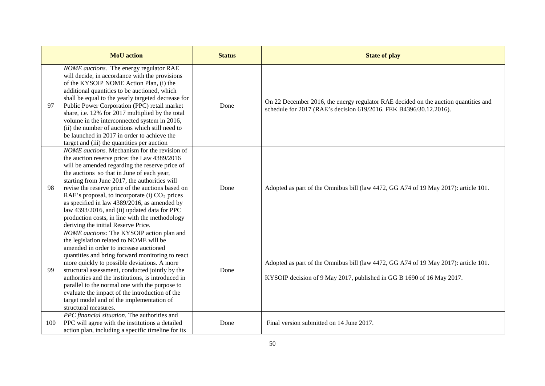|     | <b>MoU</b> action                                                                                                                                                                                                                                                                                                                                                                                                                                                                                                                                        | <b>Status</b> | <b>State of play</b>                                                                                                                                         |
|-----|----------------------------------------------------------------------------------------------------------------------------------------------------------------------------------------------------------------------------------------------------------------------------------------------------------------------------------------------------------------------------------------------------------------------------------------------------------------------------------------------------------------------------------------------------------|---------------|--------------------------------------------------------------------------------------------------------------------------------------------------------------|
| 97  | NOME auctions. The energy regulator RAE<br>will decide, in accordance with the provisions<br>of the KYSOIP NOME Action Plan, (i) the<br>additional quantities to be auctioned, which<br>shall be equal to the yearly targeted decrease for<br>Public Power Corporation (PPC) retail market<br>share, i.e. 12% for 2017 multiplied by the total<br>volume in the interconnected system in 2016,<br>(ii) the number of auctions which still need to<br>be launched in 2017 in order to achieve the<br>target and (iii) the quantities per auction          | Done          | On 22 December 2016, the energy regulator RAE decided on the auction quantities and<br>schedule for 2017 (RAE's decision 619/2016. FEK B4396/30.12.2016).    |
| 98  | NOME auctions. Mechanism for the revision of<br>the auction reserve price: the Law 4389/2016<br>will be amended regarding the reserve price of<br>the auctions so that in June of each year,<br>starting from June 2017, the authorities will<br>revise the reserve price of the auctions based on<br>RAE's proposal, to incorporate (i) CO <sub>2</sub> prices<br>as specified in law 4389/2016, as amended by<br>law 4393/2016, and (ii) updated data for PPC<br>production costs, in line with the methodology<br>deriving the initial Reserve Price. | Done          | Adopted as part of the Omnibus bill (law 4472, GG A74 of 19 May 2017): article 101.                                                                          |
| 99  | NOME auctions: The KYSOIP action plan and<br>the legislation related to NOME will be<br>amended in order to increase auctioned<br>quantities and bring forward monitoring to react<br>more quickly to possible deviations. A more<br>structural assessment, conducted jointly by the<br>authorities and the institutions, is introduced in<br>parallel to the normal one with the purpose to<br>evaluate the impact of the introduction of the<br>target model and of the implementation of<br>structural measures.                                      | Done          | Adopted as part of the Omnibus bill (law 4472, GG A74 of 19 May 2017): article 101.<br>KYSOIP decision of 9 May 2017, published in GG B 1690 of 16 May 2017. |
| 100 | PPC financial situation. The authorities and<br>PPC will agree with the institutions a detailed<br>action plan, including a specific timeline for its                                                                                                                                                                                                                                                                                                                                                                                                    | Done          | Final version submitted on 14 June 2017.                                                                                                                     |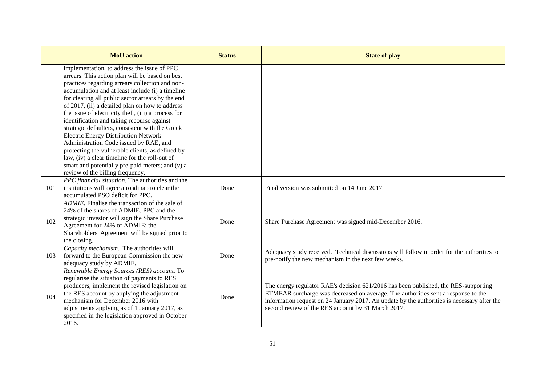|     | <b>MoU</b> action                                                                                                                                                                                                                                                                                                                                                                                                                                                                                                                                                                                                                                                                                                                                     | <b>Status</b> | <b>State of play</b>                                                                                                                                                                                                                                                                                                          |
|-----|-------------------------------------------------------------------------------------------------------------------------------------------------------------------------------------------------------------------------------------------------------------------------------------------------------------------------------------------------------------------------------------------------------------------------------------------------------------------------------------------------------------------------------------------------------------------------------------------------------------------------------------------------------------------------------------------------------------------------------------------------------|---------------|-------------------------------------------------------------------------------------------------------------------------------------------------------------------------------------------------------------------------------------------------------------------------------------------------------------------------------|
|     | implementation, to address the issue of PPC<br>arrears. This action plan will be based on best<br>practices regarding arrears collection and non-<br>accumulation and at least include (i) a timeline<br>for clearing all public sector arrears by the end<br>of 2017, (ii) a detailed plan on how to address<br>the issue of electricity theft, (iii) a process for<br>identification and taking recourse against<br>strategic defaulters, consistent with the Greek<br>Electric Energy Distribution Network<br>Administration Code issued by RAE, and<br>protecting the vulnerable clients, as defined by<br>law, (iv) a clear timeline for the roll-out of<br>smart and potentially pre-paid meters; and (v) a<br>review of the billing frequency. |               |                                                                                                                                                                                                                                                                                                                               |
| 101 | PPC financial situation. The authorities and the<br>institutions will agree a roadmap to clear the<br>accumulated PSO deficit for PPC.                                                                                                                                                                                                                                                                                                                                                                                                                                                                                                                                                                                                                | Done          | Final version was submitted on 14 June 2017.                                                                                                                                                                                                                                                                                  |
| 102 | ADMIE. Finalise the transaction of the sale of<br>24% of the shares of ADMIE. PPC and the<br>strategic investor will sign the Share Purchase<br>Agreement for 24% of ADMIE; the<br>Shareholders' Agreement will be signed prior to<br>the closing.                                                                                                                                                                                                                                                                                                                                                                                                                                                                                                    | Done          | Share Purchase Agreement was signed mid-December 2016.                                                                                                                                                                                                                                                                        |
| 103 | Capacity mechanism. The authorities will<br>forward to the European Commission the new<br>adequacy study by ADMIE.                                                                                                                                                                                                                                                                                                                                                                                                                                                                                                                                                                                                                                    | Done          | Adequacy study received. Technical discussions will follow in order for the authorities to<br>pre-notify the new mechanism in the next few weeks.                                                                                                                                                                             |
| 104 | Renewable Energy Sources (RES) account. To<br>regularise the situation of payments to RES<br>producers, implement the revised legislation on<br>the RES account by applying the adjustment<br>mechanism for December 2016 with<br>adjustments applying as of 1 January 2017, as<br>specified in the legislation approved in October<br>2016.                                                                                                                                                                                                                                                                                                                                                                                                          | Done          | The energy regulator RAE's decision 621/2016 has been published, the RES-supporting<br>ETMEAR surcharge was decreased on average. The authorities sent a response to the<br>information request on 24 January 2017. An update by the authorities is necessary after the<br>second review of the RES account by 31 March 2017. |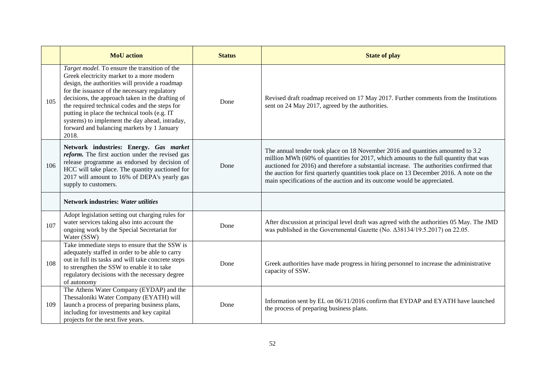|     | <b>MoU</b> action                                                                                                                                                                                                                                                                                                                                                                                                                                            | <b>Status</b> | <b>State of play</b>                                                                                                                                                                                                                                                                                                                                                                                                                        |
|-----|--------------------------------------------------------------------------------------------------------------------------------------------------------------------------------------------------------------------------------------------------------------------------------------------------------------------------------------------------------------------------------------------------------------------------------------------------------------|---------------|---------------------------------------------------------------------------------------------------------------------------------------------------------------------------------------------------------------------------------------------------------------------------------------------------------------------------------------------------------------------------------------------------------------------------------------------|
| 105 | Target model. To ensure the transition of the<br>Greek electricity market to a more modern<br>design, the authorities will provide a roadmap<br>for the issuance of the necessary regulatory<br>decisions, the approach taken in the drafting of<br>the required technical codes and the steps for<br>putting in place the technical tools (e.g. IT<br>systems) to implement the day ahead, intraday,<br>forward and balancing markets by 1 January<br>2018. | Done          | Revised draft roadmap received on 17 May 2017. Further comments from the Institutions<br>sent on 24 May 2017, agreed by the authorities.                                                                                                                                                                                                                                                                                                    |
| 106 | Network industries: Energy. Gas market<br>reform. The first auction under the revised gas<br>release programme as endorsed by decision of<br>HCC will take place. The quantity auctioned for<br>2017 will amount to 16% of DEPA's yearly gas<br>supply to customers.                                                                                                                                                                                         | Done          | The annual tender took place on 18 November 2016 and quantities amounted to 3.2<br>million MWh (60% of quantities for 2017, which amounts to the full quantity that was<br>auctioned for 2016) and therefore a substantial increase. The authorities confirmed that<br>the auction for first quarterly quantities took place on 13 December 2016. A note on the<br>main specifications of the auction and its outcome would be appreciated. |
|     | <b>Network industries: Water utilities</b>                                                                                                                                                                                                                                                                                                                                                                                                                   |               |                                                                                                                                                                                                                                                                                                                                                                                                                                             |
| 107 | Adopt legislation setting out charging rules for<br>water services taking also into account the<br>ongoing work by the Special Secretariat for<br>Water (SSW)                                                                                                                                                                                                                                                                                                | Done          | After discussion at principal level draft was agreed with the authorities 05 May. The JMD<br>was published in the Governmental Gazette (No. Δ38134/19.5.2017) on 22.05.                                                                                                                                                                                                                                                                     |
| 108 | Take immediate steps to ensure that the SSW is<br>adequately staffed in order to be able to carry<br>out in full its tasks and will take concrete steps<br>to strengthen the SSW to enable it to take<br>regulatory decisions with the necessary degree<br>of autonomy                                                                                                                                                                                       | Done          | Greek authorities have made progress in hiring personnel to increase the administrative<br>capacity of SSW.                                                                                                                                                                                                                                                                                                                                 |
| 109 | The Athens Water Company (EYDAP) and the<br>Thessaloniki Water Company (EYATH) will<br>launch a process of preparing business plans,<br>including for investments and key capital<br>projects for the next five years.                                                                                                                                                                                                                                       | Done          | Information sent by EL on 06/11/2016 confirm that EYDAP and EYATH have launched<br>the process of preparing business plans.                                                                                                                                                                                                                                                                                                                 |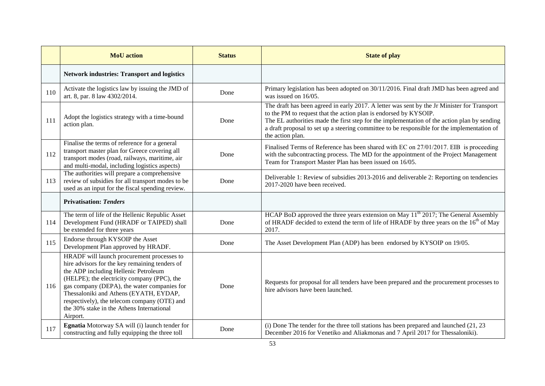|     | <b>MoU</b> action                                                                                                                                                                                                                                                                                                                                                                     | <b>Status</b> | <b>State of play</b>                                                                                                                                                                                                                                                                                                                                                              |
|-----|---------------------------------------------------------------------------------------------------------------------------------------------------------------------------------------------------------------------------------------------------------------------------------------------------------------------------------------------------------------------------------------|---------------|-----------------------------------------------------------------------------------------------------------------------------------------------------------------------------------------------------------------------------------------------------------------------------------------------------------------------------------------------------------------------------------|
|     | <b>Network industries: Transport and logistics</b>                                                                                                                                                                                                                                                                                                                                    |               |                                                                                                                                                                                                                                                                                                                                                                                   |
| 110 | Activate the logistics law by issuing the JMD of<br>art. 8, par. 8 law 4302/2014.                                                                                                                                                                                                                                                                                                     | Done          | Primary legislation has been adopted on 30/11/2016. Final draft JMD has been agreed and<br>was issued on 16/05.                                                                                                                                                                                                                                                                   |
| 111 | Adopt the logistics strategy with a time-bound<br>action plan.                                                                                                                                                                                                                                                                                                                        | Done          | The draft has been agreed in early 2017. A letter was sent by the Jr Minister for Transport<br>to the PM to request that the action plan is endorsed by KYSOIP.<br>The EL authorities made the first step for the implementation of the action plan by sending<br>a draft proposal to set up a steering committee to be responsible for the implementation of<br>the action plan. |
| 112 | Finalise the terms of reference for a general<br>transport master plan for Greece covering all<br>transport modes (road, railways, maritime, air<br>and multi-modal, including logistics aspects)                                                                                                                                                                                     | Done          | Finalised Terms of Reference has been shared with EC on 27/01/2017. EIB is proceeding<br>with the subcontracting process. The MD for the appointment of the Project Management<br>Team for Transport Master Plan has been issued on 16/05.                                                                                                                                        |
| 113 | The authorities will prepare a comprehensive<br>review of subsidies for all transport modes to be<br>used as an input for the fiscal spending review.                                                                                                                                                                                                                                 | Done          | Deliverable 1: Review of subsidies 2013-2016 and deliverable 2: Reporting on tendencies<br>2017-2020 have been received.                                                                                                                                                                                                                                                          |
|     | <b>Privatisation: Tenders</b>                                                                                                                                                                                                                                                                                                                                                         |               |                                                                                                                                                                                                                                                                                                                                                                                   |
| 114 | The term of life of the Hellenic Republic Asset<br>Development Fund (HRADF or TAIPED) shall<br>be extended for three years                                                                                                                                                                                                                                                            | Done          | HCAP BoD approved the three years extension on May 11 <sup>th</sup> 2017; The General Assembly<br>of HRADF decided to extend the term of life of HRADF by three years on the 16 <sup>th</sup> of May<br>2017.                                                                                                                                                                     |
| 115 | Endorse through KYSOIP the Asset<br>Development Plan approved by HRADF.                                                                                                                                                                                                                                                                                                               | Done          | The Asset Development Plan (ADP) has been endorsed by KYSOIP on 19/05.                                                                                                                                                                                                                                                                                                            |
| 116 | HRADF will launch procurement processes to<br>hire advisors for the key remaining tenders of<br>the ADP including Hellenic Petroleum<br>(HELPE); the electricity company (PPC), the<br>gas company (DEPA), the water companies for<br>Thessaloniki and Athens (EYATH, EYDAP,<br>respectively), the telecom company (OTE) and<br>the 30% stake in the Athens International<br>Airport. | Done          | Requests for proposal for all tenders have been prepared and the procurement processes to<br>hire advisors have been launched.                                                                                                                                                                                                                                                    |
| 117 | Egnatia Motorway SA will (i) launch tender for<br>constructing and fully equipping the three toll                                                                                                                                                                                                                                                                                     | Done          | (i) Done The tender for the three toll stations has been prepared and launched $(21, 23)$<br>December 2016 for Venetiko and Aliakmonas and 7 April 2017 for Thessaloniki).                                                                                                                                                                                                        |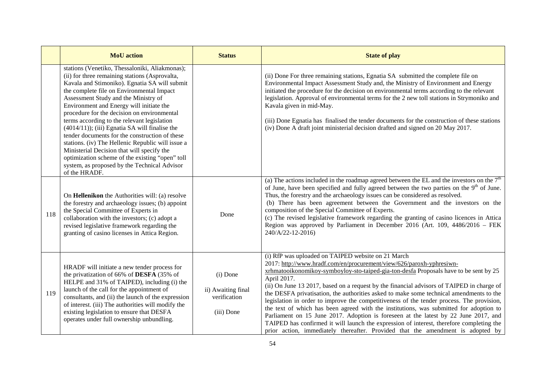|     | <b>MoU</b> action                                                                                                                                                                                                                                                                                                                                                                                                                                                                                                                                                                                                                                                                                             | <b>Status</b>                                                | <b>State of play</b>                                                                                                                                                                                                                                                                                                                                                                                                                                                                                                                                                                                                                                                                                                                                                                                                                                                                    |
|-----|---------------------------------------------------------------------------------------------------------------------------------------------------------------------------------------------------------------------------------------------------------------------------------------------------------------------------------------------------------------------------------------------------------------------------------------------------------------------------------------------------------------------------------------------------------------------------------------------------------------------------------------------------------------------------------------------------------------|--------------------------------------------------------------|-----------------------------------------------------------------------------------------------------------------------------------------------------------------------------------------------------------------------------------------------------------------------------------------------------------------------------------------------------------------------------------------------------------------------------------------------------------------------------------------------------------------------------------------------------------------------------------------------------------------------------------------------------------------------------------------------------------------------------------------------------------------------------------------------------------------------------------------------------------------------------------------|
|     | stations (Venetiko, Thessaloniki, Aliakmonas);<br>(ii) for three remaining stations (Asprovalta,<br>Kavala and Stimoniko). Egnatia SA will submit<br>the complete file on Environmental Impact<br>Assessment Study and the Ministry of<br>Environment and Energy will initiate the<br>procedure for the decision on environmental<br>terms according to the relevant legislation<br>$(4014/11)$ ; (iii) Egnatia SA will finalise the<br>tender documents for the construction of these<br>stations. (iv) The Hellenic Republic will issue a<br>Ministerial Decision that will specify the<br>optimization scheme of the existing "open" toll<br>system, as proposed by the Technical Advisor<br>of the HRADF. |                                                              | (ii) Done For three remaining stations, Egnatia SA submitted the complete file on<br>Environmental Impact Assessment Study and, the Ministry of Environment and Energy<br>initiated the procedure for the decision on environmental terms according to the relevant<br>legislation. Approval of environmental terms for the 2 new toll stations in Strymoniko and<br>Kavala given in mid-May.<br>(iii) Done Egnatia has finalised the tender documents for the construction of these stations<br>(iv) Done A draft joint ministerial decision drafted and signed on 20 May 2017.                                                                                                                                                                                                                                                                                                        |
| 118 | On Hellenikon the Authorities will: (a) resolve<br>the forestry and archaeology issues; (b) appoint<br>the Special Committee of Experts in<br>collaboration with the investors; (c) adopt a<br>revised legislative framework regarding the<br>granting of casino licenses in Attica Region.                                                                                                                                                                                                                                                                                                                                                                                                                   | Done                                                         | (a) The actions included in the roadmap agreed between the EL and the investors on the $7th$<br>of June, have been specified and fully agreed between the two parties on the $9th$ of June.<br>Thus, the forestry and the archaeology issues can be considered as resolved.<br>(b) There has been agreement between the Government and the investors on the<br>composition of the Special Committee of Experts.<br>(c) The revised legislative framework regarding the granting of casino licences in Attica<br>Region was approved by Parliament in December 2016 (Art. 109, 4486/2016 - FEK<br>240/A/22-12-2016)                                                                                                                                                                                                                                                                      |
| 119 | HRADF will initiate a new tender process for<br>the privatization of 66% of DESFA (35% of<br>HELPE and 31% of TAIPED), including (i) the<br>launch of the call for the appointment of<br>consultants, and (ii) the launch of the expression<br>of interest. (iii) The authorities will modify the<br>existing legislation to ensure that DESFA<br>operates under full ownership unbundling.                                                                                                                                                                                                                                                                                                                   | (i) Done<br>ii) Awaiting final<br>verification<br>(iii) Done | (i) RfP was uploaded on TAIPED website on 21 March<br>2017: http://www.hradf.com/en/procurement/view/626/paroxh-yphresiwn-<br>xrhmatooikonomikoy-symboyloy-sto-taiped-gia-ton-desfa Proposals have to be sent by 25<br>April 2017.<br>(ii) On June 13 2017, based on a request by the financial advisors of TAIPED in charge of<br>the DESFA privatisation, the authorities asked to make some technical amendments to the<br>legislation in order to improve the competitiveness of the tender process. The provision,<br>the text of which has been agreed with the institutions, was submitted for adoption to<br>Parliament on 15 June 2017. Adoption is foreseen at the latest by 22 June 2017, and<br>TAIPED has confirmed it will launch the expression of interest, therefore completing the<br>prior action, immediately thereafter. Provided that the amendment is adopted by |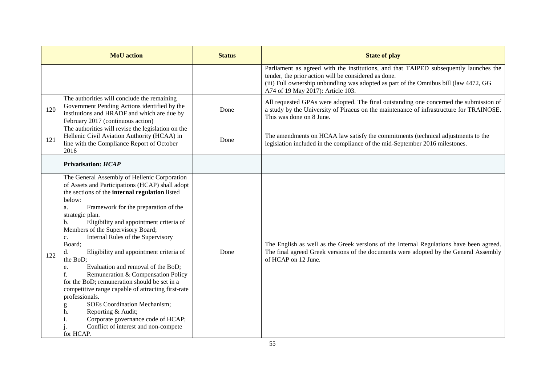|     | <b>MoU</b> action                                                                                                                                                                                                                                                                                                                                                                                                                                                                                                                                                                                                                                                                                                                                                                                                             | <b>Status</b> | <b>State of play</b>                                                                                                                                                                                                                                                        |
|-----|-------------------------------------------------------------------------------------------------------------------------------------------------------------------------------------------------------------------------------------------------------------------------------------------------------------------------------------------------------------------------------------------------------------------------------------------------------------------------------------------------------------------------------------------------------------------------------------------------------------------------------------------------------------------------------------------------------------------------------------------------------------------------------------------------------------------------------|---------------|-----------------------------------------------------------------------------------------------------------------------------------------------------------------------------------------------------------------------------------------------------------------------------|
|     |                                                                                                                                                                                                                                                                                                                                                                                                                                                                                                                                                                                                                                                                                                                                                                                                                               |               | Parliament as agreed with the institutions, and that TAIPED subsequently launches the<br>tender, the prior action will be considered as done.<br>(iii) Full ownership unbundling was adopted as part of the Omnibus bill (law 4472, GG<br>A74 of 19 May 2017): Article 103. |
| 120 | The authorities will conclude the remaining<br>Government Pending Actions identified by the<br>institutions and HRADF and which are due by<br>February 2017 (continuous action)                                                                                                                                                                                                                                                                                                                                                                                                                                                                                                                                                                                                                                               | Done          | All requested GPAs were adopted. The final outstanding one concerned the submission of<br>a study by the University of Piraeus on the maintenance of infrastructure for TRAINOSE.<br>This was done on 8 June.                                                               |
| 121 | The authorities will revise the legislation on the<br>Hellenic Civil Aviation Authority (HCAA) in<br>line with the Compliance Report of October<br>2016                                                                                                                                                                                                                                                                                                                                                                                                                                                                                                                                                                                                                                                                       | Done          | The amendments on HCAA law satisfy the commitments (technical adjustments to the<br>legislation included in the compliance of the mid-September 2016 milestones.                                                                                                            |
|     | <b>Privatisation: HCAP</b>                                                                                                                                                                                                                                                                                                                                                                                                                                                                                                                                                                                                                                                                                                                                                                                                    |               |                                                                                                                                                                                                                                                                             |
| 122 | The General Assembly of Hellenic Corporation<br>of Assets and Participations (HCAP) shall adopt<br>the sections of the internal regulation listed<br>below:<br>Framework for the preparation of the<br>a.<br>strategic plan.<br>Eligibility and appointment criteria of<br>b.<br>Members of the Supervisory Board;<br>Internal Rules of the Supervisory<br>c.<br>Board;<br>Eligibility and appointment criteria of<br>d.<br>the BoD;<br>Evaluation and removal of the BoD;<br>e.<br>f.<br>Remuneration & Compensation Policy<br>for the BoD; remuneration should be set in a<br>competitive range capable of attracting first-rate<br>professionals.<br><b>SOEs Coordination Mechanism;</b><br>g<br>Reporting & Audit;<br>h.<br>i.<br>Corporate governance code of HCAP;<br>Conflict of interest and non-compete<br>for HCAP. | Done          | The English as well as the Greek versions of the Internal Regulations have been agreed.<br>The final agreed Greek versions of the documents were adopted by the General Assembly<br>of HCAP on 12 June.                                                                     |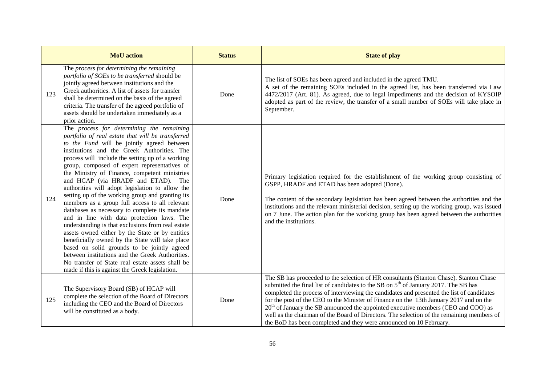|     | <b>MoU</b> action                                                                                                                                                                                                                                                                                                                                                                                                                                                                                                                                                                                                                                                                                                                                                                                                                                                                                                                                                                                                  | <b>Status</b> | <b>State of play</b>                                                                                                                                                                                                                                                                                                                                                                                                                                                                                                                                                                                                                       |
|-----|--------------------------------------------------------------------------------------------------------------------------------------------------------------------------------------------------------------------------------------------------------------------------------------------------------------------------------------------------------------------------------------------------------------------------------------------------------------------------------------------------------------------------------------------------------------------------------------------------------------------------------------------------------------------------------------------------------------------------------------------------------------------------------------------------------------------------------------------------------------------------------------------------------------------------------------------------------------------------------------------------------------------|---------------|--------------------------------------------------------------------------------------------------------------------------------------------------------------------------------------------------------------------------------------------------------------------------------------------------------------------------------------------------------------------------------------------------------------------------------------------------------------------------------------------------------------------------------------------------------------------------------------------------------------------------------------------|
| 123 | The process for determining the remaining<br>portfolio of SOEs to be transferred should be<br>jointly agreed between institutions and the<br>Greek authorities. A list of assets for transfer<br>shall be determined on the basis of the agreed<br>criteria. The transfer of the agreed portfolio of<br>assets should be undertaken immediately as a<br>prior action.                                                                                                                                                                                                                                                                                                                                                                                                                                                                                                                                                                                                                                              | Done          | The list of SOEs has been agreed and included in the agreed TMU.<br>A set of the remaining SOEs included in the agreed list, has been transferred via Law<br>4472/2017 (Art. 81). As agreed, due to legal impediments and the decision of KYSOIP<br>adopted as part of the review, the transfer of a small number of SOEs will take place in<br>September.                                                                                                                                                                                                                                                                                 |
| 124 | The process for determining the remaining<br>portfolio of real estate that will be transferred<br>to the Fund will be jointly agreed between<br>institutions and the Greek Authorities. The<br>process will include the setting up of a working<br>group, composed of expert representatives of<br>the Ministry of Finance, competent ministries<br>and HCAP (via HRADF and ETAD). The<br>authorities will adopt legislation to allow the<br>setting up of the working group and granting its<br>members as a group full access to all relevant<br>databases as necessary to complete its mandate<br>and in line with data protection laws. The<br>understanding is that exclusions from real estate<br>assets owned either by the State or by entities<br>beneficially owned by the State will take place<br>based on solid grounds to be jointly agreed<br>between institutions and the Greek Authorities.<br>No transfer of State real estate assets shall be<br>made if this is against the Greek legislation. | Done          | Primary legislation required for the establishment of the working group consisting of<br>GSPP, HRADF and ETAD has been adopted (Done).<br>The content of the secondary legislation has been agreed between the authorities and the<br>institutions and the relevant ministerial decision, setting up the working group, was issued<br>on 7 June. The action plan for the working group has been agreed between the authorities<br>and the institutions.                                                                                                                                                                                    |
| 125 | The Supervisory Board (SB) of HCAP will<br>complete the selection of the Board of Directors<br>including the CEO and the Board of Directors<br>will be constituted as a body.                                                                                                                                                                                                                                                                                                                                                                                                                                                                                                                                                                                                                                                                                                                                                                                                                                      | Done          | The SB has proceeded to the selection of HR consultants (Stanton Chase). Stanton Chase<br>submitted the final list of candidates to the SB on 5 <sup>th</sup> of January 2017. The SB has<br>completed the process of interviewing the candidates and presented the list of candidates<br>for the post of the CEO to the Minister of Finance on the 13th January 2017 and on the<br>$20th$ of January the SB announced the appointed executive members (CEO and COO) as<br>well as the chairman of the Board of Directors. The selection of the remaining members of<br>the BoD has been completed and they were announced on 10 February. |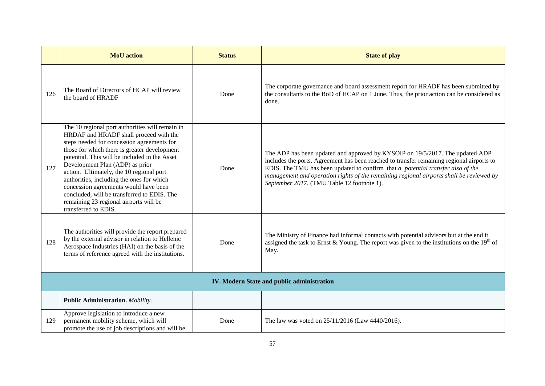|     | <b>MoU</b> action                                                                                                                                                                                                                                                                                                                                                                                                                                                                                                              | <b>Status</b> | <b>State of play</b>                                                                                                                                                                                                                                                                                                                                                                                     |  |  |
|-----|--------------------------------------------------------------------------------------------------------------------------------------------------------------------------------------------------------------------------------------------------------------------------------------------------------------------------------------------------------------------------------------------------------------------------------------------------------------------------------------------------------------------------------|---------------|----------------------------------------------------------------------------------------------------------------------------------------------------------------------------------------------------------------------------------------------------------------------------------------------------------------------------------------------------------------------------------------------------------|--|--|
| 126 | The Board of Directors of HCAP will review<br>the board of HRADF                                                                                                                                                                                                                                                                                                                                                                                                                                                               | Done          | The corporate governance and board assessment report for HRADF has been submitted by<br>the consultants to the BoD of HCAP on 1 June. Thus, the prior action can be considered as<br>done.                                                                                                                                                                                                               |  |  |
| 127 | The 10 regional port authorities will remain in<br>HRDAF and HRADF shall proceed with the<br>steps needed for concession agreements for<br>those for which there is greater development<br>potential. This will be included in the Asset<br>Development Plan (ADP) as prior<br>action. Ultimately, the 10 regional port<br>authorities, including the ones for which<br>concession agreements would have been<br>concluded, will be transferred to EDIS. The<br>remaining 23 regional airports will be<br>transferred to EDIS. | Done          | The ADP has been updated and approved by KYSOIP on 19/5/2017. The updated ADP<br>includes the ports. Agreement has been reached to transfer remaining regional airports to<br>EDIS. The TMU has been updated to confirm that $a$ potential transfer also of the<br>management and operation rights of the remaining regional airports shall be reviewed by<br>September 2017. (TMU Table 12 footnote 1). |  |  |
| 128 | The authorities will provide the report prepared<br>by the external advisor in relation to Hellenic<br>Aerospace Industries (HAI) on the basis of the<br>terms of reference agreed with the institutions.                                                                                                                                                                                                                                                                                                                      | Done          | The Ministry of Finance had informal contacts with potential advisors but at the end it<br>assigned the task to Ernst & Young. The report was given to the institutions on the $19th$ of<br>May.                                                                                                                                                                                                         |  |  |
|     | IV. Modern State and public administration                                                                                                                                                                                                                                                                                                                                                                                                                                                                                     |               |                                                                                                                                                                                                                                                                                                                                                                                                          |  |  |
|     | <b>Public Administration.</b> Mobility.                                                                                                                                                                                                                                                                                                                                                                                                                                                                                        |               |                                                                                                                                                                                                                                                                                                                                                                                                          |  |  |
| 129 | Approve legislation to introduce a new<br>permanent mobility scheme, which will<br>promote the use of job descriptions and will be                                                                                                                                                                                                                                                                                                                                                                                             | Done          | The law was voted on 25/11/2016 (Law 4440/2016).                                                                                                                                                                                                                                                                                                                                                         |  |  |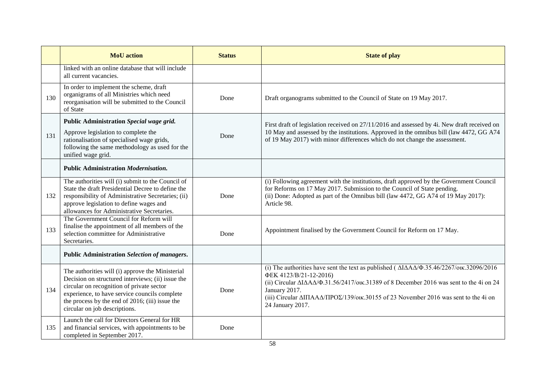|     | <b>MoU</b> action                                                                                                                                                                                                                                                                       | <b>Status</b> | <b>State of play</b>                                                                                                                                                                                                                                                                                                                                                                     |
|-----|-----------------------------------------------------------------------------------------------------------------------------------------------------------------------------------------------------------------------------------------------------------------------------------------|---------------|------------------------------------------------------------------------------------------------------------------------------------------------------------------------------------------------------------------------------------------------------------------------------------------------------------------------------------------------------------------------------------------|
|     | linked with an online database that will include<br>all current vacancies.                                                                                                                                                                                                              |               |                                                                                                                                                                                                                                                                                                                                                                                          |
| 130 | In order to implement the scheme, draft<br>organigrams of all Ministries which need<br>reorganisation will be submitted to the Council<br>of State                                                                                                                                      | Done          | Draft organograms submitted to the Council of State on 19 May 2017.                                                                                                                                                                                                                                                                                                                      |
| 131 | Public Administration Special wage grid.<br>Approve legislation to complete the<br>rationalisation of specialised wage grids,<br>following the same methodology as used for the<br>unified wage grid.                                                                                   | Done          | First draft of legislation received on 27/11/2016 and assessed by 4i. New draft received on<br>10 May and assessed by the institutions. Approved in the omnibus bill (law 4472, GG A74<br>of 19 May 2017) with minor differences which do not change the assessment.                                                                                                                     |
|     | <b>Public Administration Modernisation.</b>                                                                                                                                                                                                                                             |               |                                                                                                                                                                                                                                                                                                                                                                                          |
| 132 | The authorities will (i) submit to the Council of<br>State the draft Presidential Decree to define the<br>responsibility of Administrative Secretaries; (ii)<br>approve legislation to define wages and<br>allowances for Administrative Secretaries.                                   | Done          | (i) Following agreement with the institutions, draft approved by the Government Council<br>for Reforms on 17 May 2017. Submission to the Council of State pending.<br>(ii) Done: Adopted as part of the Omnibus bill (law 4472, GG A74 of 19 May 2017):<br>Article 98.                                                                                                                   |
| 133 | The Government Council for Reform will<br>finalise the appointment of all members of the<br>selection committee for Administrative<br>Secretaries.                                                                                                                                      | Done          | Appointment finalised by the Government Council for Reform on 17 May.                                                                                                                                                                                                                                                                                                                    |
|     | Public Administration Selection of managers.                                                                                                                                                                                                                                            |               |                                                                                                                                                                                                                                                                                                                                                                                          |
| 134 | The authorities will (i) approve the Ministerial<br>Decision on structured interviews; (ii) issue the<br>circular on recognition of private sector<br>experience, to have service councils complete<br>the process by the end of 2016; (iii) issue the<br>circular on job descriptions. | Done          | (i) The authorities have sent the text as published ( $\Delta I \Delta A \Delta/\Phi$ .35.46/2267/oux.32096/2016<br>ФЕК 4123/В/21-12-2016)<br>(ii) Circular $\Delta I \Delta A \Delta/\Phi$ .31.56/2417/oux.31389 of 8 December 2016 was sent to the 4i on 24<br>January 2017.<br>(iii) Circular ΔΙΠΑΑΔ/ΠΡΟΣ/139/οικ.30155 of 23 November 2016 was sent to the 4i on<br>24 January 2017. |
| 135 | Launch the call for Directors General for HR<br>and financial services, with appointments to be<br>completed in September 2017.                                                                                                                                                         | Done          |                                                                                                                                                                                                                                                                                                                                                                                          |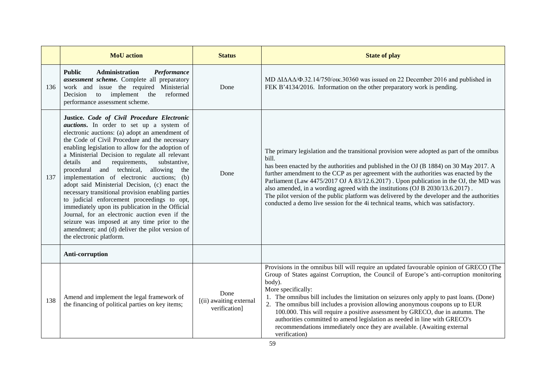|     | <b>MoU</b> action                                                                                                                                                                                                                                                                                                                                                                                                                                                                                                                                                                                                                                                                                                                                                                                                                                      | <b>Status</b>                                    | <b>State of play</b>                                                                                                                                                                                                                                                                                                                                                                                                                                                                                                                                                                                                                                     |
|-----|--------------------------------------------------------------------------------------------------------------------------------------------------------------------------------------------------------------------------------------------------------------------------------------------------------------------------------------------------------------------------------------------------------------------------------------------------------------------------------------------------------------------------------------------------------------------------------------------------------------------------------------------------------------------------------------------------------------------------------------------------------------------------------------------------------------------------------------------------------|--------------------------------------------------|----------------------------------------------------------------------------------------------------------------------------------------------------------------------------------------------------------------------------------------------------------------------------------------------------------------------------------------------------------------------------------------------------------------------------------------------------------------------------------------------------------------------------------------------------------------------------------------------------------------------------------------------------------|
| 136 | <b>Public</b><br>Performance<br><b>Administration</b><br>assessment scheme. Complete all preparatory<br>work and issue the required Ministerial<br>implement the<br>reformed<br>Decision<br>to<br>performance assessment scheme.                                                                                                                                                                                                                                                                                                                                                                                                                                                                                                                                                                                                                       | Done                                             | MD $\Delta I \Delta A \Delta/\Phi$ .32.14/750/oux.30360 was issued on 22 December 2016 and published in<br>FEK B'4134/2016. Information on the other preparatory work is pending.                                                                                                                                                                                                                                                                                                                                                                                                                                                                        |
| 137 | Justice. Code of Civil Procedure Electronic<br><i>auctions</i> . In order to set up a system of<br>electronic auctions: (a) adopt an amendment of<br>the Code of Civil Procedure and the necessary<br>enabling legislation to allow for the adoption of<br>a Ministerial Decision to regulate all relevant<br>details<br>and<br>requirements,<br>substantive,<br>procedural and technical,<br>allowing<br>the<br>implementation of electronic auctions; (b)<br>adopt said Ministerial Decision, (c) enact the<br>necessary transitional provision enabling parties<br>to judicial enforcement proceedings to opt,<br>immediately upon its publication in the Official<br>Journal, for an electronic auction even if the<br>seizure was imposed at any time prior to the<br>amendment; and (d) deliver the pilot version of<br>the electronic platform. | Done                                             | The primary legislation and the transitional provision were adopted as part of the omnibus<br>bill.<br>has been enacted by the authorities and published in the OJ (B 1884) on 30 May 2017. A<br>further amendment to the CCP as per agreement with the authorities was enacted by the<br>Parliament (Law 4475/2017 OJ A 83/12.6.2017). Upon publication in the OJ, the MD was<br>also amended, in a wording agreed with the institutions (OJ B 2030/13.6.2017).<br>The pilot version of the public platform was delivered by the developer and the authorities<br>conducted a demo live session for the 4i technical teams, which was satisfactory.     |
|     | Anti-corruption                                                                                                                                                                                                                                                                                                                                                                                                                                                                                                                                                                                                                                                                                                                                                                                                                                        |                                                  |                                                                                                                                                                                                                                                                                                                                                                                                                                                                                                                                                                                                                                                          |
| 138 | Amend and implement the legal framework of<br>the financing of political parties on key items;                                                                                                                                                                                                                                                                                                                                                                                                                                                                                                                                                                                                                                                                                                                                                         | Done<br>[(ii) awaiting external<br>verification] | Provisions in the omnibus bill will require an updated favourable opinion of GRECO (The<br>Group of States against Corruption, the Council of Europe's anti-corruption monitoring<br>body).<br>More specifically:<br>1. The omnibus bill includes the limitation on seizures only apply to past loans. (Done)<br>2. The omnibus bill includes a provision allowing anonymous coupons up to EUR<br>100.000. This will require a positive assessment by GRECO, due in autumn. The<br>authorities committed to amend legislation as needed in line with GRECO's<br>recommendations immediately once they are available. (Awaiting external<br>verification) |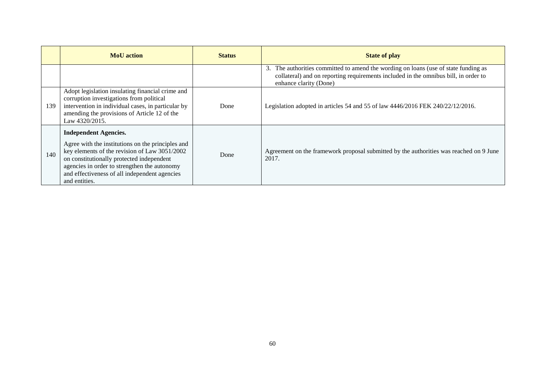|     | <b>MoU</b> action                                                                                                                                                                                                                                                                                 | <b>Status</b> | <b>State of play</b>                                                                                                                                                                                    |
|-----|---------------------------------------------------------------------------------------------------------------------------------------------------------------------------------------------------------------------------------------------------------------------------------------------------|---------------|---------------------------------------------------------------------------------------------------------------------------------------------------------------------------------------------------------|
|     |                                                                                                                                                                                                                                                                                                   |               | The authorities committed to amend the wording on loans (use of state funding as<br>3.<br>collateral) and on reporting requirements included in the omnibus bill, in order to<br>enhance clarity (Done) |
| 139 | Adopt legislation insulating financial crime and<br>corruption investigations from political<br>intervention in individual cases, in particular by<br>amending the provisions of Article 12 of the<br>Law 4320/2015.                                                                              | Done          | Legislation adopted in articles 54 and 55 of law $4446/2016$ FEK $240/22/12/2016$ .                                                                                                                     |
| 140 | <b>Independent Agencies.</b><br>Agree with the institutions on the principles and<br>key elements of the revision of Law 3051/2002<br>on constitutionally protected independent<br>agencies in order to strengthen the autonomy<br>and effectiveness of all independent agencies<br>and entities. | Done          | Agreement on the framework proposal submitted by the authorities was reached on 9 June<br>2017.                                                                                                         |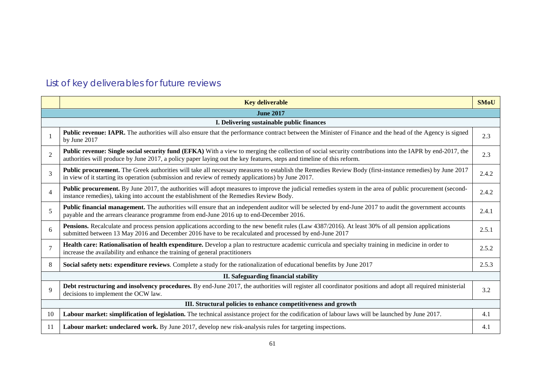# List of key deliverables for future reviews

|                | <b>Key deliverable</b>                                                                                                                                                                                                                                                            | <b>SMoU</b> |  |  |
|----------------|-----------------------------------------------------------------------------------------------------------------------------------------------------------------------------------------------------------------------------------------------------------------------------------|-------------|--|--|
|                | <b>June 2017</b>                                                                                                                                                                                                                                                                  |             |  |  |
|                | I. Delivering sustainable public finances                                                                                                                                                                                                                                         |             |  |  |
|                | <b>Public revenue: IAPR.</b> The authorities will also ensure that the performance contract between the Minister of Finance and the head of the Agency is signed<br>by June 2017                                                                                                  | 2.3         |  |  |
| $\overline{2}$ | Public revenue: Single social security fund (EFKA) With a view to merging the collection of social security contributions into the IAPR by end-2017, the<br>authorities will produce by June 2017, a policy paper laying out the key features, steps and timeline of this reform. | 2.3         |  |  |
| 3              | Public procurement. The Greek authorities will take all necessary measures to establish the Remedies Review Body (first-instance remedies) by June 2017<br>in view of it starting its operation (submission and review of remedy applications) by June 2017.                      | 2.4.2       |  |  |
| $\overline{4}$ | <b>Public procurement.</b> By June 2017, the authorities will adopt measures to improve the judicial remedies system in the area of public procurement (second-<br>instance remedies), taking into account the establishment of the Remedies Review Body.                         | 2.4.2       |  |  |
| 5              | <b>Public financial management.</b> The authorities will ensure that an independent auditor will be selected by end-June 2017 to audit the government accounts<br>payable and the arrears clearance programme from end-June 2016 up to end-December 2016.                         | 2.4.1       |  |  |
| 6              | <b>Pensions.</b> Recalculate and process pension applications according to the new benefit rules (Law 4387/2016). At least 30% of all pension applications<br>submitted between 13 May 2016 and December 2016 have to be recalculated and processed by end-June 2017              | 2.5.1       |  |  |
|                | Health care: Rationalisation of health expenditure. Develop a plan to restructure academic curricula and specialty training in medicine in order to<br>increase the availability and enhance the training of general practitioners                                                | 2.5.2       |  |  |
| 8              | Social safety nets: expenditure reviews. Complete a study for the rationalization of educational benefits by June 2017                                                                                                                                                            | 2.5.3       |  |  |
|                | II. Safeguarding financial stability                                                                                                                                                                                                                                              |             |  |  |
| $\mathbf{Q}$   | Debt restructuring and insolvency procedures. By end-June 2017, the authorities will register all coordinator positions and adopt all required ministerial<br>decisions to implement the OCW law.                                                                                 | 3.2         |  |  |
|                | III. Structural policies to enhance competitiveness and growth                                                                                                                                                                                                                    |             |  |  |
| 10             | Labour market: simplification of legislation. The technical assistance project for the codification of labour laws will be launched by June 2017.                                                                                                                                 | 4.1         |  |  |
| -11            | Labour market: undeclared work. By June 2017, develop new risk-analysis rules for targeting inspections.                                                                                                                                                                          | 4.1         |  |  |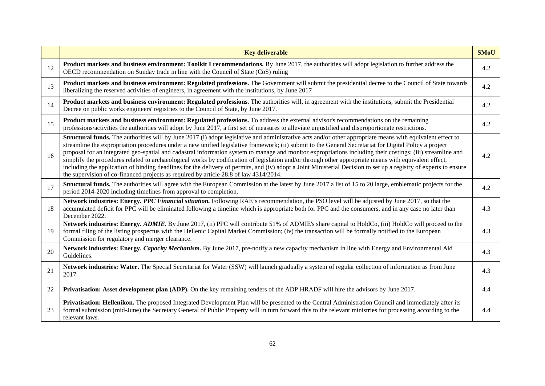|    | <b>Key deliverable</b>                                                                                                                                                                                                                                                                                                                                                                                                                                                                                                                                                                                                                                                                                                                                                                                                                                                                                            | <b>SMoU</b> |
|----|-------------------------------------------------------------------------------------------------------------------------------------------------------------------------------------------------------------------------------------------------------------------------------------------------------------------------------------------------------------------------------------------------------------------------------------------------------------------------------------------------------------------------------------------------------------------------------------------------------------------------------------------------------------------------------------------------------------------------------------------------------------------------------------------------------------------------------------------------------------------------------------------------------------------|-------------|
| 12 | Product markets and business environment: Toolkit I recommendations. By June 2017, the authorities will adopt legislation to further address the<br>OECD recommendation on Sunday trade in line with the Council of State (CoS) ruling                                                                                                                                                                                                                                                                                                                                                                                                                                                                                                                                                                                                                                                                            | 4.2         |
| 13 | Product markets and business environment: Regulated professions. The Government will submit the presidential decree to the Council of State towards<br>liberalizing the reserved activities of engineers, in agreement with the institutions, by June 2017                                                                                                                                                                                                                                                                                                                                                                                                                                                                                                                                                                                                                                                        | 4.2         |
| 14 | Product markets and business environment: Regulated professions. The authorities will, in agreement with the institutions, submit the Presidential<br>Decree on public works engineers' registries to the Council of State, by June 2017.                                                                                                                                                                                                                                                                                                                                                                                                                                                                                                                                                                                                                                                                         | 4.2         |
| 15 | Product markets and business environment: Regulated professions. To address the external advisor's recommendations on the remaining<br>professions/activities the authorities will adopt by June 2017, a first set of measures to alleviate unjustified and disproportionate restrictions.                                                                                                                                                                                                                                                                                                                                                                                                                                                                                                                                                                                                                        | 4.2         |
| 16 | <b>Structural funds.</b> The authorities will by June 2017 (i) adopt legislative and administrative acts and/or other appropriate means with equivalent effect to<br>streamline the expropriation procedures under a new unified legislative framework; (ii) submit to the General Secretariat for Digital Policy a project<br>proposal for an integrated geo-spatial and cadastral information system to manage and monitor expropriations including their costings; (iii) streamline and<br>simplify the procedures related to archaeological works by codification of legislation and/or through other appropriate means with equivalent effect,<br>including the application of binding deadlines for the delivery of permits, and (iv) adopt a Joint Ministerial Decision to set up a registry of experts to ensure<br>the supervision of co-financed projects as required by article 28.8 of law 4314/2014. | 4.2         |
| 17 | <b>Structural funds.</b> The authorities will agree with the European Commission at the latest by June 2017 a list of 15 to 20 large, emblematic projects for the<br>period 2014-2020 including timelines from approval to completion.                                                                                                                                                                                                                                                                                                                                                                                                                                                                                                                                                                                                                                                                            | 4.2         |
| 18 | Network industries: Energy. PPC Financial situation. Following RAE's recommendation, the PSO level will be adjusted by June 2017, so that the<br>accumulated deficit for PPC will be eliminated following a timeline which is appropriate both for PPC and the consumers, and in any case no later than<br>December 2022.                                                                                                                                                                                                                                                                                                                                                                                                                                                                                                                                                                                         | 4.3         |
| 19 | Network industries: Energy. ADMIE. By June 2017, (ii) PPC will contribute 51% of ADMIE's share capital to HoldCo, (iii) HoldCo will proceed to the<br>formal filing of the listing prospectus with the Hellenic Capital Market Commission; (iv) the transaction will be formally notified to the European<br>Commission for regulatory and merger clearance.                                                                                                                                                                                                                                                                                                                                                                                                                                                                                                                                                      | 4.3         |
| 20 | Network industries: Energy. Capacity Mechanism. By June 2017, pre-notify a new capacity mechanism in line with Energy and Environmental Aid<br>Guidelines.                                                                                                                                                                                                                                                                                                                                                                                                                                                                                                                                                                                                                                                                                                                                                        | 4.3         |
| 21 | Network industries: Water. The Special Secretariat for Water (SSW) will launch gradually a system of regular collection of information as from June<br>2017                                                                                                                                                                                                                                                                                                                                                                                                                                                                                                                                                                                                                                                                                                                                                       | 4.3         |
| 22 | Privatisation: Asset development plan (ADP). On the key remaining tenders of the ADP HRADF will hire the advisors by June 2017.                                                                                                                                                                                                                                                                                                                                                                                                                                                                                                                                                                                                                                                                                                                                                                                   | 4.4         |
| 23 | Privatisation: Hellenikon. The proposed Integrated Development Plan will be presented to the Central Administration Council and immediately after its<br>formal submission (mid-June) the Secretary General of Public Property will in turn forward this to the relevant ministries for processing according to the<br>relevant laws.                                                                                                                                                                                                                                                                                                                                                                                                                                                                                                                                                                             | 4.4         |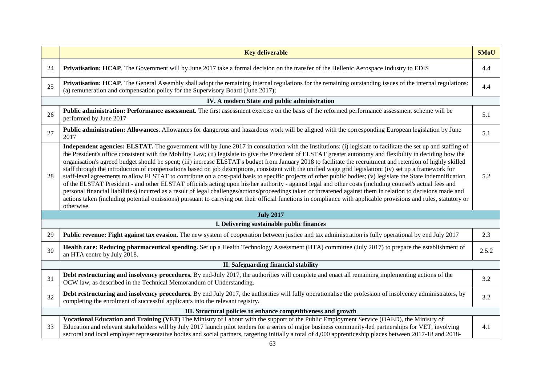|    | <b>Key deliverable</b>                                                                                                                                                                                                                                                                                                                                                                                                                                                                                                                                                                                                                                                                                                                                                                                                                                                                                                                                                                                                                                                                                                                                                                                                                                                                                                                      | <b>SMoU</b> |  |  |
|----|---------------------------------------------------------------------------------------------------------------------------------------------------------------------------------------------------------------------------------------------------------------------------------------------------------------------------------------------------------------------------------------------------------------------------------------------------------------------------------------------------------------------------------------------------------------------------------------------------------------------------------------------------------------------------------------------------------------------------------------------------------------------------------------------------------------------------------------------------------------------------------------------------------------------------------------------------------------------------------------------------------------------------------------------------------------------------------------------------------------------------------------------------------------------------------------------------------------------------------------------------------------------------------------------------------------------------------------------|-------------|--|--|
| 24 | Privatisation: HCAP. The Government will by June 2017 take a formal decision on the transfer of the Hellenic Aerospace Industry to EDIS                                                                                                                                                                                                                                                                                                                                                                                                                                                                                                                                                                                                                                                                                                                                                                                                                                                                                                                                                                                                                                                                                                                                                                                                     | 4.4         |  |  |
| 25 | Privatisation: HCAP. The General Assembly shall adopt the remaining internal regulations for the remaining outstanding issues of the internal regulations:<br>(a) remuneration and compensation policy for the Supervisory Board (June 2017);                                                                                                                                                                                                                                                                                                                                                                                                                                                                                                                                                                                                                                                                                                                                                                                                                                                                                                                                                                                                                                                                                               | 4.4         |  |  |
|    | IV. A modern State and public administration                                                                                                                                                                                                                                                                                                                                                                                                                                                                                                                                                                                                                                                                                                                                                                                                                                                                                                                                                                                                                                                                                                                                                                                                                                                                                                |             |  |  |
| 26 | Public administration: Performance assessment. The first assessment exercise on the basis of the reformed performance assessment scheme will be<br>performed by June 2017                                                                                                                                                                                                                                                                                                                                                                                                                                                                                                                                                                                                                                                                                                                                                                                                                                                                                                                                                                                                                                                                                                                                                                   | 5.1         |  |  |
| 27 | Public administration: Allowances. Allowances for dangerous and hazardous work will be aligned with the corresponding European legislation by June<br>2017                                                                                                                                                                                                                                                                                                                                                                                                                                                                                                                                                                                                                                                                                                                                                                                                                                                                                                                                                                                                                                                                                                                                                                                  | 5.1         |  |  |
| 28 | Independent agencies: ELSTAT. The government will by June 2017 in consultation with the Institutions: (i) legislate to facilitate the set up and staffing of<br>the President's office consistent with the Mobility Law; (ii) legislate to give the President of ELSTAT greater autonomy and flexibility in deciding how the<br>organisation's agreed budget should be spent; (iii) increase ELSTAT's budget from January 2018 to facilitate the recruitment and retention of highly skilled<br>staff through the introduction of compensations based on job descriptions, consistent with the unified wage grid legislation; (iv) set up a framework for<br>staff-level agreements to allow ELSTAT to contribute on a cost-paid basis to specific projects of other public bodies; (v) legislate the State indemnification<br>of the ELSTAT President - and other ELSTAT officials acting upon his/her authority - against legal and other costs (including counsel's actual fees and<br>personal financial liabilities) incurred as a result of legal challenges/actions/proceedings taken or threatened against them in relation to decisions made and<br>actions taken (including potential omissions) pursuant to carrying out their official functions in compliance with applicable provisions and rules, statutory or<br>otherwise. | 5.2         |  |  |
|    | <b>July 2017</b>                                                                                                                                                                                                                                                                                                                                                                                                                                                                                                                                                                                                                                                                                                                                                                                                                                                                                                                                                                                                                                                                                                                                                                                                                                                                                                                            |             |  |  |
|    | I. Delivering sustainable public finances                                                                                                                                                                                                                                                                                                                                                                                                                                                                                                                                                                                                                                                                                                                                                                                                                                                                                                                                                                                                                                                                                                                                                                                                                                                                                                   |             |  |  |
| 29 | <b>Public revenue: Fight against tax evasion.</b> The new system of cooperation between justice and tax administration is fully operational by end July 2017                                                                                                                                                                                                                                                                                                                                                                                                                                                                                                                                                                                                                                                                                                                                                                                                                                                                                                                                                                                                                                                                                                                                                                                | 2.3         |  |  |
| 30 | Health care: Reducing pharmaceutical spending. Set up a Health Technology Assessment (HTA) committee (July 2017) to prepare the establishment of<br>an HTA centre by July 2018.                                                                                                                                                                                                                                                                                                                                                                                                                                                                                                                                                                                                                                                                                                                                                                                                                                                                                                                                                                                                                                                                                                                                                             | 2.5.2       |  |  |
|    | II. Safeguarding financial stability                                                                                                                                                                                                                                                                                                                                                                                                                                                                                                                                                                                                                                                                                                                                                                                                                                                                                                                                                                                                                                                                                                                                                                                                                                                                                                        |             |  |  |
| 31 | Debt restructuring and insolvency procedures. By end-July 2017, the authorities will complete and enact all remaining implementing actions of the<br>OCW law, as described in the Technical Memorandum of Understanding.                                                                                                                                                                                                                                                                                                                                                                                                                                                                                                                                                                                                                                                                                                                                                                                                                                                                                                                                                                                                                                                                                                                    | 3.2         |  |  |
| 32 | Debt restructuring and insolvency procedures. By end July 2017, the authorities will fully operationalise the profession of insolvency administrators, by<br>completing the enrolment of successful applicants into the relevant registry.                                                                                                                                                                                                                                                                                                                                                                                                                                                                                                                                                                                                                                                                                                                                                                                                                                                                                                                                                                                                                                                                                                  | 3.2         |  |  |
|    | III. Structural policies to enhance competitiveness and growth                                                                                                                                                                                                                                                                                                                                                                                                                                                                                                                                                                                                                                                                                                                                                                                                                                                                                                                                                                                                                                                                                                                                                                                                                                                                              |             |  |  |
| 33 | Vocational Education and Training (VET) The Ministry of Labour with the support of the Public Employment Service (OAED), the Ministry of<br>Education and relevant stakeholders will by July 2017 launch pilot tenders for a series of major business community-led partnerships for VET, involving<br>sectoral and local employer representative bodies and social partners, targeting initially a total of 4,000 apprenticeship places between 2017-18 and 2018-                                                                                                                                                                                                                                                                                                                                                                                                                                                                                                                                                                                                                                                                                                                                                                                                                                                                          | 4.1         |  |  |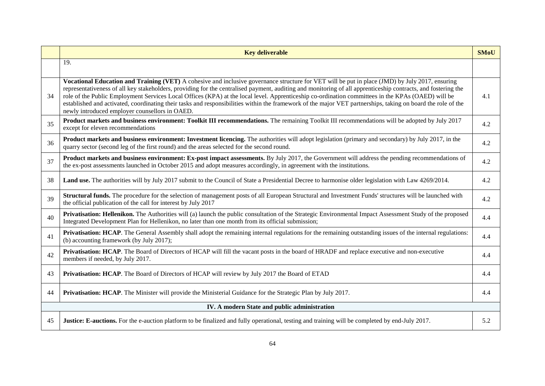|    | <b>Key deliverable</b>                                                                                                                                                                                                                                                                                                                                                                                                                                                                                                                                                                                                                                                                  | <b>SMoU</b> |  |  |
|----|-----------------------------------------------------------------------------------------------------------------------------------------------------------------------------------------------------------------------------------------------------------------------------------------------------------------------------------------------------------------------------------------------------------------------------------------------------------------------------------------------------------------------------------------------------------------------------------------------------------------------------------------------------------------------------------------|-------------|--|--|
|    | 19.                                                                                                                                                                                                                                                                                                                                                                                                                                                                                                                                                                                                                                                                                     |             |  |  |
| 34 | Vocational Education and Training (VET) A cohesive and inclusive governance structure for VET will be put in place (JMD) by July 2017, ensuring<br>representativeness of all key stakeholders, providing for the centralised payment, auditing and monitoring of all apprenticeship contracts, and fostering the<br>role of the Public Employment Services Local Offices (KPA) at the local level. Apprenticeship co-ordination committees in the KPAs (OAED) will be<br>established and activated, coordinating their tasks and responsibilities within the framework of the major VET partnerships, taking on board the role of the<br>newly introduced employer counsellors in OAED. | 4.1         |  |  |
| 35 | Product markets and business environment: Toolkit III recommendations. The remaining Toolkit III recommendations will be adopted by July 2017<br>except for eleven recommendations                                                                                                                                                                                                                                                                                                                                                                                                                                                                                                      | 4.2         |  |  |
| 36 | Product markets and business environment: Investment licencing. The authorities will adopt legislation (primary and secondary) by July 2017, in the<br>quarry sector (second leg of the first round) and the areas selected for the second round.                                                                                                                                                                                                                                                                                                                                                                                                                                       | 4.2         |  |  |
| 37 | Product markets and business environment: Ex-post impact assessments. By July 2017, the Government will address the pending recommendations of<br>the ex-post assessments launched in October 2015 and adopt measures accordingly, in agreement with the institutions.                                                                                                                                                                                                                                                                                                                                                                                                                  | 4.2         |  |  |
| 38 | Land use. The authorities will by July 2017 submit to the Council of State a Presidential Decree to harmonise older legislation with Law 4269/2014.                                                                                                                                                                                                                                                                                                                                                                                                                                                                                                                                     | 4.2         |  |  |
| 39 | Structural funds. The procedure for the selection of management posts of all European Structural and Investment Funds' structures will be launched with<br>the official publication of the call for interest by July 2017                                                                                                                                                                                                                                                                                                                                                                                                                                                               | 4.2         |  |  |
| 40 | <b>Privatisation: Hellenikon.</b> The Authorities will (a) launch the public consultation of the Strategic Environmental Impact Assessment Study of the proposed<br>Integrated Development Plan for Hellenikon, no later than one month from its official submission;                                                                                                                                                                                                                                                                                                                                                                                                                   | 4.4         |  |  |
| 41 | Privatisation: HCAP. The General Assembly shall adopt the remaining internal regulations for the remaining outstanding issues of the internal regulations:<br>(b) accounting framework (by July 2017);                                                                                                                                                                                                                                                                                                                                                                                                                                                                                  | 4.4         |  |  |
| 42 | Privatisation: HCAP. The Board of Directors of HCAP will fill the vacant posts in the board of HRADF and replace executive and non-executive<br>members if needed, by July 2017.                                                                                                                                                                                                                                                                                                                                                                                                                                                                                                        | 4.4         |  |  |
| 43 | Privatisation: HCAP. The Board of Directors of HCAP will review by July 2017 the Board of ETAD                                                                                                                                                                                                                                                                                                                                                                                                                                                                                                                                                                                          | 4.4         |  |  |
| 44 | Privatisation: HCAP. The Minister will provide the Ministerial Guidance for the Strategic Plan by July 2017.                                                                                                                                                                                                                                                                                                                                                                                                                                                                                                                                                                            | 4.4         |  |  |
|    | IV. A modern State and public administration                                                                                                                                                                                                                                                                                                                                                                                                                                                                                                                                                                                                                                            |             |  |  |
| 45 | Justice: E-auctions. For the e-auction platform to be finalized and fully operational, testing and training will be completed by end-July 2017.                                                                                                                                                                                                                                                                                                                                                                                                                                                                                                                                         | 5.2         |  |  |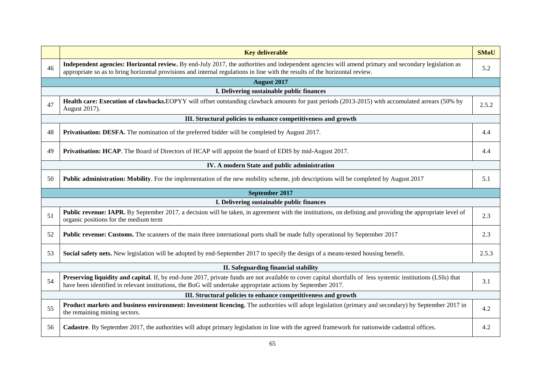|    | <b>Key deliverable</b>                                                                                                                                                                                                                                                               | <b>SMoU</b> |  |  |
|----|--------------------------------------------------------------------------------------------------------------------------------------------------------------------------------------------------------------------------------------------------------------------------------------|-------------|--|--|
| 46 | Independent agencies: Horizontal review. By end-July 2017, the authorities and independent agencies will amend primary and secondary legislation as<br>appropriate so as to bring horizontal provisions and internal regulations in line with the results of the horizontal review.  | 5.2         |  |  |
|    | <b>August 2017</b>                                                                                                                                                                                                                                                                   |             |  |  |
|    | I. Delivering sustainable public finances                                                                                                                                                                                                                                            |             |  |  |
| 47 | Health care: Execution of clawbacks.EOPYY will offset outstanding clawback amounts for past periods (2013-2015) with accumulated arrears (50% by<br>August 2017).                                                                                                                    | 2.5.2       |  |  |
|    | III. Structural policies to enhance competitiveness and growth                                                                                                                                                                                                                       |             |  |  |
| 48 | <b>Privatisation: DESFA.</b> The nomination of the preferred bidder will be completed by August 2017.                                                                                                                                                                                | 4.4         |  |  |
| 49 | Privatisation: HCAP. The Board of Directors of HCAP will appoint the board of EDIS by mid-August 2017.                                                                                                                                                                               | 4.4         |  |  |
|    | IV. A modern State and public administration                                                                                                                                                                                                                                         |             |  |  |
| 50 | <b>Public administration: Mobility</b> . For the implementation of the new mobility scheme, job descriptions will be completed by August 2017                                                                                                                                        | 5.1         |  |  |
|    | September 2017                                                                                                                                                                                                                                                                       |             |  |  |
|    | I. Delivering sustainable public finances                                                                                                                                                                                                                                            |             |  |  |
| 51 | <b>Public revenue: IAPR.</b> By September 2017, a decision will be taken, in agreement with the institutions, on defining and providing the appropriate level of<br>organic positions for the medium term                                                                            | 2.3         |  |  |
| 52 | Public revenue: Customs. The scanners of the main three international ports shall be made fully operational by September 2017                                                                                                                                                        | 2.3         |  |  |
| 53 | Social safety nets. New legislation will be adopted by end-September 2017 to specify the design of a means-tested housing benefit.                                                                                                                                                   | 2.5.3       |  |  |
|    | II. Safeguarding financial stability                                                                                                                                                                                                                                                 |             |  |  |
| 54 | <b>Preserving liquidity and capital.</b> If, by end-June 2017, private funds are not available to cover capital shortfalls of less systemic institutions (LSIs) that<br>have been identified in relevant institutions, the BoG will undertake appropriate actions by September 2017. | 3.1         |  |  |
|    | III. Structural policies to enhance competitiveness and growth                                                                                                                                                                                                                       |             |  |  |
| 55 | Product markets and business environment: Investment licencing. The authorities will adopt legislation (primary and secondary) by September 2017 in<br>the remaining mining sectors.                                                                                                 | 4.2         |  |  |
| 56 | Cadastre. By September 2017, the authorities will adopt primary legislation in line with the agreed framework for nationwide cadastral offices.                                                                                                                                      | 4.2         |  |  |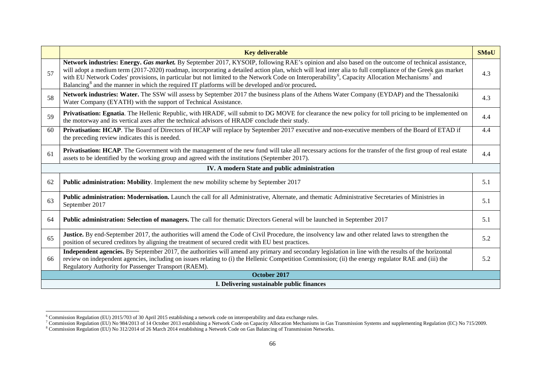<span id="page-65-2"></span><span id="page-65-1"></span><span id="page-65-0"></span>

|                                              | <b>Key deliverable</b>                                                                                                                                                                                                                                                                                                                                                                                                                                                                                                                                                                                   | <b>SMoU</b> |  |  |
|----------------------------------------------|----------------------------------------------------------------------------------------------------------------------------------------------------------------------------------------------------------------------------------------------------------------------------------------------------------------------------------------------------------------------------------------------------------------------------------------------------------------------------------------------------------------------------------------------------------------------------------------------------------|-------------|--|--|
| 57                                           | Network industries: Energy. Gas market. By September 2017, KYSOIP, following RAE's opinion and also based on the outcome of technical assistance,<br>will adopt a medium term (2017-2020) roadmap, incorporating a detailed action plan, which will lead inter alia to full compliance of the Greek gas market<br>with EU Network Codes' provisions, in particular but not limited to the Network Code on Interoperability <sup>6</sup> , Capacity Allocation Mechanisms <sup>7</sup> and<br>Balancing <sup>8</sup> and the manner in which the required IT platforms will be developed and/or procured. | 4.3         |  |  |
| 58                                           | Network industries: Water. The SSW will assess by September 2017 the business plans of the Athens Water Company (EYDAP) and the Thessaloniki<br>Water Company (EYATH) with the support of Technical Assistance.                                                                                                                                                                                                                                                                                                                                                                                          | 4.3         |  |  |
| 59                                           | Privatisation: Egnatia. The Hellenic Republic, with HRADF, will submit to DG MOVE for clearance the new policy for toll pricing to be implemented on<br>the motorway and its vertical axes after the technical advisors of HRADF conclude their study.                                                                                                                                                                                                                                                                                                                                                   | 4.4         |  |  |
| 60                                           | Privatisation: HCAP. The Board of Directors of HCAP will replace by September 2017 executive and non-executive members of the Board of ETAD if<br>the preceding review indicates this is needed.                                                                                                                                                                                                                                                                                                                                                                                                         | 4.4         |  |  |
| 61                                           | <b>Privatisation: HCAP</b> . The Government with the management of the new fund will take all necessary actions for the transfer of the first group of real estate<br>assets to be identified by the working group and agreed with the institutions (September 2017).                                                                                                                                                                                                                                                                                                                                    | 4.4         |  |  |
| IV. A modern State and public administration |                                                                                                                                                                                                                                                                                                                                                                                                                                                                                                                                                                                                          |             |  |  |
| 62                                           | <b>Public administration: Mobility.</b> Implement the new mobility scheme by September 2017                                                                                                                                                                                                                                                                                                                                                                                                                                                                                                              | 5.1         |  |  |
| 63                                           | Public administration: Modernisation. Launch the call for all Administrative, Alternate, and thematic Administrative Secretaries of Ministries in<br>September 2017                                                                                                                                                                                                                                                                                                                                                                                                                                      | 5.1         |  |  |
| 64                                           | Public administration: Selection of managers. The call for thematic Directors General will be launched in September 2017                                                                                                                                                                                                                                                                                                                                                                                                                                                                                 | 5.1         |  |  |
| 65                                           | Justice. By end-September 2017, the authorities will amend the Code of Civil Procedure, the insolvency law and other related laws to strengthen the<br>position of secured creditors by aligning the treatment of secured credit with EU best practices.                                                                                                                                                                                                                                                                                                                                                 | 5.2         |  |  |
| 66                                           | Independent agencies. By September 2017, the authorities will amend any primary and secondary legislation in line with the results of the horizontal<br>review on independent agencies, including on issues relating to (i) the Hellenic Competition Commission; (ii) the energy regulator RAE and (iii) the<br>Regulatory Authority for Passenger Transport (RAEM).                                                                                                                                                                                                                                     | 5.2         |  |  |
|                                              | October 2017                                                                                                                                                                                                                                                                                                                                                                                                                                                                                                                                                                                             |             |  |  |
|                                              | I. Delivering sustainable public finances                                                                                                                                                                                                                                                                                                                                                                                                                                                                                                                                                                |             |  |  |

<sup>&</sup>lt;sup>6</sup> Commission Regulation (EU) 2015/703 of 30 April 2015 establishing a network code on interoperability and data exchange rules.

<sup>7</sup> Commission Regulation (EU) No 984/2013 of 14 October 2013 establishing a Network Code on Capacity Allocation Mechanisms in Gas Transmission Systems and supplementing Regulation (EC) No 715/2009.<br><sup>8</sup> Commission Regulation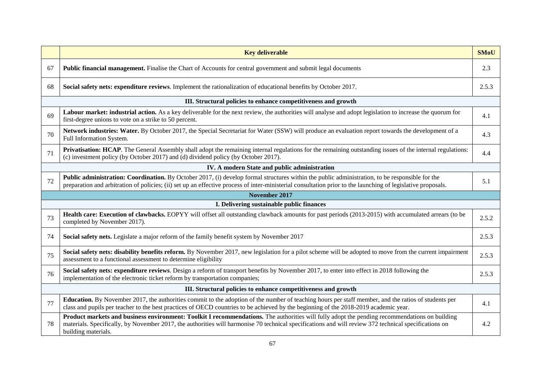|    | <b>Key deliverable</b>                                                                                                                                                                                                                                                                                                        | <b>SMoU</b> |  |  |
|----|-------------------------------------------------------------------------------------------------------------------------------------------------------------------------------------------------------------------------------------------------------------------------------------------------------------------------------|-------------|--|--|
| 67 | Public financial management. Finalise the Chart of Accounts for central government and submit legal documents                                                                                                                                                                                                                 | 2.3         |  |  |
| 68 | Social safety nets: expenditure reviews. Implement the rationalization of educational benefits by October 2017.                                                                                                                                                                                                               | 2.5.3       |  |  |
|    | III. Structural policies to enhance competitiveness and growth                                                                                                                                                                                                                                                                |             |  |  |
| 69 | Labour market: industrial action. As a key deliverable for the next review, the authorities will analyse and adopt legislation to increase the quorum for<br>first-degree unions to vote on a strike to 50 percent.                                                                                                           | 4.1         |  |  |
| 70 | Network industries: Water. By October 2017, the Special Secretariat for Water (SSW) will produce an evaluation report towards the development of a<br>Full Information System.                                                                                                                                                | 4.3         |  |  |
| 71 | Privatisation: HCAP. The General Assembly shall adopt the remaining internal regulations for the remaining outstanding issues of the internal regulations:<br>(c) investment policy (by October 2017) and (d) dividend policy (by October 2017).                                                                              | 4.4         |  |  |
|    | IV. A modern State and public administration                                                                                                                                                                                                                                                                                  |             |  |  |
| 72 | Public administration: Coordination. By October 2017, (i) develop formal structures within the public administration, to be responsible for the<br>preparation and arbitration of policies; (ii) set up an effective process of inter-ministerial consultation prior to the launching of legislative proposals.               | 5.1         |  |  |
|    | November 2017                                                                                                                                                                                                                                                                                                                 |             |  |  |
|    | I. Delivering sustainable public finances                                                                                                                                                                                                                                                                                     |             |  |  |
| 73 | Health care: Execution of clawbacks. EOPYY will offset all outstanding clawback amounts for past periods (2013-2015) with accumulated arrears (to be<br>completed by November 2017).                                                                                                                                          | 2.5.2       |  |  |
| 74 | Social safety nets. Legislate a major reform of the family benefit system by November 2017                                                                                                                                                                                                                                    | 2.5.3       |  |  |
| 75 | Social safety nets: disability benefits reform. By November 2017, new legislation for a pilot scheme will be adopted to move from the current impairment<br>assessment to a functional assessment to determine eligibility                                                                                                    | 2.5.3       |  |  |
| 76 | Social safety nets: expenditure reviews. Design a reform of transport benefits by November 2017, to enter into effect in 2018 following the<br>implementation of the electronic ticket reform by transportation companies;                                                                                                    | 2.5.3       |  |  |
|    | III. Structural policies to enhance competitiveness and growth                                                                                                                                                                                                                                                                |             |  |  |
| 77 | Education. By November 2017, the authorities commit to the adoption of the number of teaching hours per staff member, and the ratios of students per<br>class and pupils per teacher to the best practices of OECD countries to be achieved by the beginning of the 2018-2019 academic year.                                  | 4.1         |  |  |
| 78 | Product markets and business environment: Toolkit I recommendations. The authorities will fully adopt the pending recommendations on building<br>materials. Specifically, by November 2017, the authorities will harmonise 70 technical specifications and will review 372 technical specifications on<br>building materials. | 4.2         |  |  |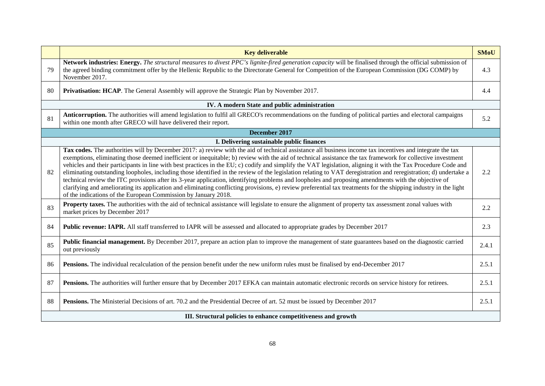|    | <b>Key deliverable</b>                                                                                                                                                                                                                                                                                                                                                                                                                                                                                                                                                                                                                                                                                                                                                                                                                                                                                                                                                                                                                                      | <b>SMoU</b> |  |  |
|----|-------------------------------------------------------------------------------------------------------------------------------------------------------------------------------------------------------------------------------------------------------------------------------------------------------------------------------------------------------------------------------------------------------------------------------------------------------------------------------------------------------------------------------------------------------------------------------------------------------------------------------------------------------------------------------------------------------------------------------------------------------------------------------------------------------------------------------------------------------------------------------------------------------------------------------------------------------------------------------------------------------------------------------------------------------------|-------------|--|--|
| 79 | Network industries: Energy. The structural measures to divest PPC's lignite-fired generation capacity will be finalised through the official submission of<br>the agreed binding commitment offer by the Hellenic Republic to the Directorate General for Competition of the European Commission (DG COMP) by<br>November 2017.                                                                                                                                                                                                                                                                                                                                                                                                                                                                                                                                                                                                                                                                                                                             | 4.3         |  |  |
| 80 | Privatisation: HCAP. The General Assembly will approve the Strategic Plan by November 2017.                                                                                                                                                                                                                                                                                                                                                                                                                                                                                                                                                                                                                                                                                                                                                                                                                                                                                                                                                                 | 4.4         |  |  |
|    | IV. A modern State and public administration                                                                                                                                                                                                                                                                                                                                                                                                                                                                                                                                                                                                                                                                                                                                                                                                                                                                                                                                                                                                                |             |  |  |
| 81 | Anticorruption. The authorities will amend legislation to fulfil all GRECO's recommendations on the funding of political parties and electoral campaigns<br>within one month after GRECO will have delivered their report.                                                                                                                                                                                                                                                                                                                                                                                                                                                                                                                                                                                                                                                                                                                                                                                                                                  | 5.2         |  |  |
|    | December 2017                                                                                                                                                                                                                                                                                                                                                                                                                                                                                                                                                                                                                                                                                                                                                                                                                                                                                                                                                                                                                                               |             |  |  |
|    | I. Delivering sustainable public finances                                                                                                                                                                                                                                                                                                                                                                                                                                                                                                                                                                                                                                                                                                                                                                                                                                                                                                                                                                                                                   |             |  |  |
| 82 | Tax codes. The authorities will by December 2017: a) review with the aid of technical assistance all business income tax incentives and integrate the tax<br>exemptions, eliminating those deemed inefficient or inequitable; b) review with the aid of technical assistance the tax framework for collective investment<br>vehicles and their participants in line with best practices in the EU; c) codify and simplify the VAT legislation, aligning it with the Tax Procedure Code and<br>eliminating outstanding loopholes, including those identified in the review of the legislation relating to VAT deregistration and reregistration; d) undertake a<br>technical review the ITC provisions after its 3-year application, identifying problems and loopholes and proposing amendments with the objective of<br>clarifying and ameliorating its application and eliminating conflicting provisions, e) review preferential tax treatments for the shipping industry in the light<br>of the indications of the European Commission by January 2018. | 2.2         |  |  |
| 83 | Property taxes. The authorities with the aid of technical assistance will legislate to ensure the alignment of property tax assessment zonal values with<br>market prices by December 2017                                                                                                                                                                                                                                                                                                                                                                                                                                                                                                                                                                                                                                                                                                                                                                                                                                                                  | 2.2         |  |  |
| 84 | Public revenue: IAPR. All staff transferred to IAPR will be assessed and allocated to appropriate grades by December 2017                                                                                                                                                                                                                                                                                                                                                                                                                                                                                                                                                                                                                                                                                                                                                                                                                                                                                                                                   | 2.3         |  |  |
| 85 | Public financial management. By December 2017, prepare an action plan to improve the management of state guarantees based on the diagnostic carried<br>out previously                                                                                                                                                                                                                                                                                                                                                                                                                                                                                                                                                                                                                                                                                                                                                                                                                                                                                       | 2.4.1       |  |  |
| 86 | Pensions. The individual recalculation of the pension benefit under the new uniform rules must be finalised by end-December 2017                                                                                                                                                                                                                                                                                                                                                                                                                                                                                                                                                                                                                                                                                                                                                                                                                                                                                                                            | 2.5.1       |  |  |
| 87 | Pensions. The authorities will further ensure that by December 2017 EFKA can maintain automatic electronic records on service history for retirees.                                                                                                                                                                                                                                                                                                                                                                                                                                                                                                                                                                                                                                                                                                                                                                                                                                                                                                         | 2.5.1       |  |  |
| 88 | Pensions. The Ministerial Decisions of art. 70.2 and the Presidential Decree of art. 52 must be issued by December 2017                                                                                                                                                                                                                                                                                                                                                                                                                                                                                                                                                                                                                                                                                                                                                                                                                                                                                                                                     | 2.5.1       |  |  |
|    | III. Structural policies to enhance competitiveness and growth                                                                                                                                                                                                                                                                                                                                                                                                                                                                                                                                                                                                                                                                                                                                                                                                                                                                                                                                                                                              |             |  |  |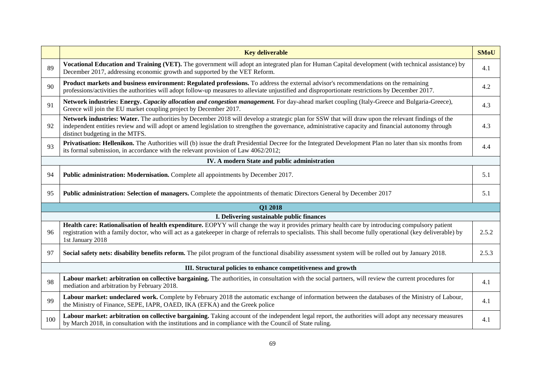|     | <b>Key deliverable</b>                                                                                                                                                                                                                                                                                                                        | <b>SMoU</b> |
|-----|-----------------------------------------------------------------------------------------------------------------------------------------------------------------------------------------------------------------------------------------------------------------------------------------------------------------------------------------------|-------------|
| 89  | Vocational Education and Training (VET). The government will adopt an integrated plan for Human Capital development (with technical assistance) by<br>December 2017, addressing economic growth and supported by the VET Reform.                                                                                                              | 4.1         |
| 90  | Product markets and business environment: Regulated professions. To address the external advisor's recommendations on the remaining<br>professions/activities the authorities will adopt follow-up measures to alleviate unjustified and disproportionate restrictions by December 2017.                                                      | 4.2         |
| 91  | Network industries: Energy. Capacity allocation and congestion management. For day-ahead market coupling (Italy-Greece and Bulgaria-Greece),<br>Greece will join the EU market coupling project by December 2017.                                                                                                                             | 4.3         |
| 92  | Network industries: Water. The authorities by December 2018 will develop a strategic plan for SSW that will draw upon the relevant findings of the<br>independent entities review and will adopt or amend legislation to strengthen the governance, administrative capacity and financial autonomy through<br>distinct budgeting in the MTFS. | 4.3         |
| 93  | Privatisation: Hellenikon. The Authorities will (b) issue the draft Presidential Decree for the Integrated Development Plan no later than six months from<br>its formal submission, in accordance with the relevant provision of Law 4062/2012;                                                                                               | 4.4         |
|     | IV. A modern State and public administration                                                                                                                                                                                                                                                                                                  |             |
| 94  | Public administration: Modernisation. Complete all appointments by December 2017.                                                                                                                                                                                                                                                             | 5.1         |
| 95  | Public administration: Selection of managers. Complete the appointments of thematic Directors General by December 2017                                                                                                                                                                                                                        | 5.1         |
|     | Q1 2018                                                                                                                                                                                                                                                                                                                                       |             |
|     | I. Delivering sustainable public finances                                                                                                                                                                                                                                                                                                     |             |
| 96  | Health care: Rationalisation of health expenditure. EOPYY will change the way it provides primary health care by introducing compulsory patient<br>registration with a family doctor, who will act as a gatekeeper in charge of referrals to specialists. This shall become fully operational (key deliverable) by<br>1st January 2018        | 2.5.2       |
| 97  | Social safety nets: disability benefits reform. The pilot program of the functional disability assessment system will be rolled out by January 2018.                                                                                                                                                                                          | 2.5.3       |
|     | III. Structural policies to enhance competitiveness and growth                                                                                                                                                                                                                                                                                |             |
| 98  | Labour market: arbitration on collective bargaining. The authorities, in consultation with the social partners, will review the current procedures for<br>mediation and arbitration by February 2018.                                                                                                                                         | 4.1         |
| 99  | Labour market: undeclared work. Complete by February 2018 the automatic exchange of information between the databases of the Ministry of Labour,<br>the Ministry of Finance, SEPE, IAPR, OAED, IKA (EFKA) and the Greek police                                                                                                                | 4.1         |
| 100 | Labour market: arbitration on collective bargaining. Taking account of the independent legal report, the authorities will adopt any necessary measures<br>by March 2018, in consultation with the institutions and in compliance with the Council of State ruling.                                                                            | 4.1         |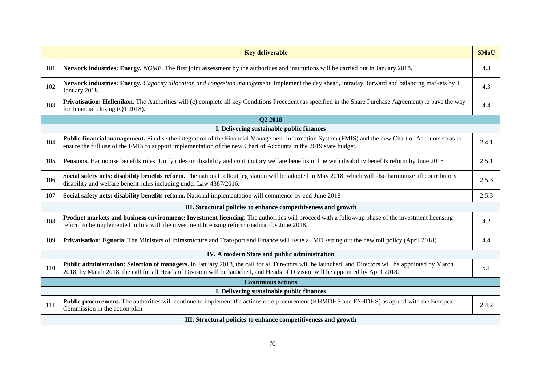|     | <b>Key deliverable</b>                                                                                                                                                                                                                                                                   | <b>SMoU</b> |  |  |
|-----|------------------------------------------------------------------------------------------------------------------------------------------------------------------------------------------------------------------------------------------------------------------------------------------|-------------|--|--|
| 101 | Network industries: Energy. NOME. The first joint assessment by the authorities and institutions will be carried out in January 2018.                                                                                                                                                    | 4.3         |  |  |
| 102 | Network industries: Energy. Capacity allocation and congestion management. Implement the day ahead, intraday, forward and balancing markets by 1<br>January 2018.                                                                                                                        | 4.3         |  |  |
| 103 | Privatisation: Hellenikon. The Authorities will (c) complete all key Conditions Precedent (as specified in the Share Purchase Agreement) to pave the way<br>for financial closing (Q1 2018).                                                                                             | 4.4         |  |  |
|     | Q2 2018                                                                                                                                                                                                                                                                                  |             |  |  |
|     | I. Delivering sustainable public finances                                                                                                                                                                                                                                                |             |  |  |
| 104 | Public financial management. Finalise the integration of the Financial Management Information System (FMIS) and the new Chart of Accounts so as to<br>ensure the full use of the FMIS to support implementation of the new Chart of Accounts in the 2019 state budget.                   | 2.4.1       |  |  |
| 105 | Pensions. Harmonise benefits rules. Unify rules on disability and contributory welfare benefits in line with disability benefits reform by June 2018                                                                                                                                     | 2.5.1       |  |  |
| 106 | Social safety nets: disability benefits reform. The national rollout legislation will be adopted in May 2018, which will also harmonize all contributory<br>disability and welfare benefit rules including under Law 4387/2016.                                                          | 2.5.3       |  |  |
| 107 | Social safety nets: disability benefits reform. National implementation will commence by end-June 2018                                                                                                                                                                                   | 2.5.3       |  |  |
|     | III. Structural policies to enhance competitiveness and growth                                                                                                                                                                                                                           |             |  |  |
| 108 | <b>Product markets and business environment: Investment licencing.</b> The authorities will proceed with a follow-up phase of the investment licensing<br>reform to be implemented in line with the investment licensing reform roadmap by June 2018.                                    | 4.2         |  |  |
| 109 | Privatisation: Egnatia. The Ministers of Infrastructure and Transport and Finance will issue a JMD setting out the new toll policy (April 2018).                                                                                                                                         | 4.4         |  |  |
|     | IV. A modern State and public administration                                                                                                                                                                                                                                             |             |  |  |
| 110 | Public administration: Selection of managers. In January 2018, the call for all Directors will be launched, and Directors will be appointed by March<br>2018; by March 2018, the call for all Heads of Division will be launched, and Heads of Division will be appointed by April 2018. | 5.1         |  |  |
|     | <b>Continuous actions</b>                                                                                                                                                                                                                                                                |             |  |  |
|     | I. Delivering sustainable public finances                                                                                                                                                                                                                                                |             |  |  |
| 111 | <b>Public procurement.</b> The authorities will continue to implement the actions on e-procurement (KHMDHS and ESHDHS) as agreed with the European<br>Commission in the action plan                                                                                                      | 2.4.2       |  |  |
|     | III. Structural policies to enhance competitiveness and growth                                                                                                                                                                                                                           |             |  |  |